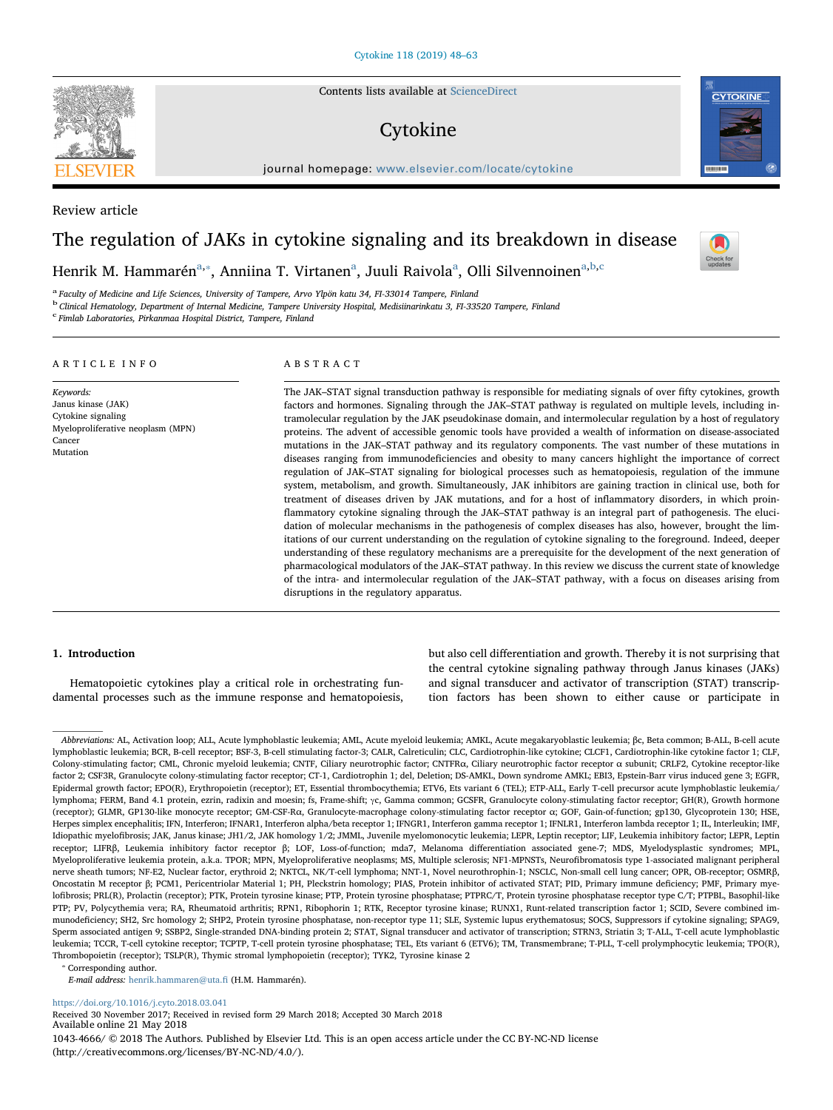Contents lists available at [ScienceDirect](http://www.sciencedirect.com/science/journal/10434666)

# Cytokine

journal homepage: [www.elsevier.com/locate/cytokine](https://www.elsevier.com/locate/cytokine)er.com/locate/cytokineer.com/locate/cytokineer.com/locate/cytokineer.com/locate/cytokineer.com/locate/cytokineer.com/locate/cytokineer.com/locate/cytokineer.com/locate/cyt



# The regulation of JAKs in cytokine signaling and its breakdown in disease



<span id="page-0-0"></span><sup>a</sup> Faculty of Medicine and Life Sciences, University of Tampere, Arvo Ylpön katu 34, FI-33014 Tampere, Finland

<span id="page-0-2"></span><sup>b</sup> Clinical Hematology, Department of Internal Medicine, Tampere University Hospital, Medisiinarinkatu 3, FI-33520 Tampere, Finland

<span id="page-0-3"></span>c Fimlab Laboratories, Pirkanmaa Hospital District, Tampere, Finland

## ARTICLE INFO

Myeloproliferative neoplasm (MPN)

Keywords: Janus kinase (JAK) Cytokine signaling

Cancer Mutation

## ABSTRACT

The JAK–STAT signal transduction pathway is responsible for mediating signals of over fifty cytokines, growth factors and hormones. Signaling through the JAK–STAT pathway is regulated on multiple levels, including intramolecular regulation by the JAK pseudokinase domain, and intermolecular regulation by a host of regulatory proteins. The advent of accessible genomic tools have provided a wealth of information on disease-associated mutations in the JAK–STAT pathway and its regulatory components. The vast number of these mutations in diseases ranging from immunodeficiencies and obesity to many cancers highlight the importance of correct regulation of JAK–STAT signaling for biological processes such as hematopoiesis, regulation of the immune system, metabolism, and growth. Simultaneously, JAK inhibitors are gaining traction in clinical use, both for treatment of diseases driven by JAK mutations, and for a host of inflammatory disorders, in which proinflammatory cytokine signaling through the JAK–STAT pathway is an integral part of pathogenesis. The elucidation of molecular mechanisms in the pathogenesis of complex diseases has also, however, brought the limitations of our current understanding on the regulation of cytokine signaling to the foreground. Indeed, deeper understanding of these regulatory mechanisms are a prerequisite for the development of the next generation of pharmacological modulators of the JAK–STAT pathway. In this review we discuss the current state of knowledge of the intra- and intermolecular regulation of the JAK–STAT pathway, with a focus on diseases arising from disruptions in the regulatory apparatus.

### 1. Introduction

Hematopoietic cytokines play a critical role in orchestrating fundamental processes such as the immune response and hematopoiesis,

but also cell differentiation and growth. Thereby it is not surprising that the central cytokine signaling pathway through Janus kinases (JAKs) and signal transducer and activator of transcription (STAT) transcription factors has been shown to either cause or participate in

<span id="page-0-1"></span>⁎ Corresponding author.

<https://doi.org/10.1016/j.cyto.2018.03.041>

Received 30 November 2017; Received in revised form 29 March 2018; Accepted 30 March 2018 Available online 21 May 2018 1043-4666/ © 2018 The Authors. Published by Elsevier Ltd. This is an open access article under the CC BY-NC-ND license (http://creativecommons.org/licenses/BY-NC-ND/4.0/).







Abbreviations: AL, Activation loop; ALL, Acute lymphoblastic leukemia; AML, Acute myeloid leukemia; AMKL, Acute megakaryoblastic leukemia; βc, Beta common; B-ALL, B-cell acute lymphoblastic leukemia; BCR, B-cell receptor; BSF-3, B-cell stimulating factor-3; CALR, Calreticulin; CLC, Cardiotrophin-like cytokine; CLCF1, Cardiotrophin-like cytokine factor 1; CLF, Colony-stimulating factor; CML, Chronic myeloid leukemia; CNTF, Ciliary neurotrophic factor; CNTFRα, Ciliary neurotrophic factor receptor α subunit; CRLF2, Cytokine receptor-like factor 2; CSF3R, Granulocyte colony-stimulating factor receptor; CT-1, Cardiotrophin 1; del, Deletion; DS-AMKL, Down syndrome AMKL; EBI3, Epstein-Barr virus induced gene 3; EGFR, Epidermal growth factor; EPO(R), Erythropoietin (receptor); ET, Essential thrombocythemia; ETV6, Ets variant 6 (TEL); ETP-ALL, Early T-cell precursor acute lymphoblastic leukemia/ lymphoma; FERM, Band 4.1 protein, ezrin, radixin and moesin; fs, Frame-shift; γc, Gamma common; GCSFR, Granulocyte colony-stimulating factor receptor; GH(R), Growth hormone (receptor); GLMR, GP130-like monocyte receptor; GM-CSF-Rα, Granulocyte-macrophage colony-stimulating factor receptor α; GOF, Gain-of-function; gp130, Glycoprotein 130; HSE, Herpes simplex encephalitis; IFN, Interferon; IFNAR1, Interferon alpha/beta receptor 1; IFNGR1, Interferon gamma receptor 1; IFNLR1, Interferon lambda receptor 1; IL, Interleukin; IMF, Idiopathic myelofibrosis; JAK, Janus kinase; JH1/2, JAK homology 1/2; JMML, Juvenile myelomonocytic leukemia; LEPR, Leptin receptor; LIF, Leukemia inhibitory factor; LEPR, Leptin receptor; LIFRβ, Leukemia inhibitory factor receptor β; LOF, Loss-of-function; mda7, Melanoma differentiation associated gene-7; MDS, Myelodysplastic syndromes; MPL, Myeloproliferative leukemia protein, a.k.a. TPOR; MPN, Myeloproliferative neoplasms; MS, Multiple sclerosis; NF1-MPNSTs, Neurofibromatosis type 1-associated malignant peripheral nerve sheath tumors; NF-E2, Nuclear factor, erythroid 2; NKTCL, NK/T-cell lymphoma; NNT-1, Novel neurothrophin-1; NSCLC, Non-small cell lung cancer; OPR, OB-receptor; OSMRβ, Oncostatin M receptor β; PCM1, Pericentriolar Material 1; PH, Pleckstrin homology; PIAS, Protein inhibitor of activated STAT; PID, Primary immune deficiency; PMF, Primary myelofibrosis; PRL(R), Prolactin (receptor); PTK, Protein tyrosine kinase; PTP, Protein tyrosine phosphatase; PTPRC/T, Protein tyrosine phosphatase receptor type C/T; PTPBL, Basophil-like PTP; PV, Polycythemia vera; RA, Rheumatoid arthritis; RPN1, Ribophorin 1; RTK, Receptor tyrosine kinase; RUNX1, Runt-related transcription factor 1; SCID, Severe combined immunodeficiency; SH2, Src homology 2; SHP2, Protein tyrosine phosphatase, non-receptor type 11; SLE, Systemic lupus erythematosus; SOCS, Suppressors if cytokine signaling; SPAG9, Sperm associated antigen 9; SSBP2, Single-stranded DNA-binding protein 2; STAT, Signal transducer and activator of transcription; STRN3, Striatin 3; T-ALL, T-cell acute lymphoblastic leukemia; TCCR, T-cell cytokine receptor; TCPTP, T-cell protein tyrosine phosphatase; TEL, Ets variant 6 (ETV6); TM, Transmembrane; T-PLL, T-cell prolymphocytic leukemia; TPO(R), Thrombopoietin (receptor); TSLP(R), Thymic stromal lymphopoietin (receptor); TYK2, Tyrosine kinase 2

E-mail address: [henrik.hammaren@uta.](mailto:henrik.hammaren@uta.fi)fi (H.M. Hammarén).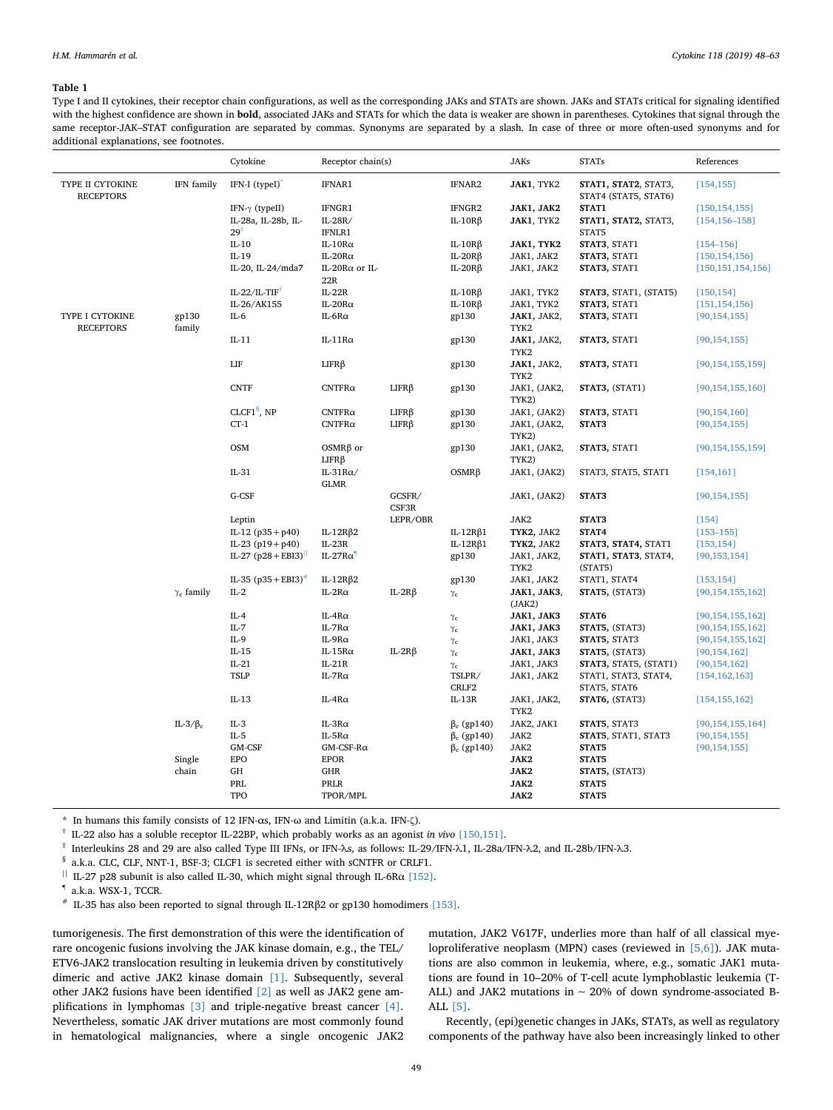### <span id="page-1-7"></span>Table 1

Type I and II cytokines, their receptor chain configurations, as well as the corresponding JAKs and STATs are shown. JAKs and STATs critical for signaling identified with the highest confidence are shown in **bold**, associated JAKs and STATs for which the data is weaker are shown in parentheses. Cytokines that signal through the same receptor-JAK–STAT configuration are separated by commas. Synonyms are separated by a slash. In case of three or more often-used synonyms and for additional explanations, see footnotes.

|                                      |                   | Cytokine                                      | Receptor chain(s)              |                 |                               | <b>JAKs</b>           | <b>STATs</b>                                 | References           |
|--------------------------------------|-------------------|-----------------------------------------------|--------------------------------|-----------------|-------------------------------|-----------------------|----------------------------------------------|----------------------|
| TYPE II CYTOKINE<br><b>RECEPTORS</b> | IFN family        | IFN-I (typeI)                                 | IFNAR1                         |                 | IFNAR2                        | JAK1, TYK2            | STAT1, STAT2, STAT3,<br>STAT4 (STAT5, STAT6) | [154, 155]           |
|                                      |                   | IFN- $\gamma$ (typeII)                        | IFNGR1                         |                 | IFNGR2                        | JAK1, JAK2            | STAT1                                        | [150, 154, 155]      |
|                                      |                   | IL-28a, IL-28b, IL-                           | $IL-28R/$                      |                 | $IL-10R\beta$                 | JAK1, TYK2            | STAT1, STAT2, STAT3,                         | $[154, 156 - 158]$   |
|                                      |                   | $29^{\ddagger}$                               | IFNLR1                         |                 |                               |                       | STAT5                                        |                      |
|                                      |                   | $IL-10$                                       | $IL-10Ra$                      |                 | $IL-1OR\beta$                 | JAK1, TYK2            | STAT3, STAT1                                 | $[154 - 156]$        |
|                                      |                   | $IL-19$                                       | IL-20 $Ra$                     |                 | IL-20 $R\beta$                | JAK1, JAK2            | STAT3, STAT1                                 | [150, 154, 156]      |
|                                      |                   | IL-20, IL-24/mda7                             | IL-20 $R\alpha$ or IL-<br>22R  |                 | IL-20 $R\beta$                | JAK1, JAK2            | STAT3, STAT1                                 | [150, 151, 154, 156] |
|                                      |                   | IL-22/IL-TIF <sup><math>\uparrow</math></sup> | $IL-22R$                       |                 | $IL-10R\beta$                 | JAK1, TYK2            | STAT3, STAT1, (STAT5)                        | [150, 154]           |
|                                      |                   | IL-26/AK155                                   | IL-20 $Ra$                     |                 | IL-10 $R\beta$                | JAK1, TYK2            | STAT3, STAT1                                 | [151, 154, 156]      |
| TYPE I CYTOKINE<br><b>RECEPTORS</b>  | gp130<br>family   | $IL-6$                                        | IL-6 $R\alpha$                 |                 | gp130                         | JAK1, JAK2,<br>TYK2   | STAT3, STAT1                                 | [90, 154, 155]       |
|                                      |                   | $IL-11$                                       | IL-11Rα                        |                 | gp130                         | JAK1, JAK2,<br>TYK2   | STAT3, STAT1                                 | [90, 154, 155]       |
|                                      |                   | ${\rm LIF}$                                   | $LIFR\beta$                    |                 | gp130                         | JAK1, JAK2,<br>TYK2   | STAT3, STAT1                                 | [90, 154, 155, 159]  |
|                                      |                   | <b>CNTF</b>                                   | $C\text{NTFR}\alpha$           | $LIFR\beta$     | gp130                         | JAK1, (JAK2,<br>TYK2) | STAT3, (STAT1)                               | [90, 154, 155, 160]  |
|                                      |                   | CLCF1 $§$ , NP                                | $CNTFR\alpha$                  | $LIFR\beta$     | gp130                         | JAK1, (JAK2)          | STAT3, STAT1                                 | [90, 154, 160]       |
|                                      |                   | $CT-1$                                        | $CNTFR\alpha$                  | $LIFR\beta$     | gp130                         | JAK1, (JAK2,<br>TYK2) | STAT3                                        | [90, 154, 155]       |
|                                      |                   | <b>OSM</b>                                    | $OSMR\beta$ or<br>$LIFR\beta$  |                 | gp130                         | JAK1, (JAK2,<br>TYK2) | STAT3, STAT1                                 | [90, 154, 155, 159]  |
|                                      |                   | $IL-31$                                       | IL-31 $R\alpha$<br><b>GLMR</b> |                 | $OSMR\beta$                   | JAK1, (JAK2)          | STAT3, STAT5, STAT1                          | [154, 161]           |
|                                      |                   | G-CSF                                         |                                | GCSFR/<br>CSF3R |                               | JAK1, (JAK2)          | STAT3                                        | [90, 154, 155]       |
|                                      |                   | Leptin                                        |                                | LEPR/OBR        |                               | JAK2                  | STAT3                                        | $[154]$              |
|                                      |                   | IL-12 $(p35 + p40)$                           | IL-12R $\beta$ 2               |                 | IL-12R $\beta$ 1              | TYK2, JAK2            | STAT4                                        | $[153 - 155]$        |
|                                      |                   | IL-23 $(p19 + p40)$                           | $IL-23R$                       |                 | IL-12R $\beta$ 1              | TYK2, JAK2            | STAT3, STAT4, STAT1                          | [153, 154]           |
|                                      |                   | IL-27 $(p28 + EBI3)^{  }$                     | $IL-27R\alpha$                 |                 | gp130                         | JAK1, JAK2,<br>TYK2   | STAT1, STAT3, STAT4,<br>(STAT5)              | [90, 153, 154]       |
|                                      |                   | IL-35 $(p35 + EBI3)^{#}$                      | IL-12R $\beta$ 2               |                 | gp130                         | JAK1, JAK2            | STAT1, STAT4                                 | [153, 154]           |
|                                      | $\gamma_c$ family | $IL-2$                                        | IL-2R $\alpha$                 | IL-2R $\beta$   | $\gamma_{\rm c}$              | JAK1, JAK3,<br>(JAK2) | STAT5, (STAT3)                               | [90, 154, 155, 162]  |
|                                      |                   | $IL-4$                                        | IL-4 $R\alpha$                 |                 | $\gamma_{\rm c}$              | JAK1, JAK3            | STAT6                                        | [90, 154, 155, 162]  |
|                                      |                   | $IL-7$                                        | IL-7 $R\alpha$                 |                 | $\gamma_{\rm c}$              | JAK1, JAK3            | STAT5, (STAT3)                               | [90, 154, 155, 162]  |
|                                      |                   | $IL-9$                                        | IL-9Rα                         |                 | $\gamma_{\rm c}$              | JAK1, JAK3            | STAT5, STAT3                                 | [90, 154, 155, 162]  |
|                                      |                   | $IL-15$                                       | IL-15 $R\alpha$                | IL-2R $\beta$   | $\gamma_{\rm c}$              | JAK1, JAK3            | STAT5, (STAT3)                               | [90, 154, 162]       |
|                                      |                   | $IL-21$                                       | $IL-21R$                       |                 | $\gamma_c$                    | JAK1, JAK3            | STAT3, STAT5, (STAT1)                        | [90, 154, 162]       |
|                                      |                   | <b>TSLP</b>                                   | IL-7 $R\alpha$                 |                 | TSLPR/                        | JAK1, JAK2            | STAT1, STAT3, STAT4,                         | [154, 162, 163]      |
|                                      |                   | $IL-13$                                       | IL-4 $R\alpha$                 |                 | CRLF <sub>2</sub><br>$IL-13R$ | JAK1, JAK2,<br>TYK2   | STAT5, STAT6<br>STAT6, (STAT3)               | [154, 155, 162]      |
|                                      | IL-3/ $\beta_c$   | $IL-3$                                        | IL-3R $\alpha$                 |                 | $\beta_c$ (gp140)             | JAK2, JAK1            | STAT5, STAT3                                 | [90, 154, 155, 164]  |
|                                      |                   | $IL-5$                                        | IL-5 $R\alpha$                 |                 | $\beta_c$ (gp140)             | JAK2                  | STAT5, STAT1, STAT3                          | [90, 154, 155]       |
|                                      |                   | GM-CSF                                        | $GM$ -CSF-R $\alpha$           |                 | $\beta_c$ (gp140)             | JAK2                  | STAT5                                        | [90, 154, 155]       |
|                                      | Single            | <b>EPO</b>                                    | <b>EPOR</b>                    |                 |                               | JAK2                  | STAT5                                        |                      |
|                                      | chain             | GH                                            | GHR                            |                 |                               | JAK2                  | STAT5, (STAT3)                               |                      |
|                                      |                   | PRL                                           | PRLR                           |                 |                               | JAK2                  | STAT5                                        |                      |
|                                      |                   | TPO                                           | TPOR/MPL                       |                 |                               | JAK2                  | STAT5                                        |                      |
|                                      |                   |                                               |                                |                 |                               |                       |                                              |                      |

<span id="page-1-0"></span>\* In humans this family consists of 12 IFN-αs, IFN-ω and Limitin (a.k.a. IFN-ζ).

<span id="page-1-2"></span> $\dagger$  IL-22 also has a soluble receptor IL-22BP, which probably works as an agonist in vivo [\[150,151\]](#page-13-1).

<span id="page-1-1"></span>‡ Interleukins 28 and 29 are also called Type III IFNs, or IFN-λs, as follows: IL-29/IFN-λ1, IL-28a/IFN-λ2, and IL-28b/IFN-λ3.

<span id="page-1-3"></span>§ a.k.a. CLC, CLF, NNT-1, BSF-3; CLCF1 is secreted either with sCNTFR or CRLF1.

<span id="page-1-4"></span> $^{\,||}$  IL-27 p28 subunit is also called IL-30, which might signal through IL-6R $\alpha$  [\[152\]](#page-13-4).

<span id="page-1-5"></span>¶ a.k.a. WSX-1, TCCR.

<span id="page-1-6"></span> $*$  IL-35 has also been reported to signal through IL-12Rβ2 or gp130 homodimers [\[153\]](#page-13-3).

tumorigenesis. The first demonstration of this were the identification of rare oncogenic fusions involving the JAK kinase domain, e.g., the TEL/ ETV6-JAK2 translocation resulting in leukemia driven by constitutively dimeric and active JAK2 kinase domain [\[1\].](#page-10-0) Subsequently, several other JAK2 fusions have been identified [\[2\]](#page-10-1) as well as JAK2 gene am-plifications in lymphomas [\[3\]](#page-10-2) and triple-negative breast cancer [\[4\]](#page-10-3). Nevertheless, somatic JAK driver mutations are most commonly found in hematological malignancies, where a single oncogenic JAK2 mutation, JAK2 V617F, underlies more than half of all classical myeloproliferative neoplasm (MPN) cases (reviewed in [\[5,6\]](#page-10-4)). JAK mutations are also common in leukemia, where, e.g., somatic JAK1 mutations are found in 10–20% of T-cell acute lymphoblastic leukemia (T-ALL) and JAK2 mutations in ∼ 20% of down syndrome-associated B-ALL [\[5\]](#page-10-4).

Recently, (epi)genetic changes in JAKs, STATs, as well as regulatory components of the pathway have also been increasingly linked to other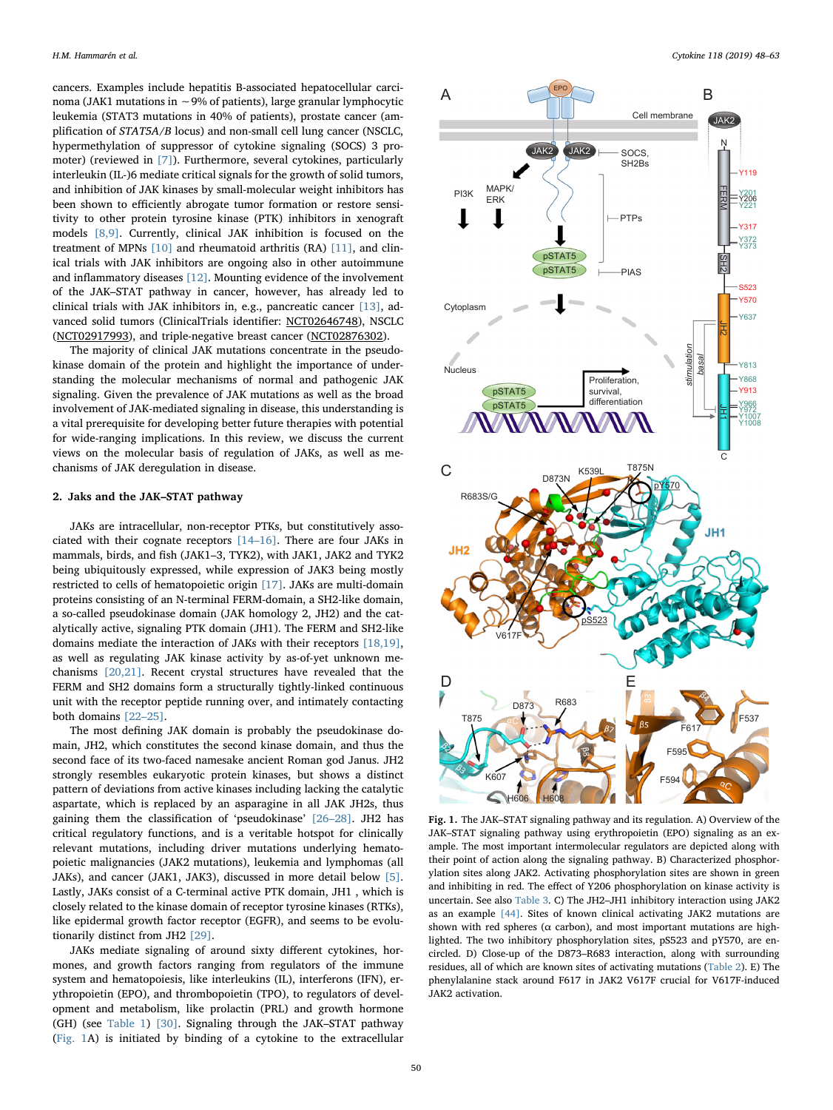cancers. Examples include hepatitis B-associated hepatocellular carcinoma (JAK1 mutations in ∼9% of patients), large granular lymphocytic leukemia (STAT3 mutations in 40% of patients), prostate cancer (amplification of STAT5A/B locus) and non-small cell lung cancer (NSCLC, hypermethylation of suppressor of cytokine signaling (SOCS) 3 promoter) (reviewed in [\[7\]\)](#page-10-5). Furthermore, several cytokines, particularly interleukin (IL-)6 mediate critical signals for the growth of solid tumors, and inhibition of JAK kinases by small-molecular weight inhibitors has been shown to efficiently abrogate tumor formation or restore sensitivity to other protein tyrosine kinase (PTK) inhibitors in xenograft models [\[8,9\]](#page-10-6). Currently, clinical JAK inhibition is focused on the treatment of MPNs [\[10\]](#page-10-7) and rheumatoid arthritis (RA) [\[11\]](#page-10-8), and clinical trials with JAK inhibitors are ongoing also in other autoimmune and inflammatory diseases [\[12\].](#page-10-9) Mounting evidence of the involvement of the JAK–STAT pathway in cancer, however, has already led to clinical trials with JAK inhibitors in, e.g., pancreatic cancer [\[13\]](#page-11-0), advanced solid tumors (ClinicalTrials identifier: NCT02646748), NSCLC (NCT02917993), and triple-negative breast cancer (NCT02876302).

The majority of clinical JAK mutations concentrate in the pseudokinase domain of the protein and highlight the importance of understanding the molecular mechanisms of normal and pathogenic JAK signaling. Given the prevalence of JAK mutations as well as the broad involvement of JAK-mediated signaling in disease, this understanding is a vital prerequisite for developing better future therapies with potential for wide-ranging implications. In this review, we discuss the current views on the molecular basis of regulation of JAKs, as well as mechanisms of JAK deregulation in disease.

## 2. Jaks and the JAK–STAT pathway

JAKs are intracellular, non-receptor PTKs, but constitutively associated with their cognate receptors [\[14](#page-11-1)–16]. There are four JAKs in mammals, birds, and fish (JAK1–3, TYK2), with JAK1, JAK2 and TYK2 being ubiquitously expressed, while expression of JAK3 being mostly restricted to cells of hematopoietic origin [\[17\]](#page-11-2). JAKs are multi-domain proteins consisting of an N-terminal FERM-domain, a SH2-like domain, a so-called pseudokinase domain (JAK homology 2, JH2) and the catalytically active, signaling PTK domain (JH1). The FERM and SH2-like domains mediate the interaction of JAKs with their receptors [\[18,19\]](#page-11-3), as well as regulating JAK kinase activity by as-of-yet unknown mechanisms [\[20,21\]](#page-11-4). Recent crystal structures have revealed that the FERM and SH2 domains form a structurally tightly-linked continuous unit with the receptor peptide running over, and intimately contacting both domains [\[22](#page-11-5)–25].

The most defining JAK domain is probably the pseudokinase domain, JH2, which constitutes the second kinase domain, and thus the second face of its two-faced namesake ancient Roman god Janus. JH2 strongly resembles eukaryotic protein kinases, but shows a distinct pattern of deviations from active kinases including lacking the catalytic aspartate, which is replaced by an asparagine in all JAK JH2s, thus gaining them the classification of 'pseudokinase' [26–[28\].](#page-11-6) JH2 has critical regulatory functions, and is a veritable hotspot for clinically relevant mutations, including driver mutations underlying hematopoietic malignancies (JAK2 mutations), leukemia and lymphomas (all JAKs), and cancer (JAK1, JAK3), discussed in more detail below [\[5\]](#page-10-4). Lastly, JAKs consist of a C-terminal active PTK domain, JH1 , which is closely related to the kinase domain of receptor tyrosine kinases (RTKs), like epidermal growth factor receptor (EGFR), and seems to be evolutionarily distinct from JH2 [\[29\]](#page-11-7).

JAKs mediate signaling of around sixty different cytokines, hormones, and growth factors ranging from regulators of the immune system and hematopoiesis, like interleukins (IL), interferons (IFN), erythropoietin (EPO), and thrombopoietin (TPO), to regulators of development and metabolism, like prolactin (PRL) and growth hormone (GH) (see [Table 1\)](#page-1-7) [\[30\]](#page-11-8). Signaling through the JAK–STAT pathway ([Fig. 1A](#page-2-0)) is initiated by binding of a cytokine to the extracellular

<span id="page-2-0"></span>

Fig. 1. The JAK–STAT signaling pathway and its regulation. A) Overview of the JAK–STAT signaling pathway using erythropoietin (EPO) signaling as an example. The most important intermolecular regulators are depicted along with their point of action along the signaling pathway. B) Characterized phosphorylation sites along JAK2. Activating phosphorylation sites are shown in green and inhibiting in red. The effect of Y206 phosphorylation on kinase activity is uncertain. See also [Table 3](#page-7-0). C) The JH2–JH1 inhibitory interaction using JAK2 as an example [\[44\]](#page-11-9). Sites of known clinical activating JAK2 mutations are shown with red spheres ( $\alpha$  carbon), and most important mutations are highlighted. The two inhibitory phosphorylation sites, pS523 and pY570, are encircled. D) Close-up of the D873–R683 interaction, along with surrounding residues, all of which are known sites of activating mutations [\(Table 2\)](#page-4-0). E) The phenylalanine stack around F617 in JAK2 V617F crucial for V617F-induced JAK2 activation.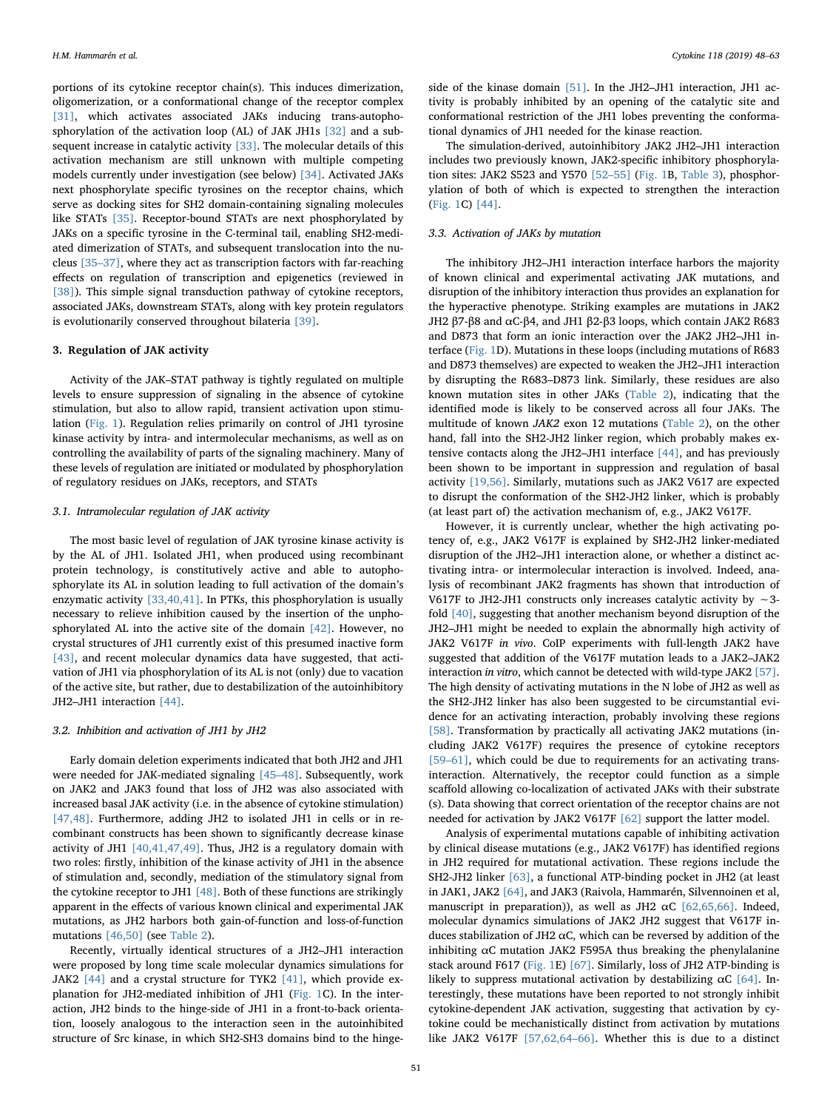portions of its cytokine receptor chain(s). This induces dimerization, oligomerization, or a conformational change of the receptor complex [\[31\]](#page-11-10), which activates associated JAKs inducing trans-autophosphorylation of the activation loop (AL) of JAK JH1s [\[32\]](#page-11-11) and a subsequent increase in catalytic activity [\[33\].](#page-11-12) The molecular details of this activation mechanism are still unknown with multiple competing models currently under investigation (see below) [\[34\]](#page-11-13). Activated JAKs next phosphorylate specific tyrosines on the receptor chains, which serve as docking sites for SH2 domain-containing signaling molecules like STATs [\[35\].](#page-11-14) Receptor-bound STATs are next phosphorylated by JAKs on a specific tyrosine in the C-terminal tail, enabling SH2-mediated dimerization of STATs, and subsequent translocation into the nucleus [\[35](#page-11-14)–37], where they act as transcription factors with far-reaching effects on regulation of transcription and epigenetics (reviewed in [\[38\]](#page-11-15)). This simple signal transduction pathway of cytokine receptors, associated JAKs, downstream STATs, along with key protein regulators is evolutionarily conserved throughout bilateria [\[39\]](#page-11-16).

### 3. Regulation of JAK activity

Activity of the JAK–STAT pathway is tightly regulated on multiple levels to ensure suppression of signaling in the absence of cytokine stimulation, but also to allow rapid, transient activation upon stimulation [\(Fig. 1\)](#page-2-0). Regulation relies primarily on control of JH1 tyrosine kinase activity by intra- and intermolecular mechanisms, as well as on controlling the availability of parts of the signaling machinery. Many of these levels of regulation are initiated or modulated by phosphorylation of regulatory residues on JAKs, receptors, and STATs

## 3.1. Intramolecular regulation of JAK activity

The most basic level of regulation of JAK tyrosine kinase activity is by the AL of JH1. Isolated JH1, when produced using recombinant protein technology, is constitutively active and able to autophosphorylate its AL in solution leading to full activation of the domain's enzymatic activity [\[33,40,41\]](#page-11-12). In PTKs, this phosphorylation is usually necessary to relieve inhibition caused by the insertion of the unphosphorylated AL into the active site of the domain [\[42\]](#page-11-17). However, no crystal structures of JH1 currently exist of this presumed inactive form [\[43\]](#page-11-18), and recent molecular dynamics data have suggested, that activation of JH1 via phosphorylation of its AL is not (only) due to vacation of the active site, but rather, due to destabilization of the autoinhibitory JH2–JH1 interaction [\[44\].](#page-11-9)

## 3.2. Inhibition and activation of JH1 by JH2

Early domain deletion experiments indicated that both JH2 and JH1 were needed for JAK-mediated signaling [45–[48\].](#page-11-19) Subsequently, work on JAK2 and JAK3 found that loss of JH2 was also associated with increased basal JAK activity (i.e. in the absence of cytokine stimulation) [\[47,48\].](#page-11-20) Furthermore, adding JH2 to isolated JH1 in cells or in recombinant constructs has been shown to significantly decrease kinase activity of JH1 [\[40,41,47,49\]](#page-11-21). Thus, JH2 is a regulatory domain with two roles: firstly, inhibition of the kinase activity of JH1 in the absence of stimulation and, secondly, mediation of the stimulatory signal from the cytokine receptor to JH1 [\[48\]](#page-11-22). Both of these functions are strikingly apparent in the effects of various known clinical and experimental JAK mutations, as JH2 harbors both gain-of-function and loss-of-function mutations [\[46,50\]](#page-11-23) (see [Table 2](#page-4-0)).

Recently, virtually identical structures of a JH2–JH1 interaction were proposed by long time scale molecular dynamics simulations for JAK2 [\[44\]](#page-11-9) and a crystal structure for TYK2 [\[41\]](#page-11-24), which provide explanation for JH2-mediated inhibition of JH1 ([Fig. 1C](#page-2-0)). In the interaction, JH2 binds to the hinge-side of JH1 in a front-to-back orientation, loosely analogous to the interaction seen in the autoinhibited structure of Src kinase, in which SH2-SH3 domains bind to the hinge-

side of the kinase domain [\[51\].](#page-11-25) In the JH2–JH1 interaction, JH1 activity is probably inhibited by an opening of the catalytic site and conformational restriction of the JH1 lobes preventing the conformational dynamics of JH1 needed for the kinase reaction.

The simulation-derived, autoinhibitory JAK2 JH2–JH1 interaction includes two previously known, JAK2-specific inhibitory phosphorylation sites: JAK2 S523 and Y570 [\[52](#page-11-26)–55] [\(Fig. 1B](#page-2-0), [Table 3](#page-7-0)), phosphorylation of both of which is expected to strengthen the interaction ([Fig. 1C](#page-2-0)) [\[44\]](#page-11-9).

### 3.3. Activation of JAKs by mutation

The inhibitory JH2–JH1 interaction interface harbors the majority of known clinical and experimental activating JAK mutations, and disruption of the inhibitory interaction thus provides an explanation for the hyperactive phenotype. Striking examples are mutations in JAK2 JH2 β7-β8 and αC-β4, and JH1 β2-β3 loops, which contain JAK2 R683 and D873 that form an ionic interaction over the JAK2 JH2–JH1 interface ([Fig. 1](#page-2-0)D). Mutations in these loops (including mutations of R683 and D873 themselves) are expected to weaken the JH2–JH1 interaction by disrupting the R683–D873 link. Similarly, these residues are also known mutation sites in other JAKs [\(Table 2\)](#page-4-0), indicating that the identified mode is likely to be conserved across all four JAKs. The multitude of known JAK2 exon 12 mutations ([Table 2](#page-4-0)), on the other hand, fall into the SH2-JH2 linker region, which probably makes extensive contacts along the JH2–JH1 interface [\[44\],](#page-11-9) and has previously been shown to be important in suppression and regulation of basal activity [\[19,56\].](#page-11-27) Similarly, mutations such as JAK2 V617 are expected to disrupt the conformation of the SH2-JH2 linker, which is probably (at least part of) the activation mechanism of, e.g., JAK2 V617F.

However, it is currently unclear, whether the high activating potency of, e.g., JAK2 V617F is explained by SH2-JH2 linker-mediated disruption of the JH2–JH1 interaction alone, or whether a distinct activating intra- or intermolecular interaction is involved. Indeed, analysis of recombinant JAK2 fragments has shown that introduction of V617F to JH2-JH1 constructs only increases catalytic activity by ∼3 fold [\[40\]](#page-11-21), suggesting that another mechanism beyond disruption of the JH2–JH1 might be needed to explain the abnormally high activity of JAK2 V617F in vivo. CoIP experiments with full-length JAK2 have suggested that addition of the V617F mutation leads to a JAK2–JAK2 interaction in vitro, which cannot be detected with wild-type JAK2 [\[57\]](#page-11-28). The high density of activating mutations in the N lobe of JH2 as well as the SH2-JH2 linker has also been suggested to be circumstantial evidence for an activating interaction, probably involving these regions [\[58\]](#page-11-29). Transformation by practically all activating JAK2 mutations (including JAK2 V617F) requires the presence of cytokine receptors [59–[61\]](#page-11-30), which could be due to requirements for an activating transinteraction. Alternatively, the receptor could function as a simple scaffold allowing co-localization of activated JAKs with their substrate (s). Data showing that correct orientation of the receptor chains are not needed for activation by JAK2 V617F [\[62\]](#page-11-31) support the latter model.

Analysis of experimental mutations capable of inhibiting activation by clinical disease mutations (e.g., JAK2 V617F) has identified regions in JH2 required for mutational activation. These regions include the SH2-JH2 linker [\[63\],](#page-11-32) a functional ATP-binding pocket in JH2 (at least in JAK1, JAK2 [\[64\]](#page-11-33), and JAK3 (Raivola, Hammarén, Silvennoinen et al, manuscript in preparation)), as well as JH2  $\alpha$ C [\[62,65,66\]](#page-11-31). Indeed, molecular dynamics simulations of JAK2 JH2 suggest that V617F induces stabilization of JH2  $\alpha$ C, which can be reversed by addition of the inhibiting  $\alpha$ C mutation JAK2 F595A thus breaking the phenylalanine stack around F617 [\(Fig. 1](#page-2-0)E) [\[67\]](#page-11-34). Similarly, loss of JH2 ATP-binding is likely to suppress mutational activation by destabilizing  $\alpha$ C [\[64\]](#page-11-33). Interestingly, these mutations have been reported to not strongly inhibit cytokine-dependent JAK activation, suggesting that activation by cytokine could be mechanistically distinct from activation by mutations like JAK2 V617F [\[57,62,64](#page-11-28)–66]. Whether this is due to a distinct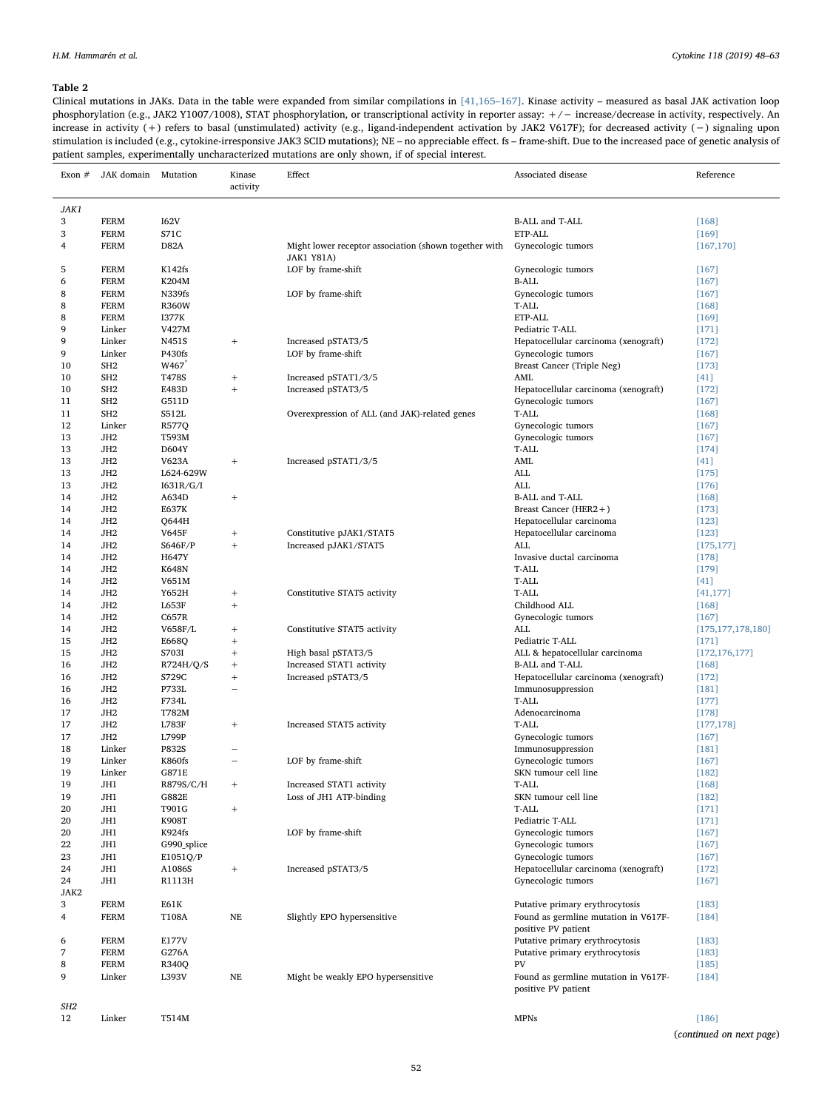## <span id="page-4-0"></span>Table 2

Clinical mutations in JAKs. Data in the table were expanded from similar compilations in [\[41,165](#page-11-24)–167]. Kinase activity – measured as basal JAK activation loop phosphorylation (e.g., JAK2 Y1007/1008), STAT phosphorylation, or transcriptional activity in reporter assay: +/− increase/decrease in activity, respectively. An increase in activity (+) refers to basal (unstimulated) activity (e.g., ligand-independent activation by JAK2 V617F); for decreased activity (−) signaling upon stimulation is included (e.g., cytokine-irresponsive JAK3 SCID mutations); NE – no appreciable effect. fs – frame-shift. Due to the increased pace of genetic analysis of patient samples, experimentally uncharacterized mutations are only shown, if of special interest.

| Exon $#$ | JAK domain Mutation                |                        | Kinase<br>activity               | Effect                                                | Associated disease                                          | Reference                |
|----------|------------------------------------|------------------------|----------------------------------|-------------------------------------------------------|-------------------------------------------------------------|--------------------------|
| JAK1     |                                    |                        |                                  |                                                       |                                                             |                          |
| 3        | <b>FERM</b>                        | <b>I62V</b>            |                                  |                                                       | B-ALL and T-ALL                                             | $[168]$                  |
| 3        | <b>FERM</b>                        | S71C                   |                                  |                                                       | ETP-ALL                                                     | $[169]$                  |
| 4        | <b>FERM</b>                        | <b>D82A</b>            |                                  | Might lower receptor association (shown together with | Gynecologic tumors                                          | [167, 170]               |
|          |                                    |                        |                                  | <b>JAK1 Y81A)</b>                                     |                                                             |                          |
| 5        | <b>FERM</b>                        | K142fs                 |                                  | LOF by frame-shift                                    | Gynecologic tumors                                          | $[167]$                  |
| 6        | <b>FERM</b>                        | K204M                  |                                  |                                                       | <b>B-ALL</b>                                                | $[167]$                  |
| 8        | <b>FERM</b>                        | N339fs                 |                                  | LOF by frame-shift                                    | Gynecologic tumors                                          | $[167]$                  |
| 8        | <b>FERM</b>                        | <b>R360W</b>           |                                  |                                                       | T-ALL                                                       | $[168]$                  |
| 8<br>9   | <b>FERM</b><br>Linker              | <b>I377K</b><br>V427M  |                                  |                                                       | ETP-ALL<br>Pediatric T-ALL                                  | $[169]$<br>$[171]$       |
| 9        | Linker                             | N451S                  | $\begin{array}{c} + \end{array}$ | Increased pSTAT3/5                                    | Hepatocellular carcinoma (xenograft)                        | $[172]$                  |
| 9        | Linker                             | P430fs                 |                                  | LOF by frame-shift                                    | Gynecologic tumors                                          | $[167]$                  |
| 10       | SH <sub>2</sub>                    | W467 <sup>*</sup>      |                                  |                                                       | Breast Cancer (Triple Neg)                                  | $[173]$                  |
| 10       | SH <sub>2</sub>                    | T478S                  | $\! + \!\!\!\!$                  | Increased pSTAT1/3/5                                  | AML                                                         | $[41]$                   |
| 10       | SH <sub>2</sub>                    | E483D                  | $\qquad \qquad +$                | Increased pSTAT3/5                                    | Hepatocellular carcinoma (xenograft)                        | $[172]$                  |
| 11       | SH <sub>2</sub>                    | G511D                  |                                  |                                                       | Gynecologic tumors                                          | $[167]$                  |
| 11       | SH <sub>2</sub>                    | S512L                  |                                  | Overexpression of ALL (and JAK)-related genes         | T-ALL                                                       | $[168]$                  |
| 12       | Linker                             | R577Q                  |                                  |                                                       | Gynecologic tumors                                          | $[167]$                  |
| 13<br>13 | JH <sub>2</sub><br>JH <sub>2</sub> | T593M<br>D604Y         |                                  |                                                       | Gynecologic tumors<br>T-ALL                                 | $[167]$<br>$[174]$       |
| 13       | JH <sub>2</sub>                    | V623A                  | $\! + \!\!\!\!$                  | Increased pSTAT1/3/5                                  | AML                                                         | $[41]$                   |
| 13       | JH <sub>2</sub>                    | L624-629W              |                                  |                                                       | ALL                                                         | $[175]$                  |
| 13       | JH <sub>2</sub>                    | I631R/G/I              |                                  |                                                       | ALL                                                         | $[176]$                  |
| 14       | JH <sub>2</sub>                    | A634D                  | $\! +$                           |                                                       | B-ALL and T-ALL                                             | $[168]$                  |
| 14       | JH <sub>2</sub>                    | E637K                  |                                  |                                                       | Breast Cancer (HER2+)                                       | $[173]$                  |
| 14       | JH <sub>2</sub>                    | Q644H                  |                                  |                                                       | Hepatocellular carcinoma                                    | $[123]$                  |
| 14       | JH <sub>2</sub>                    | V645F                  | $^{+}$                           | Constitutive pJAK1/STAT5                              | Hepatocellular carcinoma                                    | $[123]$                  |
| 14       | JH <sub>2</sub>                    | S646F/P                | $\! +$                           | Increased pJAK1/STAT5                                 | ALL                                                         | [175, 177]               |
| 14       | JH <sub>2</sub>                    | <b>H647Y</b>           |                                  |                                                       | Invasive ductal carcinoma                                   | $[178]$                  |
| 14       | JH <sub>2</sub>                    | <b>K648N</b>           |                                  |                                                       | T-ALL                                                       | $[179]$                  |
| 14<br>14 | JH <sub>2</sub><br>JH <sub>2</sub> | V651M<br>Y652H         | $^{+}$                           | Constitutive STAT5 activity                           | T-ALL<br>T-ALL                                              | $[41]$<br>[41, 177]      |
| 14       | JH <sub>2</sub>                    | L653F                  | $^{+}$                           |                                                       | Childhood ALL                                               | $[168]$                  |
| 14       | JH <sub>2</sub>                    | C657R                  |                                  |                                                       | Gynecologic tumors                                          | $[167]$                  |
| 14       | JH <sub>2</sub>                    | V658F/L                | $\! + \!\!\!\!$                  | Constitutive STAT5 activity                           | ALL                                                         | [175, 177, 178, 180]     |
| 15       | JH <sub>2</sub>                    | E668Q                  | $^{+}$                           |                                                       | Pediatric T-ALL                                             | $[171]$                  |
| 15       | JH <sub>2</sub>                    | S703I                  | $^{+}$                           | High basal pSTAT3/5                                   | ALL & hepatocellular carcinoma                              | [172, 176, 177]          |
| 16       | JH <sub>2</sub>                    | R724H/Q/S              | $\qquad \qquad +$                | Increased STAT1 activity                              | B-ALL and T-ALL                                             | $[168]$                  |
| 16       | JH <sub>2</sub>                    | S729C                  | $^{+}$                           | Increased pSTAT3/5                                    | Hepatocellular carcinoma (xenograft)                        | $[172]$                  |
| 16       | JH <sub>2</sub>                    | P733L                  | $\equiv$                         |                                                       | Immunosuppression                                           | $[181]$                  |
| 16<br>17 | JH <sub>2</sub><br>JH <sub>2</sub> | F734L<br>T782M         |                                  |                                                       | T-ALL<br>Adenocarcinoma                                     | $[177]$<br>$[178]$       |
| 17       | JH <sub>2</sub>                    | <b>L783F</b>           | $\! +$                           | Increased STAT5 activity                              | T-ALL                                                       | [177, 178]               |
| 17       | JH <sub>2</sub>                    | L799P                  |                                  |                                                       | Gynecologic tumors                                          | $[167]$                  |
| 18       | Linker                             | P832S                  |                                  |                                                       | Immunosuppression                                           | $[181]$                  |
| 19       | Linker                             | <b>K860fs</b>          |                                  | LOF by frame-shift                                    | Gynecologic tumors                                          | $[167]$                  |
| 19       | Linker                             | G871E                  |                                  |                                                       | SKN tumour cell line                                        | $[182]$                  |
| 19       | JH1                                | R879S/C/H              | $^{+}$                           | Increased STAT1 activity                              | T-ALL                                                       | $[168]$                  |
| 19       | JH1                                | G882E                  |                                  | Loss of JH1 ATP-binding                               | SKN tumour cell line                                        | $[182]$                  |
| 20       | JH1                                | T901G                  | $\! +$                           |                                                       | T-ALL                                                       | $[171]$                  |
| 20<br>20 | JH1<br>JH1                         | <b>K908T</b><br>K924fs |                                  |                                                       | Pediatric T-ALL                                             | $[171]$                  |
| 22       | JH1                                | G990_splice            |                                  | LOF by frame-shift                                    | Gynecologic tumors<br>Gynecologic tumors                    | $[167]$<br>$[167]$       |
| 23       | JH1                                | E1051Q/P               |                                  |                                                       | Gynecologic tumors                                          | $[167]$                  |
| 24       | JH1                                | A1086S                 | $^{+}$                           | Increased pSTAT3/5                                    | Hepatocellular carcinoma (xenograft)                        | $[172]$                  |
| 24       | JH1                                | R1113H                 |                                  |                                                       | Gynecologic tumors                                          | $[167]$                  |
| JAK2     |                                    |                        |                                  |                                                       |                                                             |                          |
| 3        | <b>FERM</b>                        | E61K                   |                                  |                                                       | Putative primary erythrocytosis                             | $[183]$                  |
| 4        | <b>FERM</b>                        | T108A                  | NE                               | Slightly EPO hypersensitive                           | Found as germline mutation in V617F-<br>positive PV patient | $[184]$                  |
| 6        | <b>FERM</b>                        | E177V                  |                                  |                                                       | Putative primary erythrocytosis                             | $[183]$                  |
| 7        | <b>FERM</b>                        | G276A                  |                                  |                                                       | Putative primary erythrocytosis                             | $[183]$                  |
| 8        | <b>FERM</b>                        | R340Q                  |                                  |                                                       | PV                                                          | $[185]$                  |
| 9        | Linker                             | L393V                  | NE                               | Might be weakly EPO hypersensitive                    | Found as germline mutation in V617F-                        | $[184]$                  |
|          |                                    |                        |                                  |                                                       | positive PV patient                                         |                          |
| SH2      |                                    |                        |                                  |                                                       |                                                             |                          |
| 12       | Linker                             | T514M                  |                                  |                                                       | <b>MPNs</b>                                                 | $[186]$                  |
|          |                                    |                        |                                  |                                                       |                                                             | (continued on next page) |

52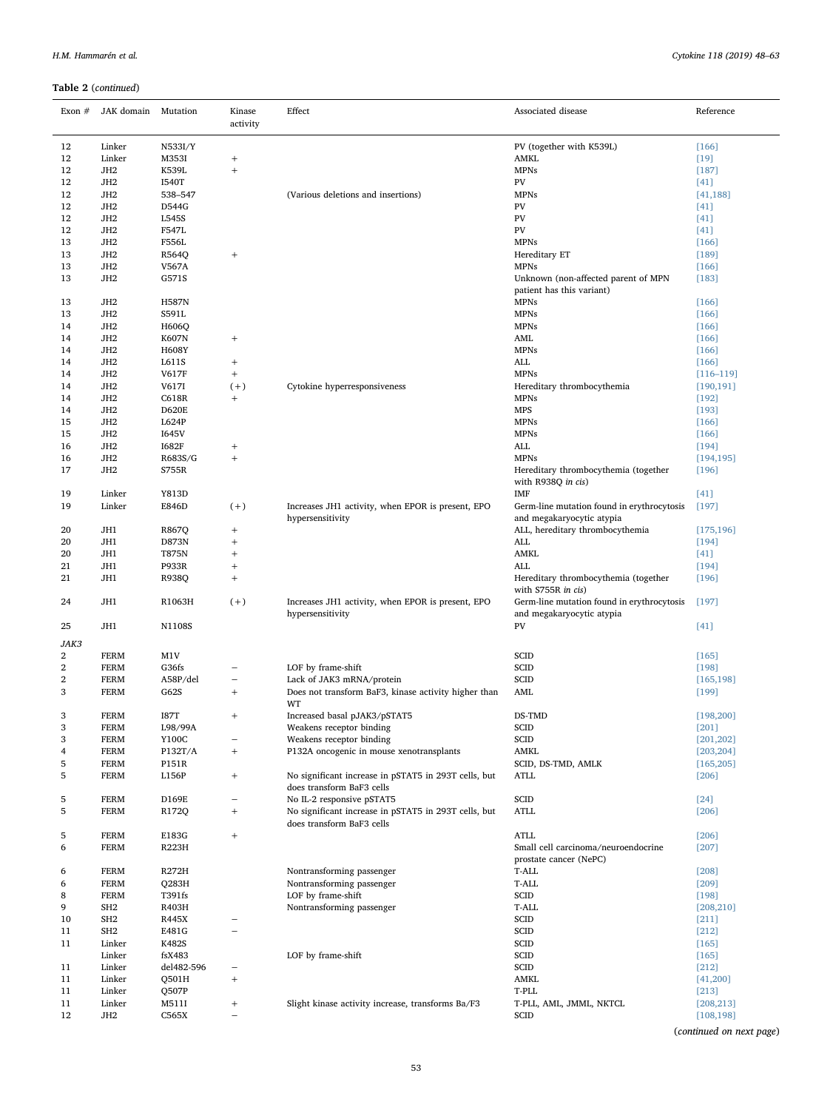## Table 2 (continued)

| Exon $#$ | JAK domain Mutation                |                       | Kinase<br>activity                                           | Effect                                                                                                         | Associated disease                                                        | Reference             |
|----------|------------------------------------|-----------------------|--------------------------------------------------------------|----------------------------------------------------------------------------------------------------------------|---------------------------------------------------------------------------|-----------------------|
| 12       | Linker                             | N533I/Y               |                                                              |                                                                                                                | PV (together with K539L)                                                  | $[166]$               |
| 12       | Linker                             | M353I                 | $^{+}$                                                       |                                                                                                                | AMKL                                                                      | $[19]$                |
| 12       | JH <sub>2</sub>                    | K539L                 | $^{+}$                                                       |                                                                                                                | <b>MPNs</b>                                                               | $[187]$               |
| 12       | JH <sub>2</sub>                    | <b>I540T</b>          |                                                              |                                                                                                                | PV                                                                        | $[41]$                |
| 12       | JH <sub>2</sub>                    | 538-547               |                                                              | (Various deletions and insertions)                                                                             | <b>MPNs</b>                                                               | [41, 188]             |
| 12       | JH <sub>2</sub>                    | D544G                 |                                                              |                                                                                                                | PV                                                                        |                       |
|          |                                    |                       |                                                              |                                                                                                                |                                                                           | $[41]$                |
| 12       | JH <sub>2</sub>                    | L545S                 |                                                              |                                                                                                                | PV                                                                        | $[41]$                |
| 12       | JH <sub>2</sub>                    | F547L                 |                                                              |                                                                                                                | PV                                                                        | $[41]$                |
| 13       | JH <sub>2</sub>                    | F556L                 |                                                              |                                                                                                                | <b>MPNs</b>                                                               | $[166]$               |
| 13       | JH <sub>2</sub>                    | R564Q                 | $^{+}$                                                       |                                                                                                                | Hereditary ET                                                             | $[189]$               |
| 13       | JH <sub>2</sub>                    | V567A                 |                                                              |                                                                                                                | <b>MPNs</b>                                                               | $[166]$               |
| 13       | JH <sub>2</sub>                    | G571S                 |                                                              |                                                                                                                | Unknown (non-affected parent of MPN                                       | $[183]$               |
|          |                                    |                       |                                                              |                                                                                                                | patient has this variant)                                                 |                       |
| 13       | JH <sub>2</sub>                    | <b>H587N</b>          |                                                              |                                                                                                                | <b>MPNs</b>                                                               | $[166]$               |
| 13       | JH <sub>2</sub>                    | S591L                 |                                                              |                                                                                                                | <b>MPNs</b>                                                               | $[166]$               |
| 14       | JH <sub>2</sub>                    | H606Q                 |                                                              |                                                                                                                | <b>MPNs</b>                                                               | $[166]$               |
| 14       | JH <sub>2</sub>                    | <b>K607N</b>          | $^{+}$                                                       |                                                                                                                | AML                                                                       | $[166]$               |
| 14       | JH <sub>2</sub>                    | <b>H608Y</b>          |                                                              |                                                                                                                | <b>MPNs</b>                                                               | $[166]$               |
| 14       | JH <sub>2</sub>                    | L611S                 | $^{+}$                                                       |                                                                                                                | $\mbox{ALL}$                                                              | $[166]$               |
|          |                                    |                       |                                                              |                                                                                                                |                                                                           |                       |
| 14       | JH <sub>2</sub>                    | V617F                 | $\qquad \qquad +$                                            |                                                                                                                | <b>MPNs</b>                                                               | $[116 - 119]$         |
| 14       | JH <sub>2</sub>                    | V617I                 | $(+)$                                                        | Cytokine hyperresponsiveness                                                                                   | Hereditary thrombocythemia                                                | [190, 191]            |
| 14       | JH <sub>2</sub>                    | C618R                 | $^{+}$                                                       |                                                                                                                | <b>MPNs</b>                                                               | $[192]$               |
| 14       | JH <sub>2</sub>                    | <b>D620E</b>          |                                                              |                                                                                                                | <b>MPS</b>                                                                | $[193]$               |
| 15       | JH <sub>2</sub>                    | L624P                 |                                                              |                                                                                                                | <b>MPNs</b>                                                               | $[166]$               |
| 15       | JH <sub>2</sub>                    | <b>I645V</b>          |                                                              |                                                                                                                | <b>MPNs</b>                                                               | $[166]$               |
| 16       | JH <sub>2</sub>                    | <b>I682F</b>          |                                                              |                                                                                                                | <b>ALL</b>                                                                | $[194]$               |
|          |                                    |                       | $^{+}$                                                       |                                                                                                                |                                                                           |                       |
| 16<br>17 | JH <sub>2</sub><br>JH <sub>2</sub> | R683S/G<br>S755R      | $^{+}$                                                       |                                                                                                                | <b>MPNs</b><br>Hereditary thrombocythemia (together<br>with R938Q in cis) | [194, 195]<br>$[196]$ |
| 19       | Linker                             | Y813D                 |                                                              |                                                                                                                | IMF                                                                       | $[41]$                |
| 19       | Linker                             | E846D                 | $(+)$                                                        | Increases JH1 activity, when EPOR is present, EPO<br>hypersensitivity                                          | Germ-line mutation found in erythrocytosis<br>and megakaryocytic atypia   | $[197]$               |
| 20       | JH1                                | R867Q                 | $^{+}$                                                       |                                                                                                                | ALL, hereditary thrombocythemia                                           | [175, 196]            |
| 20       | JH1                                | D873N                 | $^{+}$                                                       |                                                                                                                | ALL                                                                       | $[194]$               |
| 20       | JH1                                | T875N                 | $\! +$                                                       |                                                                                                                | AMKL                                                                      | $[41]$                |
| 21       | JH1                                | P933R                 | $^{+}$                                                       |                                                                                                                | ALL                                                                       | $[194]$               |
| 21       | JH1                                | R938Q                 | $\! +$                                                       |                                                                                                                | Hereditary thrombocythemia (together<br>with S755R in cis)                | $[196]$               |
| 24       | JH1                                | R1063H                | $(+)$                                                        | Increases JH1 activity, when EPOR is present, EPO<br>hypersensitivity                                          | Germ-line mutation found in erythrocytosis<br>and megakaryocytic atypia   | $[197]$               |
| 25       | JH1                                | N1108S                |                                                              |                                                                                                                | PV                                                                        | $[41]$                |
| JAK3     |                                    |                       |                                                              |                                                                                                                |                                                                           |                       |
| 2        | <b>FERM</b>                        | M1V                   |                                                              |                                                                                                                | SCID                                                                      | $[165]$               |
| 2        | <b>FERM</b>                        | G36fs                 |                                                              | LOF by frame-shift                                                                                             | SCID                                                                      | $[198]$               |
| 2<br>3   | <b>FERM</b><br><b>FERM</b>         | A58P/del<br>G62S      | $^{+}$                                                       | Lack of JAK3 mRNA/protein<br>Does not transform BaF3, kinase activity higher than                              | SCID<br>AML                                                               | [165, 198]<br>$[199]$ |
|          |                                    |                       |                                                              | WT                                                                                                             |                                                                           |                       |
| 3        | FERM                               | <b>I87T</b>           | $^+$                                                         | Increased basal pJAK3/pSTAT5                                                                                   | DS-TMD                                                                    | [198, 200]            |
| 3        | FERM                               | L98/99A               |                                                              | Weakens receptor binding                                                                                       | SCID                                                                      | $[201]$               |
| 3        | <b>FERM</b>                        | Y100C                 |                                                              | Weakens receptor binding                                                                                       | SCID                                                                      | [201, 202]            |
| 4        | <b>FERM</b>                        | P132T/A               | $\qquad \qquad +$                                            | P132A oncogenic in mouse xenotransplants                                                                       | AMKL                                                                      | [203, 204]            |
| 5        | <b>FERM</b>                        | P151R                 |                                                              |                                                                                                                | SCID, DS-TMD, AMLK                                                        | [165, 205]            |
| 5        | <b>FERM</b>                        | L156P                 | $^{+}$                                                       | No significant increase in pSTAT5 in 293T cells, but<br>does transform BaF3 cells                              | ATLL                                                                      | $[206]$               |
|          |                                    |                       |                                                              |                                                                                                                |                                                                           |                       |
| 5<br>5   | FERM<br>FERM                       | D169E<br>R172Q        | $\overline{\phantom{m}}$<br>$\begin{array}{c} + \end{array}$ | No IL-2 responsive pSTAT5<br>No significant increase in pSTAT5 in 293T cells, but<br>does transform BaF3 cells | SCID<br><b>ATLL</b>                                                       | $[24]$<br>$[206]$     |
|          |                                    |                       |                                                              |                                                                                                                |                                                                           |                       |
| 5<br>6   | <b>FERM</b><br>FERM                | E183G<br><b>R223H</b> | $\qquad \qquad +$                                            |                                                                                                                | <b>ATLL</b><br>Small cell carcinoma/neuroendocrine                        | $[206]$<br>$[207]$    |
|          |                                    |                       |                                                              |                                                                                                                | prostate cancer (NePC)                                                    |                       |
| 6        | <b>FERM</b>                        | R272H                 |                                                              | Nontransforming passenger                                                                                      | T-ALL                                                                     | $[208]$               |
| 6        | <b>FERM</b>                        | Q283H                 |                                                              | Nontransforming passenger                                                                                      | T-ALL                                                                     | $[209]$               |
| 8        | <b>FERM</b>                        | T391fs                |                                                              | LOF by frame-shift                                                                                             | SCID                                                                      | $[198]$               |
| 9        | SH <sub>2</sub>                    | R403H                 |                                                              | Nontransforming passenger                                                                                      | T-ALL                                                                     | [208, 210]            |
| 10       | SH <sub>2</sub>                    | R445X                 | $\overline{\phantom{0}}$                                     |                                                                                                                | SCID                                                                      | $[211]$               |
| 11       | SH <sub>2</sub>                    | E481G                 | $\qquad \qquad -$                                            |                                                                                                                | SCID                                                                      | $[212]$               |
| 11       | Linker                             | K482S                 |                                                              |                                                                                                                | SCID                                                                      |                       |
|          |                                    |                       |                                                              |                                                                                                                |                                                                           | $[165]$               |
|          | Linker                             | fsX483                |                                                              | LOF by frame-shift                                                                                             | SCID                                                                      | $[165]$               |
|          |                                    | del482-596            | $\overline{\phantom{0}}$                                     |                                                                                                                | SCID                                                                      | $[212]$               |
| 11       | Linker                             |                       |                                                              |                                                                                                                |                                                                           |                       |
| 11       | Linker                             | Q501H                 | $\qquad \qquad +$                                            |                                                                                                                | AMKL                                                                      | [41, 200]             |
| 11       | Linker                             | Q507P                 |                                                              |                                                                                                                | T-PLL                                                                     | $[213]$               |
| 11       | Linker                             | M511I                 | $\, +$                                                       | Slight kinase activity increase, transforms Ba/F3                                                              | T-PLL, AML, JMML, NKTCL                                                   | [208, 213]            |

(continued on next page)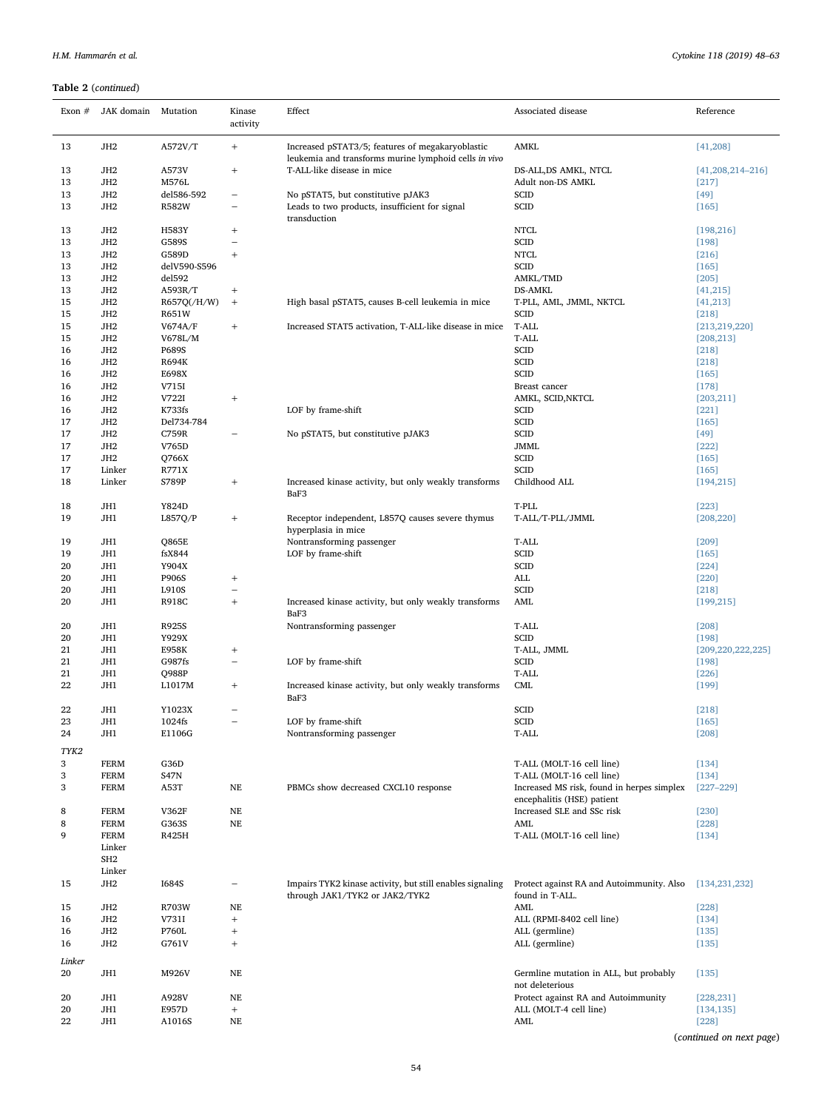## Table 2 (continued)

| Exon $#$ | JAK domain Mutation                |                      | Kinase<br>activity       | Effect                                                                                                    | Associated disease                                                       | Reference                     |
|----------|------------------------------------|----------------------|--------------------------|-----------------------------------------------------------------------------------------------------------|--------------------------------------------------------------------------|-------------------------------|
| 13       | JH <sub>2</sub>                    | A572V/T              | $^{+}$                   | Increased pSTAT3/5; features of megakaryoblastic<br>leukemia and transforms murine lymphoid cells in vivo | AMKL                                                                     | [41, 208]                     |
| 13<br>13 | JH <sub>2</sub><br>JH <sub>2</sub> | A573V<br>M576L       | $\! +$                   | T-ALL-like disease in mice                                                                                | DS-ALL, DS AMKL, NTCL<br>Adult non-DS AMKL                               | $[41,208,214-216]$<br>$[217]$ |
|          |                                    |                      |                          |                                                                                                           |                                                                          |                               |
| 13       | JH <sub>2</sub>                    | del586-592           | $\overline{\phantom{0}}$ | No pSTAT5, but constitutive pJAK3                                                                         | <b>SCID</b>                                                              | $[49]$                        |
| 13       | JH <sub>2</sub>                    | <b>R582W</b>         |                          | Leads to two products, insufficient for signal<br>transduction                                            | <b>SCID</b>                                                              | $[165]$                       |
| 13       | JH <sub>2</sub>                    | H583Y                | $^{+}$                   |                                                                                                           | <b>NTCL</b>                                                              | [198, 216]                    |
| 13       | JH <sub>2</sub>                    | G589S                | $\qquad \qquad -$        |                                                                                                           | <b>SCID</b>                                                              | $[198]$                       |
| 13       | JH <sub>2</sub>                    | G589D                | $\! +$                   |                                                                                                           | <b>NTCL</b>                                                              | $[216]$                       |
| 13       | JH <sub>2</sub>                    | delV590-S596         |                          |                                                                                                           | SCID                                                                     | $[165]$                       |
| 13       | JH <sub>2</sub>                    | del592               |                          |                                                                                                           | AMKL/TMD                                                                 | $[205]$                       |
| 13       | JH <sub>2</sub>                    | A593R/T              |                          |                                                                                                           | <b>DS-AMKL</b>                                                           |                               |
| 15       | JH <sub>2</sub>                    |                      | $^{+}$                   |                                                                                                           |                                                                          | [41, 215]                     |
| 15       | JH <sub>2</sub>                    | R657Q(/H/W)<br>R651W | $\! + \!\!\!\!$          | High basal pSTAT5, causes B-cell leukemia in mice                                                         | T-PLL, AML, JMML, NKTCL<br><b>SCID</b>                                   | [41, 213]<br>$[218]$          |
| 15       | JH <sub>2</sub>                    | V674A/F              | $\! +$                   | Increased STAT5 activation, T-ALL-like disease in mice                                                    | T-ALL                                                                    |                               |
|          |                                    |                      |                          |                                                                                                           |                                                                          | [213, 219, 220]               |
| 15       | JH <sub>2</sub>                    | V678L/M              |                          |                                                                                                           | T-ALL                                                                    | [208, 213]                    |
| 16       | JH <sub>2</sub>                    | P689S                |                          |                                                                                                           | <b>SCID</b>                                                              | $[218]$                       |
| 16       | JH <sub>2</sub>                    | <b>R694K</b>         |                          |                                                                                                           | SCID                                                                     | $[218]$                       |
| 16       | JH <sub>2</sub>                    | E698X                |                          |                                                                                                           | <b>SCID</b>                                                              | [165]                         |
| 16       | JH <sub>2</sub>                    | V715I                |                          |                                                                                                           | Breast cancer                                                            | $[178]$                       |
| 16       | JH <sub>2</sub>                    | V722I                | $\! +$                   |                                                                                                           | AMKL, SCID, NKTCL                                                        | [203, 211]                    |
| 16       | JH <sub>2</sub>                    | K733fs               |                          | LOF by frame-shift                                                                                        | <b>SCID</b>                                                              | $[221]$                       |
| 17       | JH <sub>2</sub>                    | Del734-784           |                          |                                                                                                           | SCID                                                                     | $[165]$                       |
| 17       | JH <sub>2</sub>                    | C759R                |                          | No pSTAT5, but constitutive pJAK3                                                                         | SCID                                                                     | $[49]$                        |
| 17       | JH <sub>2</sub>                    | V765D                |                          |                                                                                                           | <b>JMML</b>                                                              | $[222]$                       |
| 17       | JH <sub>2</sub>                    | Q766X                |                          |                                                                                                           | <b>SCID</b>                                                              | $[165]$                       |
| 17       | Linker                             | R771X                |                          |                                                                                                           | <b>SCID</b>                                                              | $[165]$                       |
| 18       | Linker                             | S789P                | $\! + \!\!\!\!$          | Increased kinase activity, but only weakly transforms<br>BaF3                                             | Childhood ALL                                                            | [194, 215]                    |
| 18       | JH1                                | Y824D                |                          |                                                                                                           | T-PLL                                                                    | $[223]$                       |
| 19       | JH1                                | L857Q/P              | $^{+}$                   | Receptor independent, L857Q causes severe thymus                                                          | T-ALL/T-PLL/JMML                                                         | [208, 220]                    |
|          |                                    |                      |                          | hyperplasia in mice                                                                                       |                                                                          |                               |
| 19       | JH1                                | Q865E                |                          | Nontransforming passenger                                                                                 | T-ALL                                                                    | $[209]$                       |
| 19       | JH1                                | fsX844               |                          | LOF by frame-shift                                                                                        | <b>SCID</b>                                                              | $[165]$                       |
| 20       | JH1                                | Y904X                |                          |                                                                                                           | <b>SCID</b>                                                              | $[224]$                       |
| 20       | JH1                                | P906S                | $^{+}$                   |                                                                                                           | ALL                                                                      | $[220]$                       |
| 20       | JH1                                | L910S                |                          |                                                                                                           | <b>SCID</b>                                                              | $[218]$                       |
| 20       | JH1                                | <b>R918C</b>         | $\! +$                   | Increased kinase activity, but only weakly transforms<br>BaF3                                             | AML                                                                      | [199, 215]                    |
| 20       | JH1                                | R925S                |                          | Nontransforming passenger                                                                                 | T-ALL                                                                    | [208]                         |
| 20       | JH1                                | Y929X                |                          |                                                                                                           | <b>SCID</b>                                                              | $[198]$                       |
| 21       | JH1                                | E958K                | $\! + \!\!\!\!$          |                                                                                                           | T-ALL, JMML                                                              | [209, 220, 222, 225]          |
| 21       | JH1                                | G987fs               | ÷                        | LOF by frame-shift                                                                                        | <b>SCID</b>                                                              | $[198]$                       |
| 21       | JH1                                | Q988P                |                          |                                                                                                           | T-ALL                                                                    | $[226]$                       |
| 22       | JH1                                | L1017M               | $^{+}$                   | Increased kinase activity, but only weakly transforms<br>BaF3                                             | CML                                                                      | $[199]$                       |
| 22       | JH1                                | Y1023X               |                          |                                                                                                           | <b>SCID</b>                                                              | $[218]$                       |
| 23       | JH1                                | 1024fs               |                          | LOF by frame-shift                                                                                        | SCID                                                                     | $[165]$                       |
| 24       | JH1                                | E1106G               |                          | Nontransforming passenger                                                                                 | T-ALL                                                                    | $[208]$                       |
| TYK2     |                                    |                      |                          |                                                                                                           |                                                                          |                               |
| 3        | <b>FERM</b>                        | G36D                 |                          |                                                                                                           | T-ALL (MOLT-16 cell line)                                                | $[134]$                       |
| 3        | <b>FERM</b>                        | <b>S47N</b>          |                          |                                                                                                           | T-ALL (MOLT-16 cell line)                                                | $[134]$                       |
| 3        | <b>FERM</b>                        | A53T                 | $_{\rm NE}$              | PBMCs show decreased CXCL10 response                                                                      | Increased MS risk, found in herpes simplex<br>encephalitis (HSE) patient | $[227 - 229]$                 |
| 8        | <b>FERM</b>                        | V362F                | $\rm NE$                 |                                                                                                           | Increased SLE and SSc risk                                               | [230]                         |
| 8        | <b>FERM</b>                        | G363S                | $_{\rm NE}$              |                                                                                                           | AML                                                                      | $[228]$                       |
| 9        | <b>FERM</b>                        | R425H                |                          |                                                                                                           | T-ALL (MOLT-16 cell line)                                                | $[134]$                       |
|          | Linker                             |                      |                          |                                                                                                           |                                                                          |                               |
|          | SH <sub>2</sub>                    |                      |                          |                                                                                                           |                                                                          |                               |
|          | Linker                             |                      |                          |                                                                                                           |                                                                          |                               |
| 15       | JH <sub>2</sub>                    | <b>I684S</b>         |                          | Impairs TYK2 kinase activity, but still enables signaling<br>through JAK1/TYK2 or JAK2/TYK2               | Protect against RA and Autoimmunity. Also<br>found in T-ALL.             | [134, 231, 232]               |
| 15       | JH <sub>2</sub>                    | R703W                | $_{\rm NE}$              |                                                                                                           | AML                                                                      | $[228]$                       |
| 16       | JH <sub>2</sub>                    | V731I                | $\qquad \qquad +$        |                                                                                                           | ALL (RPMI-8402 cell line)                                                |                               |
| 16       | JH <sub>2</sub>                    |                      |                          |                                                                                                           |                                                                          | $[134]$                       |
|          |                                    | P760L                | $\! + \!\!\!\!$          |                                                                                                           | ALL (germline)                                                           | $[135]$                       |
| 16       | JH <sub>2</sub>                    | G761V                | $\! + \!\!\!\!$          |                                                                                                           | ALL (germline)                                                           | $[135]$                       |
| Linker   |                                    |                      |                          |                                                                                                           |                                                                          |                               |
| 20       | JH1                                | M926V                | $_{\rm NE}$              |                                                                                                           | Germline mutation in ALL, but probably                                   | $[135]$                       |
|          |                                    |                      |                          |                                                                                                           | not deleterious                                                          |                               |
| 20       | JH1                                | A928V                | $_{\rm NE}$              |                                                                                                           | Protect against RA and Autoimmunity                                      | [228, 231]                    |
| 20       | JH1                                | E957D                | $\qquad \qquad +$        |                                                                                                           | ALL (MOLT-4 cell line)                                                   | [134, 135]                    |
| 22       | JH1                                | A1016S               | $\rm NE$                 |                                                                                                           | AML                                                                      | $[228]$                       |

(continued on next page)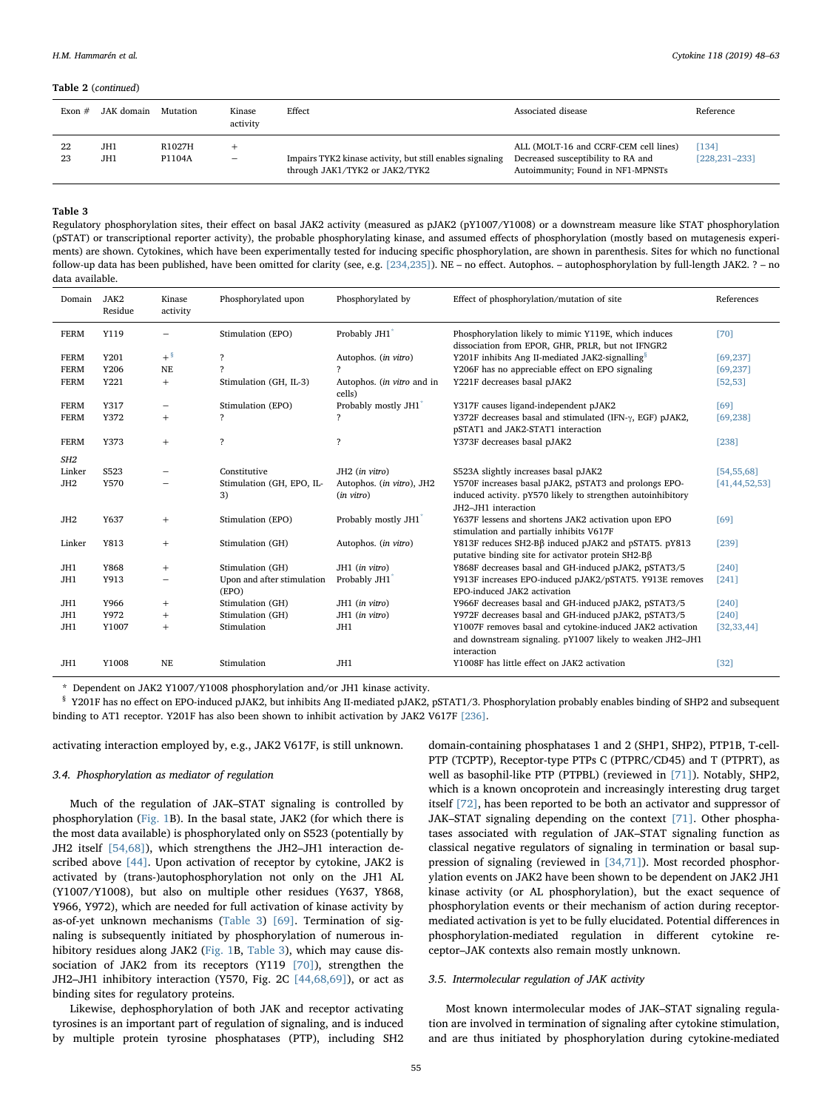### Table 2 (continued)

| Exon $#$ | JAK domain | Mutation         | Kinase<br>activity | Effect                                                                                      | Associated disease                                                                                               | Reference                   |
|----------|------------|------------------|--------------------|---------------------------------------------------------------------------------------------|------------------------------------------------------------------------------------------------------------------|-----------------------------|
| 22<br>23 | JH1<br>JH1 | R1027H<br>P1104A | $\qquad \qquad -$  | Impairs TYK2 kinase activity, but still enables signaling<br>through JAK1/TYK2 or JAK2/TYK2 | ALL (MOLT-16 and CCRF-CEM cell lines)<br>Decreased susceptibility to RA and<br>Autoimmunity; Found in NF1-MPNSTs | [134]<br>$[228, 231 - 233]$ |

## <span id="page-7-0"></span>Table 3

Regulatory phosphorylation sites, their effect on basal JAK2 activity (measured as pJAK2 (pY1007/Y1008) or a downstream measure like STAT phosphorylation (pSTAT) or transcriptional reporter activity), the probable phosphorylating kinase, and assumed effects of phosphorylation (mostly based on mutagenesis experiments) are shown. Cytokines, which have been experimentally tested for inducing specific phosphorylation, are shown in parenthesis. Sites for which no functional follow-up data has been published, have been omitted for clarity (see, e.g. [\[234,235\]](#page-14-31)). NE – no effect. Autophos. – autophosphorylation by full-length JAK2. ? – no data available.

| Domain          | JAK2<br>Residue | Kinase<br>activity       | Phosphorylated upon                 | Phosphorylated by                       | Effect of phosphorylation/mutation of site                                                                                                  | References       |
|-----------------|-----------------|--------------------------|-------------------------------------|-----------------------------------------|---------------------------------------------------------------------------------------------------------------------------------------------|------------------|
| <b>FERM</b>     | Y119            |                          | Stimulation (EPO)                   | Probably JH1                            | Phosphorylation likely to mimic Y119E, which induces<br>dissociation from EPOR, GHR, PRLR, but not IFNGR2                                   | [70]             |
| <b>FERM</b>     | Y201            | $+$ <sup>§</sup>         | $\overline{\phantom{a}}$            | Autophos. (in vitro)                    | Y201F inhibits Ang II-mediated JAK2-signalling <sup>§</sup>                                                                                 | [69, 237]        |
| <b>FERM</b>     | Y206            | NE                       | 2                                   | 2                                       | Y206F has no appreciable effect on EPO signaling                                                                                            | [69, 237]        |
| <b>FERM</b>     | Y221            | $^{+}$                   | Stimulation (GH, IL-3)              | Autophos. (in vitro and in<br>cells)    | Y221F decreases basal pJAK2                                                                                                                 | [52, 53]         |
| <b>FERM</b>     | Y317            | $\overline{\phantom{0}}$ | Stimulation (EPO)                   | Probably mostly JH1                     | Y317F causes ligand-independent pJAK2                                                                                                       | [69]             |
| <b>FERM</b>     | Y372            | $+$                      | ?                                   | $\overline{\mathbf{r}}$                 | Y372F decreases basal and stimulated (IFN- $\gamma$ , EGF) pJAK2,<br>pSTAT1 and JAK2-STAT1 interaction                                      | [69, 238]        |
| <b>FERM</b>     | Y373            | $^{+}$                   | $\overline{\phantom{a}}$            | $\overline{\phantom{a}}$                | Y373F decreases basal pJAK2                                                                                                                 | [238]            |
| SH <sub>2</sub> |                 |                          |                                     |                                         |                                                                                                                                             |                  |
| Linker          | S523            |                          | Constitutive                        | JH2 (in vitro)                          | S523A slightly increases basal pJAK2                                                                                                        | [54, 55, 68]     |
| JH <sub>2</sub> | Y570            |                          | Stimulation (GH, EPO, IL-<br>3)     | Autophos. (in vitro), JH2<br>(in vitro) | Y570F increases basal pJAK2, pSTAT3 and prolongs EPO-<br>induced activity. pY570 likely to strengthen autoinhibitory<br>JH2-JH1 interaction | [41, 44, 52, 53] |
| JH <sub>2</sub> | Y637            | $+$                      | Stimulation (EPO)                   | Probably mostly JH1                     | Y637F lessens and shortens JAK2 activation upon EPO<br>stimulation and partially inhibits V617F                                             | [69]             |
| Linker          | Y813            | $+$                      | Stimulation (GH)                    | Autophos. (in vitro)                    | Y813F reduces SH2-Bβ induced pJAK2 and pSTAT5. pY813<br>putative binding site for activator protein SH2-Bß                                  | $[239]$          |
| JH1             | Y868            | $+$                      | Stimulation (GH)                    | JH1 (in vitro)                          | Y868F decreases basal and GH-induced pJAK2, pSTAT3/5                                                                                        | $[240]$          |
| JH1             | Y913            |                          | Upon and after stimulation<br>(EPO) | Probably JH1                            | Y913F increases EPO-induced pJAK2/pSTAT5. Y913E removes<br>EPO-induced JAK2 activation                                                      | $[241]$          |
| JH1             | Y966            | $+$                      | Stimulation (GH)                    | JH1 (in vitro)                          | Y966F decreases basal and GH-induced pJAK2, pSTAT3/5                                                                                        | $[240]$          |
| JH1             | Y972            | $^{+}$                   | Stimulation (GH)                    | JH1 (in vitro)                          | Y972F decreases basal and GH-induced pJAK2, pSTAT3/5                                                                                        | $[240]$          |
| JH1             | Y1007           | $+$                      | Stimulation                         | JH1                                     | Y1007F removes basal and cytokine-induced JAK2 activation<br>and downstream signaling. pY1007 likely to weaken JH2-JH1<br>interaction       | [32, 33, 44]     |
| JH1             | Y1008           | NE                       | Stimulation                         | JH1                                     | Y1008F has little effect on JAK2 activation                                                                                                 | $[32]$           |

<span id="page-7-1"></span>\* Dependent on JAK2 Y1007/Y1008 phosphorylation and/or JH1 kinase activity.

<span id="page-7-2"></span>§ Y201F has no effect on EPO-induced pJAK2, but inhibits Ang II-mediated pJAK2, pSTAT1/3. Phosphorylation probably enables binding of SHP2 and subsequent binding to AT1 receptor. Y201F has also been shown to inhibit activation by JAK2 V617F [\[236\].](#page-14-36)

activating interaction employed by, e.g., JAK2 V617F, is still unknown.

### 3.4. Phosphorylation as mediator of regulation

Much of the regulation of JAK–STAT signaling is controlled by phosphorylation [\(Fig. 1](#page-2-0)B). In the basal state, JAK2 (for which there is the most data available) is phosphorylated only on S523 (potentially by JH2 itself [\[54,68\]](#page-11-37)), which strengthens the JH2–JH1 interaction described above [\[44\].](#page-11-9) Upon activation of receptor by cytokine, JAK2 is activated by (trans-)autophosphorylation not only on the JH1 AL (Y1007/Y1008), but also on multiple other residues (Y637, Y868, Y966, Y972), which are needed for full activation of kinase activity by as-of-yet unknown mechanisms ([Table 3\)](#page-7-0) [\[69\].](#page-11-38) Termination of signaling is subsequently initiated by phosphorylation of numerous inhibitory residues along JAK2 ([Fig. 1](#page-2-0)B, [Table 3\)](#page-7-0), which may cause dissociation of JAK2 from its receptors (Y119  $[70]$ ), strengthen the JH2–JH1 inhibitory interaction (Y570, Fig. 2C [\[44,68,69\]](#page-11-9)), or act as binding sites for regulatory proteins.

Likewise, dephosphorylation of both JAK and receptor activating tyrosines is an important part of regulation of signaling, and is induced by multiple protein tyrosine phosphatases (PTP), including SH2 domain-containing phosphatases 1 and 2 (SHP1, SHP2), PTP1B, T-cell-PTP (TCPTP), Receptor-type PTPs C (PTPRC/CD45) and T (PTPRT), as well as basophil-like PTP (PTPBL) (reviewed in [\[71\]](#page-11-40)). Notably, SHP2, which is a known oncoprotein and increasingly interesting drug target itself [\[72\],](#page-11-41) has been reported to be both an activator and suppressor of JAK–STAT signaling depending on the context [\[71\].](#page-11-40) Other phosphatases associated with regulation of JAK–STAT signaling function as classical negative regulators of signaling in termination or basal suppression of signaling (reviewed in [\[34,71\]](#page-11-13)). Most recorded phosphorylation events on JAK2 have been shown to be dependent on JAK2 JH1 kinase activity (or AL phosphorylation), but the exact sequence of phosphorylation events or their mechanism of action during receptormediated activation is yet to be fully elucidated. Potential differences in phosphorylation-mediated regulation in different cytokine receptor–JAK contexts also remain mostly unknown.

### 3.5. Intermolecular regulation of JAK activity

Most known intermolecular modes of JAK–STAT signaling regulation are involved in termination of signaling after cytokine stimulation, and are thus initiated by phosphorylation during cytokine-mediated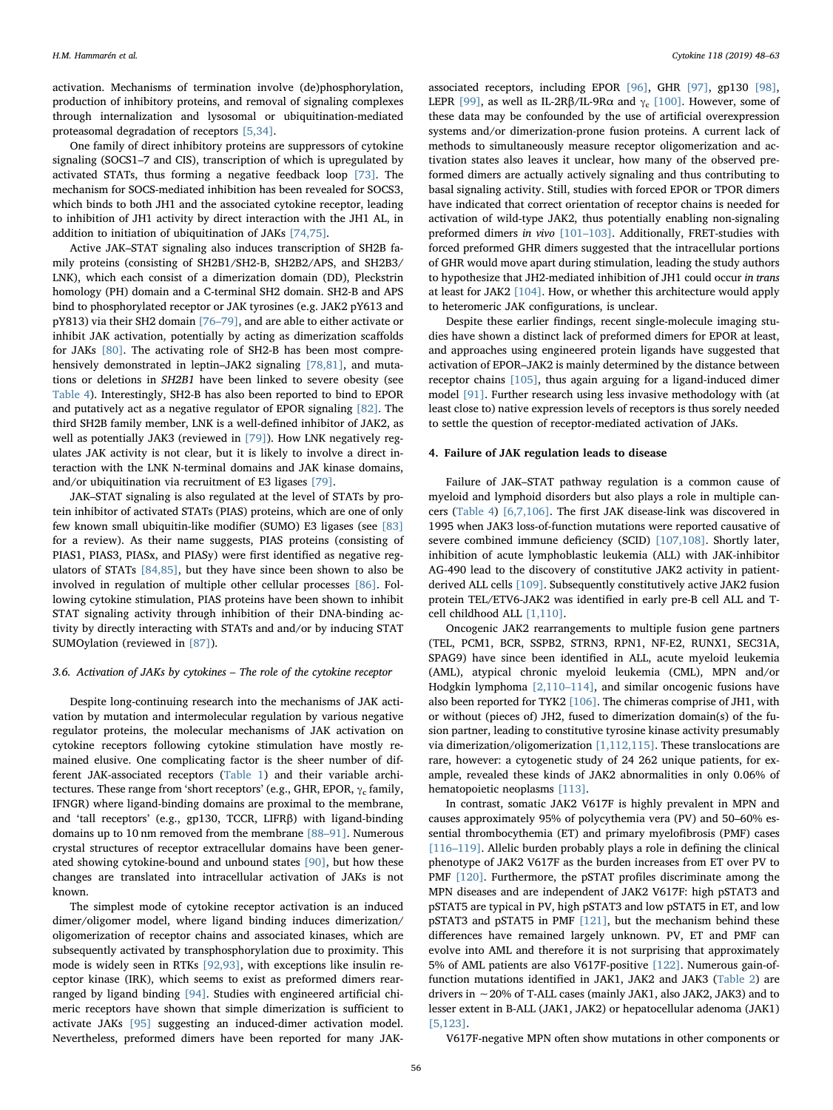activation. Mechanisms of termination involve (de)phosphorylation, production of inhibitory proteins, and removal of signaling complexes through internalization and lysosomal or ubiquitination-mediated proteasomal degradation of receptors [\[5,34\].](#page-10-4)

One family of direct inhibitory proteins are suppressors of cytokine signaling (SOCS1–7 and CIS), transcription of which is upregulated by activated STATs, thus forming a negative feedback loop [\[73\].](#page-11-42) The mechanism for SOCS-mediated inhibition has been revealed for SOCS3, which binds to both JH1 and the associated cytokine receptor, leading to inhibition of JH1 activity by direct interaction with the JH1 AL, in addition to initiation of ubiquitination of JAKs [\[74,75\]](#page-12-4).

Active JAK–STAT signaling also induces transcription of SH2B family proteins (consisting of SH2B1/SH2-B, SH2B2/APS, and SH2B3/ LNK), which each consist of a dimerization domain (DD), Pleckstrin homology (PH) domain and a C-terminal SH2 domain. SH2-B and APS bind to phosphorylated receptor or JAK tyrosines (e.g. JAK2 pY613 and pY813) via their SH2 domain [76–[79\],](#page-12-5) and are able to either activate or inhibit JAK activation, potentially by acting as dimerization scaffolds for JAKs [\[80\]](#page-12-6). The activating role of SH2-B has been most compre-hensively demonstrated in leptin–JAK2 signaling [\[78,81\],](#page-12-7) and mutations or deletions in SH2B1 have been linked to severe obesity (see [Table 4](#page-9-0)). Interestingly, SH2-B has also been reported to bind to EPOR and putatively act as a negative regulator of EPOR signaling [\[82\].](#page-12-8) The third SH2B family member, LNK is a well-defined inhibitor of JAK2, as well as potentially JAK3 (reviewed in [\[79\]\)](#page-12-9). How LNK negatively regulates JAK activity is not clear, but it is likely to involve a direct interaction with the LNK N-terminal domains and JAK kinase domains, and/or ubiquitination via recruitment of E3 ligases [\[79\]](#page-12-9).

JAK–STAT signaling is also regulated at the level of STATs by protein inhibitor of activated STATs (PIAS) proteins, which are one of only few known small ubiquitin-like modifier (SUMO) E3 ligases (see [\[83\]](#page-12-10) for a review). As their name suggests, PIAS proteins (consisting of PIAS1, PIAS3, PIASx, and PIASy) were first identified as negative regulators of STATs [\[84,85\],](#page-12-11) but they have since been shown to also be involved in regulation of multiple other cellular processes [\[86\]](#page-12-12). Following cytokine stimulation, PIAS proteins have been shown to inhibit STAT signaling activity through inhibition of their DNA-binding activity by directly interacting with STATs and and/or by inducing STAT SUMOylation (reviewed in [\[87\]\)](#page-12-13).

### 3.6. Activation of JAKs by cytokines – The role of the cytokine receptor

Despite long-continuing research into the mechanisms of JAK activation by mutation and intermolecular regulation by various negative regulator proteins, the molecular mechanisms of JAK activation on cytokine receptors following cytokine stimulation have mostly remained elusive. One complicating factor is the sheer number of different JAK-associated receptors [\(Table 1\)](#page-1-7) and their variable architectures. These range from 'short receptors' (e.g., GHR, EPOR,  $\gamma_c$  family, IFNGR) where ligand-binding domains are proximal to the membrane, and 'tall receptors' (e.g., gp130, TCCR, LIFRβ) with ligand-binding domains up to 10 nm removed from the membrane [\[88](#page-12-14)–91]. Numerous crystal structures of receptor extracellular domains have been generated showing cytokine-bound and unbound states [\[90\]](#page-12-0), but how these changes are translated into intracellular activation of JAKs is not known.

The simplest mode of cytokine receptor activation is an induced dimer/oligomer model, where ligand binding induces dimerization/ oligomerization of receptor chains and associated kinases, which are subsequently activated by transphosphorylation due to proximity. This mode is widely seen in RTKs [\[92,93\],](#page-12-15) with exceptions like insulin receptor kinase (IRK), which seems to exist as preformed dimers rearranged by ligand binding [\[94\].](#page-12-16) Studies with engineered artificial chimeric receptors have shown that simple dimerization is sufficient to activate JAKs [\[95\]](#page-12-17) suggesting an induced-dimer activation model. Nevertheless, preformed dimers have been reported for many JAK-

associated receptors, including EPOR [\[96\],](#page-12-18) GHR [\[97\],](#page-12-19) gp130 [\[98\]](#page-12-20), LEPR [\[99\],](#page-12-21) as well as IL-2R $\beta$ /IL-9R $\alpha$  and  $\gamma_c$  [\[100\].](#page-12-22) However, some of these data may be confounded by the use of artificial overexpression systems and/or dimerization-prone fusion proteins. A current lack of methods to simultaneously measure receptor oligomerization and activation states also leaves it unclear, how many of the observed preformed dimers are actually actively signaling and thus contributing to basal signaling activity. Still, studies with forced EPOR or TPOR dimers have indicated that correct orientation of receptor chains is needed for activation of wild-type JAK2, thus potentially enabling non-signaling preformed dimers in vivo [101–[103\].](#page-12-23) Additionally, FRET-studies with forced preformed GHR dimers suggested that the intracellular portions of GHR would move apart during stimulation, leading the study authors to hypothesize that JH2-mediated inhibition of JH1 could occur in trans at least for JAK2 [\[104\].](#page-12-24) How, or whether this architecture would apply to heteromeric JAK configurations, is unclear.

Despite these earlier findings, recent single-molecule imaging studies have shown a distinct lack of preformed dimers for EPOR at least, and approaches using engineered protein ligands have suggested that activation of EPOR–JAK2 is mainly determined by the distance between receptor chains [\[105\],](#page-12-25) thus again arguing for a ligand-induced dimer model [\[91\].](#page-12-26) Further research using less invasive methodology with (at least close to) native expression levels of receptors is thus sorely needed to settle the question of receptor-mediated activation of JAKs.

### 4. Failure of JAK regulation leads to disease

Failure of JAK–STAT pathway regulation is a common cause of myeloid and lymphoid disorders but also plays a role in multiple cancers ([Table 4\)](#page-9-0) [\[6,7,106\]](#page-10-10). The first JAK disease-link was discovered in 1995 when JAK3 loss-of-function mutations were reported causative of severe combined immune deficiency (SCID) [\[107,108\].](#page-12-27) Shortly later, inhibition of acute lymphoblastic leukemia (ALL) with JAK-inhibitor AG-490 lead to the discovery of constitutive JAK2 activity in patientderived ALL cells [\[109\].](#page-12-28) Subsequently constitutively active JAK2 fusion protein TEL/ETV6-JAK2 was identified in early pre-B cell ALL and Tcell childhood ALL [\[1,110\].](#page-10-0)

Oncogenic JAK2 rearrangements to multiple fusion gene partners (TEL, PCM1, BCR, SSPB2, STRN3, RPN1, NF-E2, RUNX1, SEC31A, SPAG9) have since been identified in ALL, acute myeloid leukemia (AML), atypical chronic myeloid leukemia (CML), MPN and/or Hodgkin lymphoma [\[2,110](#page-10-1)–114], and similar oncogenic fusions have also been reported for TYK2 [\[106\]](#page-12-29). The chimeras comprise of JH1, with or without (pieces of) JH2, fused to dimerization domain(s) of the fusion partner, leading to constitutive tyrosine kinase activity presumably via dimerization/oligomerization [\[1,112,115\]](#page-10-0). These translocations are rare, however: a cytogenetic study of 24 262 unique patients, for example, revealed these kinds of JAK2 abnormalities in only 0.06% of hematopoietic neoplasms [\[113\]](#page-12-30).

In contrast, somatic JAK2 V617F is highly prevalent in MPN and causes approximately 95% of polycythemia vera (PV) and 50–60% essential thrombocythemia (ET) and primary myelofibrosis (PMF) cases [116–[119\]](#page-12-2). Allelic burden probably plays a role in defining the clinical phenotype of JAK2 V617F as the burden increases from ET over PV to PMF [\[120\].](#page-12-31) Furthermore, the pSTAT profiles discriminate among the MPN diseases and are independent of JAK2 V617F: high pSTAT3 and pSTAT5 are typical in PV, high pSTAT3 and low pSTAT5 in ET, and low pSTAT3 and pSTAT5 in PMF [\[121\]](#page-12-32), but the mechanism behind these differences have remained largely unknown. PV, ET and PMF can evolve into AML and therefore it is not surprising that approximately 5% of AML patients are also V617F-positive [\[122\].](#page-12-33) Numerous gain-offunction mutations identified in JAK1, JAK2 and JAK3 ([Table 2](#page-4-0)) are drivers in ∼20% of T-ALL cases (mainly JAK1, also JAK2, JAK3) and to lesser extent in B-ALL (JAK1, JAK2) or hepatocellular adenoma (JAK1) [\[5,123\].](#page-10-4)

V617F-negative MPN often show mutations in other components or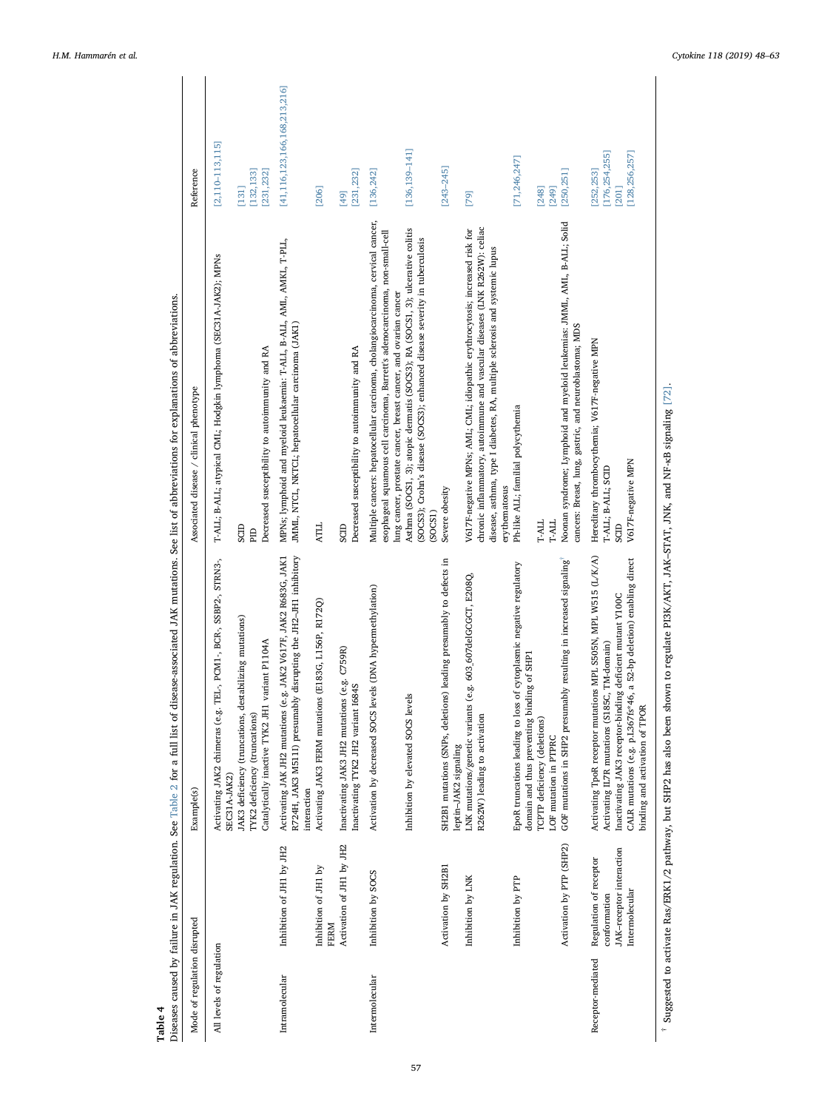<span id="page-9-0"></span>

| Table 4                      |                                                                                      | Diseases caused by failure in JAK regulation. See Table 2 for a full list of disease-associated JAK mutations. See list of abbreviations for explanations of abbreviations.                                                                                                           |                                                                                                                                                                                                                                                                                                                                                                                                                |                                                             |
|------------------------------|--------------------------------------------------------------------------------------|---------------------------------------------------------------------------------------------------------------------------------------------------------------------------------------------------------------------------------------------------------------------------------------|----------------------------------------------------------------------------------------------------------------------------------------------------------------------------------------------------------------------------------------------------------------------------------------------------------------------------------------------------------------------------------------------------------------|-------------------------------------------------------------|
| Mode of regulation disrupted |                                                                                      | Example(s)                                                                                                                                                                                                                                                                            | Associated disease / clinical phenotype                                                                                                                                                                                                                                                                                                                                                                        | Reference                                                   |
| All levels of regulation     |                                                                                      | Activating JAK2 chimeras (e.g. TEL-, PCM1-, BCR-, SSBP2-, STRN3-,<br>JAK3 deficiency (truncations, destabilizing mutations)<br>Catalytically inactive TYK2 JH1 variant P1104A<br>TYK2 deficiency (truncations)<br><b>SEC31A-JAK2</b> )                                                | T-ALL; B-ALL; atypical CML; Hodgkin lymphoma (SEC31A-JAK2); MPNs<br>Decreased susceptibility to autoimmunity and RA<br>SCID<br><b>EID</b>                                                                                                                                                                                                                                                                      | $[2,110 - 113, 115]$<br>[132, 133]<br>[231, 232]<br>$[131]$ |
| Intramolecular               | Activation of JH1 by JH2<br>Inhibition of JHI by JH2<br>Inhibition of JH1 by<br>FERM | R724H, JAK3 M511I) presumably disrupting the JH2-JH1 inhibitory<br>Activating JAK JH2 mutations (e.g. JAK2 V617F, JAK2 R683G, JAK1<br>Activating JAK3 FERM mutations (E183G, L156P, R172Q)<br>(e.g. C759R)<br>Inactivating JAK3 JH2 mutations<br>interaction                          | MPNs; lymphoid and myeloid leukaemia: T-ALL, B-ALL, AML, AMKL, T-PLL,<br>JMML, NTCL, NKTCL; hepatocellular carcinoma (JAK1)<br><b>ATLL</b><br>SCID                                                                                                                                                                                                                                                             | [41, 116, 123, 166, 168, 213, 216]<br>[206]<br>[49]         |
|                              |                                                                                      | Inactivating TYK2 JH2 variant 1684S                                                                                                                                                                                                                                                   | Decreased susceptibility to autoimmunity and RA                                                                                                                                                                                                                                                                                                                                                                | [231, 232]                                                  |
| Intermolecular               | Inhibition by SOCS                                                                   | Activation by decreased SOCS levels (DNA hypermethylation)<br>Inhibition by elevated SOCS levels                                                                                                                                                                                      | Multiple cancers: hepatocellular carcinoma, cholangiocarcinoma, cervical cancer,<br>Asthma (SOCS1, 3); atopic dermatis (SOCS3); RA (SOCS1, 3); ulcerative colitis<br>esophageal squamous cell carcinoma, Barrett's adenocarcinoma, non-small-cell<br>(SOCS3); Crohn's disease (SOCS3); enhanced disease severity in tuberculosis<br>lung cancer, prostate cancer, breast cancer, and ovarian cancer<br>(SOCS1) | $[136, 139 - 141]$<br>[136, 242]                            |
|                              | Activation by SH2B1                                                                  | SH2B1 mutations (SNPs, deletions) leading presumably to defects in<br>leptin-JAK2 signaling                                                                                                                                                                                           | Severe obesity                                                                                                                                                                                                                                                                                                                                                                                                 | $[243 - 245]$                                               |
|                              | Inhibition by LNK                                                                    | (e.g. 603_607delGCGCT, E208Q,<br>LNK mutations/genetic variants<br>R262W) leading to activation                                                                                                                                                                                       | chronic inflammatory, autoimmune and vascular diseases (LNK R262W): celiac<br>V617F-negative MPNs; AML; CML; idiopathic erythrocytosis; increased risk for<br>disease, asthma, type I diabetes, RA, multiple sclerosis and systemic lupus<br>erythematosus                                                                                                                                                     | [79]                                                        |
|                              | Inhibition by PTP                                                                    | of cytoplasmic negative regulatory<br>domain and thus preventing binding of SHP1<br>EpoR truncations leading to loss<br>TCPTP deficiency (deletions)<br>LOF mutation in PTPRC                                                                                                         | Ph-like ALL; familial polycythemia<br>T-ALL<br>T-ALL                                                                                                                                                                                                                                                                                                                                                           | [71, 246, 247]<br>[248]<br>[249]                            |
|                              | Activation by PTP (SHP2)                                                             | GOF mutations in SHP2 presumably resulting in increased signaling                                                                                                                                                                                                                     | Noonan syndrome; Lymphoid and myeloid leukemias: JMML, AML, B-ALL; Solid<br>cancers: Breast, lung, gastric, and neuroblastoma; MDS                                                                                                                                                                                                                                                                             | [250, 251]                                                  |
| Receptor-mediated            | JAK-receptor interaction<br>Regulation of receptor<br>Intermolecular<br>conformation | Activating TpoR receptor mutations MPL S505N, MPL W515 (L/K/A)<br>CALR mutations (e.g. p.1.367fs*46, a 52-bp deletion) enabling direct<br>Inactivating JAK3 receptor-binding deficient mutant Y100C<br>Activating IL7R mutations (S185C, TM-domain)<br>binding and activation of TPOR | Hereditary thrombocythemia; V617F-negative MPN<br>V617F-negative MPN<br>T-ALL; B-ALL; SCID<br>SCID                                                                                                                                                                                                                                                                                                             | [176, 254, 255]<br>[128, 256, 257]<br>[252, 253]<br>[201]   |
|                              |                                                                                      | $\frac{1}{2}$ Suggested to activate Ras/ERK1/2 pathway, but SHP2 has also been shown to regulate PI3K/AKT, JAK-STAT, JNK, and NE-sR signaling [72]                                                                                                                                    |                                                                                                                                                                                                                                                                                                                                                                                                                |                                                             |

<span id="page-9-1"></span>signaling [72]. Suggested to activate Ras/ERK1/2 pathway, but SHP2 has also been shown to regulate PI3K/AKT, JAK–STAT, JNK, and NF-κB signaling [\[72\]](#page-11-41). Õ ż ដ<br>ដ JNK,  $51A1,$ JAK-AKI, ARCIA regulate °, Ξ ous  $be$ n also has Suggested to activate Ras/ERK1/2 pathway, but SHP2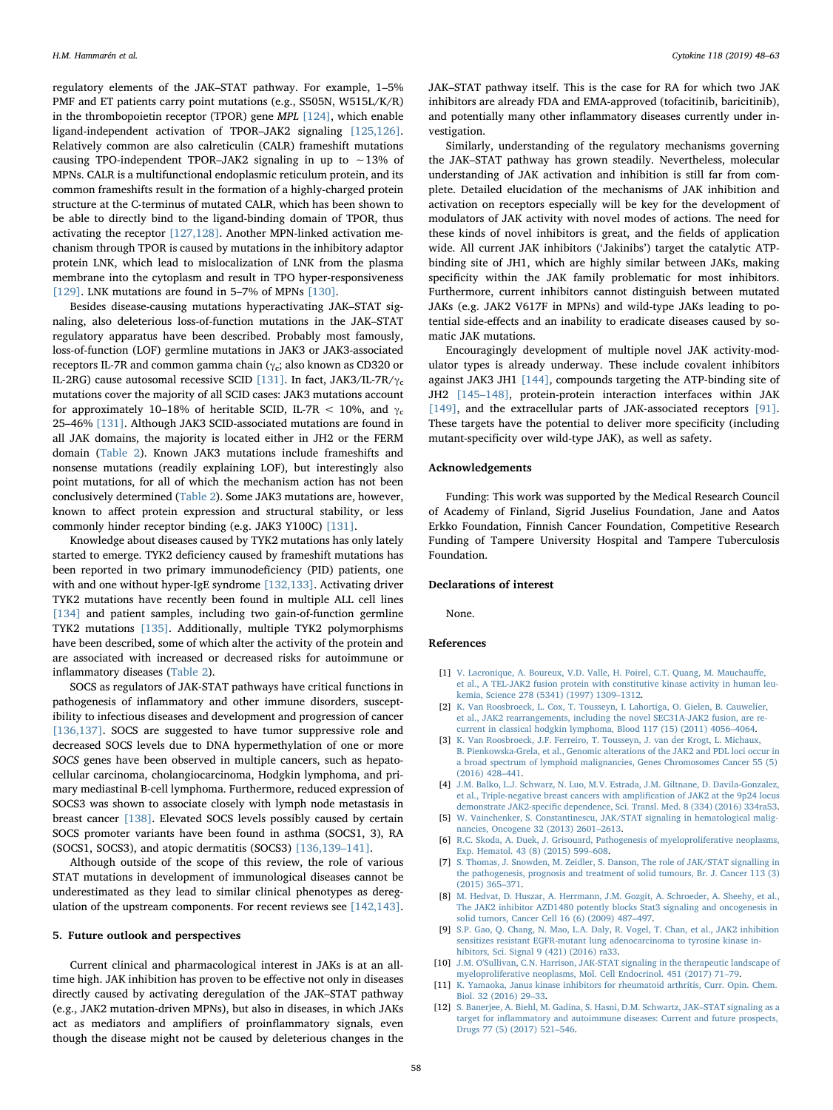regulatory elements of the JAK–STAT pathway. For example, 1–5% PMF and ET patients carry point mutations (e.g., S505N, W515L/K/R) in the thrombopoietin receptor (TPOR) gene MPL [\[124\],](#page-12-35) which enable ligand-independent activation of TPOR–JAK2 signaling [\[125,126\]](#page-12-36). Relatively common are also calreticulin (CALR) frameshift mutations causing TPO-independent TPOR–JAK2 signaling in up to ∼13% of MPNs. CALR is a multifunctional endoplasmic reticulum protein, and its common frameshifts result in the formation of a highly-charged protein structure at the C-terminus of mutated CALR, which has been shown to be able to directly bind to the ligand-binding domain of TPOR, thus activating the receptor [\[127,128\].](#page-12-37) Another MPN-linked activation mechanism through TPOR is caused by mutations in the inhibitory adaptor protein LNK, which lead to mislocalization of LNK from the plasma membrane into the cytoplasm and result in TPO hyper-responsiveness [\[129\].](#page-12-38) LNK mutations are found in 5–7% of MPNs [\[130\]](#page-12-39).

Besides disease-causing mutations hyperactivating JAK–STAT signaling, also deleterious loss-of-function mutations in the JAK–STAT regulatory apparatus have been described. Probably most famously, loss-of-function (LOF) germline mutations in JAK3 or JAK3-associated receptors IL-7R and common gamma chain ( $\gamma_c$ ; also known as CD320 or IL-2RG) cause autosomal recessive SCID [\[131\]](#page-13-28). In fact, JAK3/IL-7R/ $\gamma_c$ mutations cover the majority of all SCID cases: JAK3 mutations account for approximately 10–18% of heritable SCID, IL-7R < 10%, and  $\gamma_c$ 25–46% [\[131\].](#page-13-28) Although JAK3 SCID-associated mutations are found in all JAK domains, the majority is located either in JH2 or the FERM domain ([Table 2](#page-4-0)). Known JAK3 mutations include frameshifts and nonsense mutations (readily explaining LOF), but interestingly also point mutations, for all of which the mechanism action has not been conclusively determined [\(Table 2](#page-4-0)). Some JAK3 mutations are, however, known to affect protein expression and structural stability, or less commonly hinder receptor binding (e.g. JAK3 Y100C) [\[131\].](#page-13-28)

Knowledge about diseases caused by TYK2 mutations has only lately started to emerge. TYK2 deficiency caused by frameshift mutations has been reported in two primary immunodeficiency (PID) patients, one with and one without hyper-IgE syndrome [\[132,133\].](#page-13-29) Activating driver TYK2 mutations have recently been found in multiple ALL cell lines [\[134\]](#page-13-26) and patient samples, including two gain-of-function germline TYK2 mutations [\[135\].](#page-13-27) Additionally, multiple TYK2 polymorphisms have been described, some of which alter the activity of the protein and are associated with increased or decreased risks for autoimmune or inflammatory diseases [\(Table 2\)](#page-4-0).

SOCS as regulators of JAK-STAT pathways have critical functions in pathogenesis of inflammatory and other immune disorders, susceptibility to infectious diseases and development and progression of cancer [\[136,137\].](#page-13-30) SOCS are suggested to have tumor suppressive role and decreased SOCS levels due to DNA hypermethylation of one or more SOCS genes have been observed in multiple cancers, such as hepatocellular carcinoma, cholangiocarcinoma, Hodgkin lymphoma, and primary mediastinal B-cell lymphoma. Furthermore, reduced expression of SOCS3 was shown to associate closely with lymph node metastasis in breast cancer [\[138\].](#page-13-31) Elevated SOCS levels possibly caused by certain SOCS promoter variants have been found in asthma (SOCS1, 3), RA (SOCS1, SOCS3), and atopic dermatitis (SOCS3) [\[136,139](#page-13-30)–141].

Although outside of the scope of this review, the role of various STAT mutations in development of immunological diseases cannot be underestimated as they lead to similar clinical phenotypes as deregulation of the upstream components. For recent reviews see [\[142,143\]](#page-13-32).

## 5. Future outlook and perspectives

Current clinical and pharmacological interest in JAKs is at an alltime high. JAK inhibition has proven to be effective not only in diseases directly caused by activating deregulation of the JAK–STAT pathway (e.g., JAK2 mutation-driven MPNs), but also in diseases, in which JAKs act as mediators and amplifiers of proinflammatory signals, even though the disease might not be caused by deleterious changes in the

JAK–STAT pathway itself. This is the case for RA for which two JAK inhibitors are already FDA and EMA-approved (tofacitinib, baricitinib), and potentially many other inflammatory diseases currently under investigation.

Similarly, understanding of the regulatory mechanisms governing the JAK–STAT pathway has grown steadily. Nevertheless, molecular understanding of JAK activation and inhibition is still far from complete. Detailed elucidation of the mechanisms of JAK inhibition and activation on receptors especially will be key for the development of modulators of JAK activity with novel modes of actions. The need for these kinds of novel inhibitors is great, and the fields of application wide. All current JAK inhibitors ('Jakinibs') target the catalytic ATPbinding site of JH1, which are highly similar between JAKs, making specificity within the JAK family problematic for most inhibitors. Furthermore, current inhibitors cannot distinguish between mutated JAKs (e.g. JAK2 V617F in MPNs) and wild-type JAKs leading to potential side-effects and an inability to eradicate diseases caused by somatic JAK mutations.

Encouragingly development of multiple novel JAK activity-modulator types is already underway. These include covalent inhibitors against JAK3 JH1 [\[144\],](#page-13-33) compounds targeting the ATP-binding site of JH2 [\[145](#page-13-34)–148], protein-protein interaction interfaces within JAK [\[149\],](#page-13-35) and the extracellular parts of JAK-associated receptors [\[91\]](#page-12-26). These targets have the potential to deliver more specificity (including mutant-specificity over wild-type JAK), as well as safety.

### Acknowledgements

Funding: This work was supported by the Medical Research Council of Academy of Finland, Sigrid Juselius Foundation, Jane and Aatos Erkko Foundation, Finnish Cancer Foundation, Competitive Research Funding of Tampere University Hospital and Tampere Tuberculosis Foundation.

## Declarations of interest

None.

## References

- <span id="page-10-0"></span>[1] [V. Lacronique, A. Boureux, V.D. Valle, H. Poirel, C.T. Quang, M. Mauchau](http://refhub.elsevier.com/S1043-4666(18)30127-3/h0005)ffe, [et al., A TEL-JAK2 fusion protein with constitutive kinase activity in human leu](http://refhub.elsevier.com/S1043-4666(18)30127-3/h0005)[kemia, Science 278 \(5341\) \(1997\) 1309](http://refhub.elsevier.com/S1043-4666(18)30127-3/h0005)–1312.
- <span id="page-10-1"></span>[2] [K. Van Roosbroeck, L. Cox, T. Tousseyn, I. Lahortiga, O. Gielen, B. Cauwelier,](http://refhub.elsevier.com/S1043-4666(18)30127-3/h0010) [et al., JAK2 rearrangements, including the novel SEC31A-JAK2 fusion, are re](http://refhub.elsevier.com/S1043-4666(18)30127-3/h0010)[current in classical hodgkin lymphoma, Blood 117 \(15\) \(2011\) 4056](http://refhub.elsevier.com/S1043-4666(18)30127-3/h0010)–4064.
- <span id="page-10-2"></span>[3] [K. Van Roosbroeck, J.F. Ferreiro, T. Tousseyn, J. van der Krogt, L. Michaux,](http://refhub.elsevier.com/S1043-4666(18)30127-3/h0015) [B. Pienkowska-Grela, et al., Genomic alterations of the JAK2 and PDL loci occur in](http://refhub.elsevier.com/S1043-4666(18)30127-3/h0015) [a broad spectrum of lymphoid malignancies, Genes Chromosomes Cancer 55 \(5\)](http://refhub.elsevier.com/S1043-4666(18)30127-3/h0015) [\(2016\) 428](http://refhub.elsevier.com/S1043-4666(18)30127-3/h0015)–441.
- <span id="page-10-3"></span>[4] [J.M. Balko, L.J. Schwarz, N. Luo, M.V. Estrada, J.M. Giltnane, D. Davila-Gonzalez,](http://refhub.elsevier.com/S1043-4666(18)30127-3/h0020) [et al., Triple-negative breast cancers with ampli](http://refhub.elsevier.com/S1043-4666(18)30127-3/h0020)fication of JAK2 at the 9p24 locus demonstrate JAK2-specifi[c dependence, Sci. Transl. Med. 8 \(334\) \(2016\) 334ra53.](http://refhub.elsevier.com/S1043-4666(18)30127-3/h0020)
- <span id="page-10-4"></span>[5] [W. Vainchenker, S. Constantinescu, JAK/STAT signaling in hematological malig](http://refhub.elsevier.com/S1043-4666(18)30127-3/h0025)[nancies, Oncogene 32 \(2013\) 2601](http://refhub.elsevier.com/S1043-4666(18)30127-3/h0025)–2613.
- <span id="page-10-10"></span>[6] [R.C. Skoda, A. Duek, J. Grisouard, Pathogenesis of myeloproliferative neoplasms,](http://refhub.elsevier.com/S1043-4666(18)30127-3/h0030) [Exp. Hematol. 43 \(8\) \(2015\) 599](http://refhub.elsevier.com/S1043-4666(18)30127-3/h0030)–608.
- <span id="page-10-5"></span>[S. Thomas, J. Snowden, M. Zeidler, S. Danson, The role of JAK/STAT signalling in](http://refhub.elsevier.com/S1043-4666(18)30127-3/h0035) [the pathogenesis, prognosis and treatment of solid tumours, Br. J. Cancer 113 \(3\)](http://refhub.elsevier.com/S1043-4666(18)30127-3/h0035) [\(2015\) 365](http://refhub.elsevier.com/S1043-4666(18)30127-3/h0035)–371.
- <span id="page-10-6"></span>[8] [M. Hedvat, D. Huszar, A. Herrmann, J.M. Gozgit, A. Schroeder, A. Sheehy, et al.,](http://refhub.elsevier.com/S1043-4666(18)30127-3/h0040) [The JAK2 inhibitor AZD1480 potently blocks Stat3 signaling and oncogenesis in](http://refhub.elsevier.com/S1043-4666(18)30127-3/h0040) [solid tumors, Cancer Cell 16 \(6\) \(2009\) 487](http://refhub.elsevier.com/S1043-4666(18)30127-3/h0040)–497.
- [9] [S.P. Gao, Q. Chang, N. Mao, L.A. Daly, R. Vogel, T. Chan, et al., JAK2 inhibition](http://refhub.elsevier.com/S1043-4666(18)30127-3/h0045) [sensitizes resistant EGFR-mutant lung adenocarcinoma to tyrosine kinase in](http://refhub.elsevier.com/S1043-4666(18)30127-3/h0045)[hibitors, Sci. Signal 9 \(421\) \(2016\) ra33.](http://refhub.elsevier.com/S1043-4666(18)30127-3/h0045)
- <span id="page-10-7"></span>[10] [J.M. O'Sullivan, C.N. Harrison, JAK-STAT signaling in the therapeutic landscape of](http://refhub.elsevier.com/S1043-4666(18)30127-3/h0050) [myeloproliferative neoplasms, Mol. Cell Endocrinol. 451 \(2017\) 71](http://refhub.elsevier.com/S1043-4666(18)30127-3/h0050)–79.
- <span id="page-10-8"></span>[11] [K. Yamaoka, Janus kinase inhibitors for rheumatoid arthritis, Curr. Opin. Chem.](http://refhub.elsevier.com/S1043-4666(18)30127-3/h0055) [Biol. 32 \(2016\) 29](http://refhub.elsevier.com/S1043-4666(18)30127-3/h0055)–33.
- <span id="page-10-9"></span>[12] [S. Banerjee, A. Biehl, M. Gadina, S. Hasni, D.M. Schwartz, JAK](http://refhub.elsevier.com/S1043-4666(18)30127-3/h0060)–STAT signaling as a target for infl[ammatory and autoimmune diseases: Current and future prospects,](http://refhub.elsevier.com/S1043-4666(18)30127-3/h0060) [Drugs 77 \(5\) \(2017\) 521](http://refhub.elsevier.com/S1043-4666(18)30127-3/h0060)–546.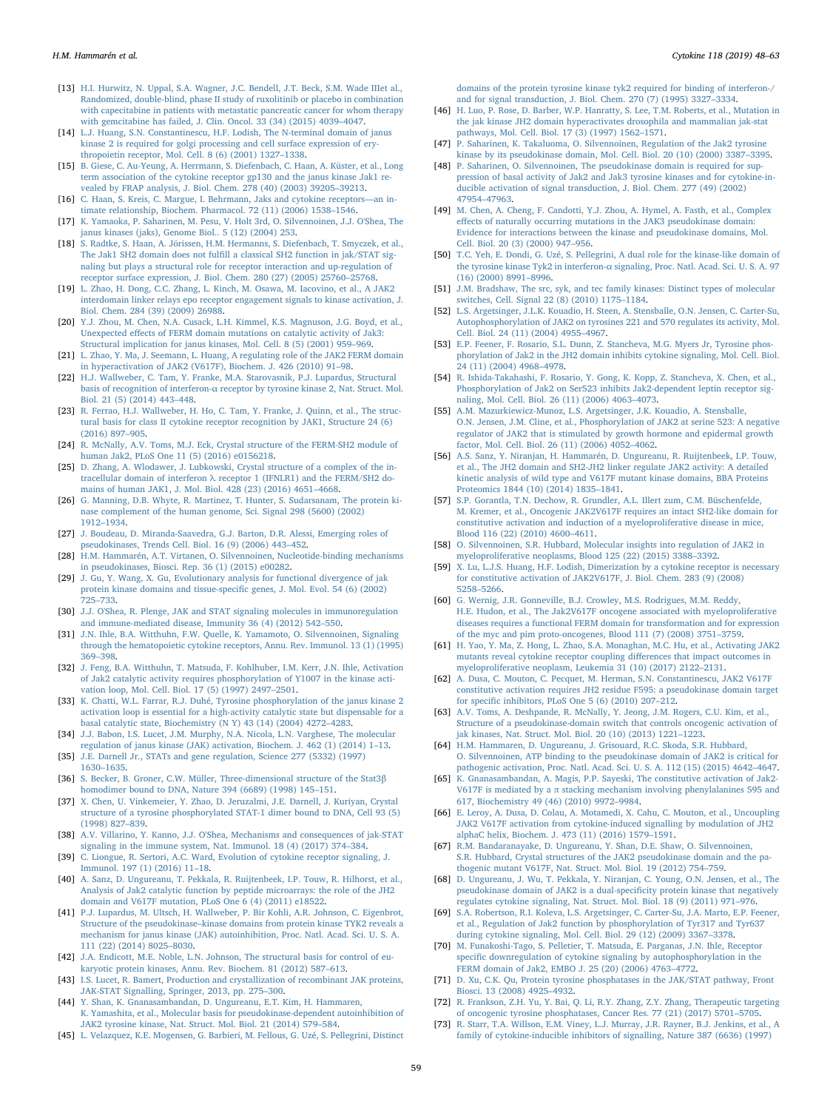- <span id="page-11-0"></span>[13] [H.I. Hurwitz, N. Uppal, S.A. Wagner, J.C. Bendell, J.T. Beck, S.M. Wade IIIet al.,](http://refhub.elsevier.com/S1043-4666(18)30127-3/h0065) [Randomized, double-blind, phase II study of ruxolitinib or placebo in combination](http://refhub.elsevier.com/S1043-4666(18)30127-3/h0065) [with capecitabine in patients with metastatic pancreatic cancer for whom therapy](http://refhub.elsevier.com/S1043-4666(18)30127-3/h0065) [with gemcitabine has failed, J. Clin. Oncol. 33 \(34\) \(2015\) 4039](http://refhub.elsevier.com/S1043-4666(18)30127-3/h0065)–4047.
- <span id="page-11-1"></span>[14] [L.J. Huang, S.N. Constantinescu, H.F. Lodish, The N-terminal domain of janus](http://refhub.elsevier.com/S1043-4666(18)30127-3/h0070) [kinase 2 is required for golgi processing and cell surface expression of ery](http://refhub.elsevier.com/S1043-4666(18)30127-3/h0070)[thropoietin receptor, Mol. Cell. 8 \(6\) \(2001\) 1327](http://refhub.elsevier.com/S1043-4666(18)30127-3/h0070)–1338.
- [15] [B. Giese, C. Au-Yeung, A. Herrmann, S. Diefenbach, C. Haan, A. Küster, et al., Long](http://refhub.elsevier.com/S1043-4666(18)30127-3/h0075) [term association of the cytokine receptor gp130 and the janus kinase Jak1 re](http://refhub.elsevier.com/S1043-4666(18)30127-3/h0075)[vealed by FRAP analysis, J. Biol. Chem. 278 \(40\) \(2003\) 39205](http://refhub.elsevier.com/S1043-4666(18)30127-3/h0075)–39213.
- [16] [C. Haan, S. Kreis, C. Margue, I. Behrmann, Jaks and cytokine receptors](http://refhub.elsevier.com/S1043-4666(18)30127-3/h0080)[timate relationship, Biochem. Pharmacol. 72 \(11\) \(2006\) 1538](http://refhub.elsevier.com/S1043-4666(18)30127-3/h0080)–1546.
- <span id="page-11-2"></span>[17] [K. Yamaoka, P. Saharinen, M. Pesu, V. Holt 3rd, O. Silvennoinen, J.J. O'Shea, The](http://refhub.elsevier.com/S1043-4666(18)30127-3/h0085) [janus kinases \(jaks\), Genome Biol.. 5 \(12\) \(2004\) 253.](http://refhub.elsevier.com/S1043-4666(18)30127-3/h0085)
- <span id="page-11-3"></span>[18] [S. Radtke, S. Haan, A. Jörissen, H.M. Hermanns, S. Diefenbach, T. Smyczek, et al.,](http://refhub.elsevier.com/S1043-4666(18)30127-3/h0090) The Jak1 SH2 domain does not fulfi[ll a classical SH2 function in jak/STAT sig](http://refhub.elsevier.com/S1043-4666(18)30127-3/h0090)[naling but plays a structural role for receptor interaction and up-regulation of](http://refhub.elsevier.com/S1043-4666(18)30127-3/h0090) [receptor surface expression, J. Biol. Chem. 280 \(27\) \(2005\) 25760](http://refhub.elsevier.com/S1043-4666(18)30127-3/h0090)–25768.
- <span id="page-11-27"></span>[19] [L. Zhao, H. Dong, C.C. Zhang, L. Kinch, M. Osawa, M. Iacovino, et al., A JAK2](http://refhub.elsevier.com/S1043-4666(18)30127-3/h0095) [interdomain linker relays epo receptor engagement signals to kinase activation, J.](http://refhub.elsevier.com/S1043-4666(18)30127-3/h0095) [Biol. Chem. 284 \(39\) \(2009\) 26988.](http://refhub.elsevier.com/S1043-4666(18)30127-3/h0095)
- <span id="page-11-4"></span>[20] [Y.J. Zhou, M. Chen, N.A. Cusack, L.H. Kimmel, K.S. Magnuson, J.G. Boyd, et al.,](http://refhub.elsevier.com/S1043-4666(18)30127-3/h0100) Unexpected eff[ects of FERM domain mutations on catalytic activity of Jak3:](http://refhub.elsevier.com/S1043-4666(18)30127-3/h0100) [Structural implication for janus kinases, Mol. Cell. 8 \(5\) \(2001\) 959](http://refhub.elsevier.com/S1043-4666(18)30127-3/h0100)–969.
- [21] [L. Zhao, Y. Ma, J. Seemann, L. Huang, A regulating role of the JAK2 FERM domain](http://refhub.elsevier.com/S1043-4666(18)30127-3/h0105) [in hyperactivation of JAK2 \(V617F\), Biochem. J. 426 \(2010\) 91](http://refhub.elsevier.com/S1043-4666(18)30127-3/h0105)–98.
- <span id="page-11-5"></span>[22] [H.J. Wallweber, C. Tam, Y. Franke, M.A. Starovasnik, P.J. Lupardus, Structural](http://refhub.elsevier.com/S1043-4666(18)30127-3/h0110) basis of recognition of interferon-α [receptor by tyrosine kinase 2, Nat. Struct. Mol.](http://refhub.elsevier.com/S1043-4666(18)30127-3/h0110) [Biol. 21 \(5\) \(2014\) 443](http://refhub.elsevier.com/S1043-4666(18)30127-3/h0110)–448.
- [23] [R. Ferrao, H.J. Wallweber, H. Ho, C. Tam, Y. Franke, J. Quinn, et al., The struc](http://refhub.elsevier.com/S1043-4666(18)30127-3/h0115)[tural basis for class II cytokine receptor recognition by JAK1, Structure 24 \(6\)](http://refhub.elsevier.com/S1043-4666(18)30127-3/h0115) [\(2016\) 897](http://refhub.elsevier.com/S1043-4666(18)30127-3/h0115)–905.
- <span id="page-11-35"></span>[24] [R. McNally, A.V. Toms, M.J. Eck, Crystal structure of the FERM-SH2 module of](http://refhub.elsevier.com/S1043-4666(18)30127-3/h0120) [human Jak2, PLoS One 11 \(5\) \(2016\) e0156218.](http://refhub.elsevier.com/S1043-4666(18)30127-3/h0120)
- [25] [D. Zhang, A. Wlodawer, J. Lubkowski, Crystal structure of a complex of the in](http://refhub.elsevier.com/S1043-4666(18)30127-3/h0125)tracellular domain of interferon λ [receptor 1 \(IFNLR1\) and the FERM/SH2 do](http://refhub.elsevier.com/S1043-4666(18)30127-3/h0125)[mains of human JAK1, J. Mol. Biol. 428 \(23\) \(2016\) 4651](http://refhub.elsevier.com/S1043-4666(18)30127-3/h0125)–4668.
- <span id="page-11-6"></span>[26] [G. Manning, D.B. Whyte, R. Martinez, T. Hunter, S. Sudarsanam, The protein ki](http://refhub.elsevier.com/S1043-4666(18)30127-3/h0130)[nase complement of the human genome, Sci. Signal 298 \(5600\) \(2002\)](http://refhub.elsevier.com/S1043-4666(18)30127-3/h0130) 1912–[1934.](http://refhub.elsevier.com/S1043-4666(18)30127-3/h0130)
- [27] [J. Boudeau, D. Miranda-Saavedra, G.J. Barton, D.R. Alessi, Emerging roles of](http://refhub.elsevier.com/S1043-4666(18)30127-3/h0135) [pseudokinases, Trends Cell. Biol. 16 \(9\) \(2006\) 443](http://refhub.elsevier.com/S1043-4666(18)30127-3/h0135)–452.
- [28] H.M. [Hammarén, A.T. Virtanen, O. Silvennoinen, Nucleotide-binding mechanisms](http://refhub.elsevier.com/S1043-4666(18)30127-3/h0140) [in pseudokinases, Biosci. Rep. 36 \(1\) \(2015\) e00282.](http://refhub.elsevier.com/S1043-4666(18)30127-3/h0140)
- <span id="page-11-7"></span>[29] [J. Gu, Y. Wang, X. Gu, Evolutionary analysis for functional divergence of jak](http://refhub.elsevier.com/S1043-4666(18)30127-3/h0145) [protein kinase domains and tissue-speci](http://refhub.elsevier.com/S1043-4666(18)30127-3/h0145)fic genes, J. Mol. Evol. 54 (6) (2002) 725–[733.](http://refhub.elsevier.com/S1043-4666(18)30127-3/h0145)
- <span id="page-11-8"></span>[30] [J.J. O'Shea, R. Plenge, JAK and STAT signaling molecules in immunoregulation](http://refhub.elsevier.com/S1043-4666(18)30127-3/h0150) [and immune-mediated disease, Immunity 36 \(4\) \(2012\) 542](http://refhub.elsevier.com/S1043-4666(18)30127-3/h0150)–550.
- <span id="page-11-10"></span>[31] [J.N. Ihle, B.A. Witthuhn, F.W. Quelle, K. Yamamoto, O. Silvennoinen, Signaling](http://refhub.elsevier.com/S1043-4666(18)30127-3/h0155) [through the hematopoietic cytokine receptors, Annu. Rev. Immunol. 13 \(1\) \(1995\)](http://refhub.elsevier.com/S1043-4666(18)30127-3/h0155) 369–[398.](http://refhub.elsevier.com/S1043-4666(18)30127-3/h0155)
- <span id="page-11-11"></span>[32] [J. Feng, B.A. Witthuhn, T. Matsuda, F. Kohlhuber, I.M. Kerr, J.N. Ihle, Activation](http://refhub.elsevier.com/S1043-4666(18)30127-3/h0160) [of Jak2 catalytic activity requires phosphorylation of Y1007 in the kinase acti](http://refhub.elsevier.com/S1043-4666(18)30127-3/h0160)[vation loop, Mol. Cell. Biol. 17 \(5\) \(1997\) 2497](http://refhub.elsevier.com/S1043-4666(18)30127-3/h0160)–2501.
- <span id="page-11-12"></span>[33] [K. Chatti, W.L. Farrar, R.J. Duhé, Tyrosine phosphorylation of the janus kinase 2](http://refhub.elsevier.com/S1043-4666(18)30127-3/h0165) [activation loop is essential for a high-activity catalytic state but dispensable for a](http://refhub.elsevier.com/S1043-4666(18)30127-3/h0165) [basal catalytic state, Biochemistry \(N Y\) 43 \(14\) \(2004\) 4272](http://refhub.elsevier.com/S1043-4666(18)30127-3/h0165)–4283.
- <span id="page-11-13"></span>[34] [J.J. Babon, I.S. Lucet, J.M. Murphy, N.A. Nicola, L.N. Varghese, The molecular](http://refhub.elsevier.com/S1043-4666(18)30127-3/h0170) [regulation of janus kinase \(JAK\) activation, Biochem. J. 462 \(1\) \(2014\) 1](http://refhub.elsevier.com/S1043-4666(18)30127-3/h0170)–13.
- <span id="page-11-14"></span>[35] [J.E. Darnell Jr., STATs and gene regulation, Science 277 \(5332\) \(1997\)](http://refhub.elsevier.com/S1043-4666(18)30127-3/h0175) 1630–[1635.](http://refhub.elsevier.com/S1043-4666(18)30127-3/h0175)
- [36] [S. Becker, B. Groner, C.W. Müller, Three-dimensional structure of the Stat3](http://refhub.elsevier.com/S1043-4666(18)30127-3/h0180)β [homodimer bound to DNA, Nature 394 \(6689\) \(1998\) 145](http://refhub.elsevier.com/S1043-4666(18)30127-3/h0180)–151.
- [37] [X. Chen, U. Vinkemeier, Y. Zhao, D. Jeruzalmi, J.E. Darnell, J. Kuriyan, Crystal](http://refhub.elsevier.com/S1043-4666(18)30127-3/h0185) [structure of a tyrosine phosphorylated STAT-1 dimer bound to DNA, Cell 93 \(5\)](http://refhub.elsevier.com/S1043-4666(18)30127-3/h0185) [\(1998\) 827](http://refhub.elsevier.com/S1043-4666(18)30127-3/h0185)–839.
- <span id="page-11-15"></span>[38] [A.V. Villarino, Y. Kanno, J.J. O'Shea, Mechanisms and consequences of jak-STAT](http://refhub.elsevier.com/S1043-4666(18)30127-3/h0190) [signaling in the immune system, Nat. Immunol. 18 \(4\) \(2017\) 374](http://refhub.elsevier.com/S1043-4666(18)30127-3/h0190)–384.
- <span id="page-11-16"></span>[39] [C. Liongue, R. Sertori, A.C. Ward, Evolution of cytokine receptor signaling, J.](http://refhub.elsevier.com/S1043-4666(18)30127-3/h0195) [Immunol. 197 \(1\) \(2016\) 11](http://refhub.elsevier.com/S1043-4666(18)30127-3/h0195)–18.
- <span id="page-11-21"></span>[40] [A. Sanz, D. Ungureanu, T. Pekkala, R. Ruijtenbeek, I.P. Touw, R. Hilhorst, et al.,](http://refhub.elsevier.com/S1043-4666(18)30127-3/h0200) [Analysis of Jak2 catalytic function by peptide microarrays: the role of the JH2](http://refhub.elsevier.com/S1043-4666(18)30127-3/h0200) [domain and V617F mutation, PLoS One 6 \(4\) \(2011\) e18522.](http://refhub.elsevier.com/S1043-4666(18)30127-3/h0200)
- <span id="page-11-24"></span>[41] [P.J. Lupardus, M. Ultsch, H. Wallweber, P. Bir Kohli, A.R. Johnson, C. Eigenbrot,](http://refhub.elsevier.com/S1043-4666(18)30127-3/h0205) Structure of the pseudokinase–[kinase domains from protein kinase TYK2 reveals a](http://refhub.elsevier.com/S1043-4666(18)30127-3/h0205) [mechanism for janus kinase \(JAK\) autoinhibition, Proc. Natl. Acad. Sci. U. S. A.](http://refhub.elsevier.com/S1043-4666(18)30127-3/h0205) [111 \(22\) \(2014\) 8025](http://refhub.elsevier.com/S1043-4666(18)30127-3/h0205)–8030.
- <span id="page-11-17"></span>[42] [J.A. Endicott, M.E. Noble, L.N. Johnson, The structural basis for control of eu](http://refhub.elsevier.com/S1043-4666(18)30127-3/h0210)[karyotic protein kinases, Annu. Rev. Biochem. 81 \(2012\) 587](http://refhub.elsevier.com/S1043-4666(18)30127-3/h0210)–613.
- <span id="page-11-18"></span>[43] I.S. [Lucet, R. Bamert, Production and crystallization of recombinant JAK proteins,](http://refhub.elsevier.com/S1043-4666(18)30127-3/h0215) [JAK-STAT Signalling, Springer, 2013, pp. 275](http://refhub.elsevier.com/S1043-4666(18)30127-3/h0215)–300.
- <span id="page-11-9"></span>[44] [Y. Shan, K. Gnanasambandan, D. Ungureanu, E.T. Kim, H. Hammaren,](http://refhub.elsevier.com/S1043-4666(18)30127-3/h0220) [K. Yamashita, et al., Molecular basis for pseudokinase-dependent autoinhibition of](http://refhub.elsevier.com/S1043-4666(18)30127-3/h0220) [JAK2 tyrosine kinase, Nat. Struct. Mol. Biol. 21 \(2014\) 579](http://refhub.elsevier.com/S1043-4666(18)30127-3/h0220)–584.
- <span id="page-11-19"></span>[45] [L. Velazquez, K.E. Mogensen, G. Barbieri, M. Fellous, G. Uzé, S. Pellegrini, Distinct](http://refhub.elsevier.com/S1043-4666(18)30127-3/h0225)

[domains of the protein tyrosine kinase tyk2 required for binding of interferon-/](http://refhub.elsevier.com/S1043-4666(18)30127-3/h0225) [and for signal transduction, J. Biol. Chem. 270 \(7\) \(1995\) 3327](http://refhub.elsevier.com/S1043-4666(18)30127-3/h0225)–3334.

- <span id="page-11-23"></span>[46] [H. Luo, P. Rose, D. Barber, W.P. Hanratty, S. Lee, T.M. Roberts, et al., Mutation in](http://refhub.elsevier.com/S1043-4666(18)30127-3/h0230) [the jak kinase JH2 domain hyperactivates drosophila and mammalian jak-stat](http://refhub.elsevier.com/S1043-4666(18)30127-3/h0230) [pathways, Mol. Cell. Biol. 17 \(3\) \(1997\) 1562](http://refhub.elsevier.com/S1043-4666(18)30127-3/h0230)–1571.
- <span id="page-11-20"></span>[47] [P. Saharinen, K. Takaluoma, O. Silvennoinen, Regulation of the Jak2 tyrosine](http://refhub.elsevier.com/S1043-4666(18)30127-3/h0235) [kinase by its pseudokinase domain, Mol. Cell. Biol. 20 \(10\) \(2000\) 3387](http://refhub.elsevier.com/S1043-4666(18)30127-3/h0235)–3395.
- <span id="page-11-22"></span>[48] [P. Saharinen, O. Silvennoinen, The pseudokinase domain is required for sup](http://refhub.elsevier.com/S1043-4666(18)30127-3/h0240)[pression of basal activity of Jak2 and Jak3 tyrosine kinases and for cytokine-in](http://refhub.elsevier.com/S1043-4666(18)30127-3/h0240)[ducible activation of signal transduction, J. Biol. Chem. 277 \(49\) \(2002\)](http://refhub.elsevier.com/S1043-4666(18)30127-3/h0240) 47954–[47963.](http://refhub.elsevier.com/S1043-4666(18)30127-3/h0240)
- <span id="page-11-36"></span>[49] [M. Chen, A. Cheng, F. Candotti, Y.J. Zhou, A. Hymel, A. Fasth, et al., Complex](http://refhub.elsevier.com/S1043-4666(18)30127-3/h0245) eff[ects of naturally occurring mutations in the JAK3 pseudokinase domain:](http://refhub.elsevier.com/S1043-4666(18)30127-3/h0245) [Evidence for interactions between the kinase and pseudokinase domains, Mol.](http://refhub.elsevier.com/S1043-4666(18)30127-3/h0245) [Cell. Biol. 20 \(3\) \(2000\) 947](http://refhub.elsevier.com/S1043-4666(18)30127-3/h0245)–956.
- [50] [T.C. Yeh, E. Dondi, G. Uzé, S. Pellegrini, A dual role for the kinase-like domain of](http://refhub.elsevier.com/S1043-4666(18)30127-3/h0250) the tyrosine kinase Tyk2 in interferon-α [signaling, Proc. Natl. Acad. Sci. U. S. A. 97](http://refhub.elsevier.com/S1043-4666(18)30127-3/h0250) [\(16\) \(2000\) 8991](http://refhub.elsevier.com/S1043-4666(18)30127-3/h0250)–8996.
- <span id="page-11-25"></span>[51] [J.M. Bradshaw, The src, syk, and tec family kinases: Distinct types of molecular](http://refhub.elsevier.com/S1043-4666(18)30127-3/h0255) [switches, Cell. Signal 22 \(8\) \(2010\) 1175](http://refhub.elsevier.com/S1043-4666(18)30127-3/h0255)–1184.
- <span id="page-11-26"></span>[52] [L.S. Argetsinger, J.L.K. Kouadio, H. Steen, A. Stensballe, O.N. Jensen, C. Carter-Su,](http://refhub.elsevier.com/S1043-4666(18)30127-3/h0260) [Autophosphorylation of JAK2 on tyrosines 221 and 570 regulates its activity, Mol.](http://refhub.elsevier.com/S1043-4666(18)30127-3/h0260) [Cell. Biol. 24 \(11\) \(2004\) 4955](http://refhub.elsevier.com/S1043-4666(18)30127-3/h0260)–4967.
- [53] [E.P. Feener, F. Rosario, S.L. Dunn, Z. Stancheva, M.G. Myers Jr, Tyrosine phos](http://refhub.elsevier.com/S1043-4666(18)30127-3/h0265)[phorylation of Jak2 in the JH2 domain inhibits cytokine signaling, Mol. Cell. Biol.](http://refhub.elsevier.com/S1043-4666(18)30127-3/h0265) [24 \(11\) \(2004\) 4968](http://refhub.elsevier.com/S1043-4666(18)30127-3/h0265)–4978.
- <span id="page-11-37"></span>[54] [R. Ishida-Takahashi, F. Rosario, Y. Gong, K. Kopp, Z. Stancheva, X. Chen, et al.,](http://refhub.elsevier.com/S1043-4666(18)30127-3/h0270) [Phosphorylation of Jak2 on Ser523 inhibits Jak2-dependent leptin receptor sig](http://refhub.elsevier.com/S1043-4666(18)30127-3/h0270)[naling, Mol. Cell. Biol. 26 \(11\) \(2006\) 4063](http://refhub.elsevier.com/S1043-4666(18)30127-3/h0270)–4073.
- [55] [A.M. Mazurkiewicz-Munoz, L.S. Argetsinger, J.K. Kouadio, A. Stensballe,](http://refhub.elsevier.com/S1043-4666(18)30127-3/h0275) [O.N. Jensen, J.M. Cline, et al., Phosphorylation of JAK2 at serine 523: A negative](http://refhub.elsevier.com/S1043-4666(18)30127-3/h0275) [regulator of JAK2 that is stimulated by growth hormone and epidermal growth](http://refhub.elsevier.com/S1043-4666(18)30127-3/h0275) [factor, Mol. Cell. Biol. 26 \(11\) \(2006\) 4052](http://refhub.elsevier.com/S1043-4666(18)30127-3/h0275)–4062.
- [56] [A.S. Sanz, Y. Niranjan, H. Hammarén, D. Ungureanu, R. Ruijtenbeek, I.P. Touw,](http://refhub.elsevier.com/S1043-4666(18)30127-3/h0280) [et al., The JH2 domain and SH2-JH2 linker regulate JAK2 activity: A detailed](http://refhub.elsevier.com/S1043-4666(18)30127-3/h0280) [kinetic analysis of wild type and V617F mutant kinase domains, BBA Proteins](http://refhub.elsevier.com/S1043-4666(18)30127-3/h0280) [Proteomics 1844 \(10\) \(2014\) 1835](http://refhub.elsevier.com/S1043-4666(18)30127-3/h0280)–1841.
- <span id="page-11-28"></span>[57] S.P. [Gorantla, T.N. Dechow, R. Grundler, A.L. Illert zum, C.M. Büschenfelde,](http://refhub.elsevier.com/S1043-4666(18)30127-3/h0285) [M. Kremer, et al., Oncogenic JAK2V617F requires an intact SH2-like domain for](http://refhub.elsevier.com/S1043-4666(18)30127-3/h0285) [constitutive activation and induction of a myeloproliferative disease in mice,](http://refhub.elsevier.com/S1043-4666(18)30127-3/h0285) [Blood 116 \(22\) \(2010\) 4600](http://refhub.elsevier.com/S1043-4666(18)30127-3/h0285)–4611.
- <span id="page-11-29"></span>[58] [O. Silvennoinen, S.R. Hubbard, Molecular insights into regulation of JAK2 in](http://refhub.elsevier.com/S1043-4666(18)30127-3/h0290) [myeloproliferative neoplasms, Blood 125 \(22\) \(2015\) 3388](http://refhub.elsevier.com/S1043-4666(18)30127-3/h0290)–3392.
- <span id="page-11-30"></span>[59] [X. Lu, L.J.S. Huang, H.F. Lodish, Dimerization by a cytokine receptor is necessary](http://refhub.elsevier.com/S1043-4666(18)30127-3/h0295) [for constitutive activation of JAK2V617F, J. Biol. Chem. 283 \(9\) \(2008\)](http://refhub.elsevier.com/S1043-4666(18)30127-3/h0295) 5258–[5266.](http://refhub.elsevier.com/S1043-4666(18)30127-3/h0295)
- [60] [G. Wernig, J.R. Gonneville, B.J. Crowley, M.S. Rodrigues, M.M. Reddy,](http://refhub.elsevier.com/S1043-4666(18)30127-3/h0300) [H.E. Hudon, et al., The Jak2V617F oncogene associated with myeloproliferative](http://refhub.elsevier.com/S1043-4666(18)30127-3/h0300) [diseases requires a functional FERM domain for transformation and for expression](http://refhub.elsevier.com/S1043-4666(18)30127-3/h0300) [of the myc and pim proto-oncogenes, Blood 111 \(7\) \(2008\) 3751](http://refhub.elsevier.com/S1043-4666(18)30127-3/h0300)–3759.
- [61] [H. Yao, Y. Ma, Z. Hong, L. Zhao, S.A. Monaghan, M.C. Hu, et al., Activating JAK2](http://refhub.elsevier.com/S1043-4666(18)30127-3/h0305) [mutants reveal cytokine receptor coupling di](http://refhub.elsevier.com/S1043-4666(18)30127-3/h0305)fferences that impact outcomes in [myeloproliferative neoplasm, Leukemia 31 \(10\) \(2017\) 2122](http://refhub.elsevier.com/S1043-4666(18)30127-3/h0305)–2131.
- <span id="page-11-31"></span>[62] [A. Dusa, C. Mouton, C. Pecquet, M. Herman, S.N. Constantinescu, JAK2 V617F](http://refhub.elsevier.com/S1043-4666(18)30127-3/h0310) [constitutive activation requires JH2 residue F595: a pseudokinase domain target](http://refhub.elsevier.com/S1043-4666(18)30127-3/h0310) for specifi[c inhibitors, PLoS One 5 \(6\) \(2010\) 207](http://refhub.elsevier.com/S1043-4666(18)30127-3/h0310)–212.
- <span id="page-11-32"></span>[63] [A.V. Toms, A. Deshpande, R. McNally, Y. Jeong, J.M. Rogers, C.U. Kim, et al.,](http://refhub.elsevier.com/S1043-4666(18)30127-3/h0315) [Structure of a pseudokinase-domain switch that controls oncogenic activation of](http://refhub.elsevier.com/S1043-4666(18)30127-3/h0315) [jak kinases, Nat. Struct. Mol. Biol. 20 \(10\) \(2013\) 1221](http://refhub.elsevier.com/S1043-4666(18)30127-3/h0315)–1223.
- <span id="page-11-33"></span>[64] [H.M. Hammaren, D. Ungureanu, J. Grisouard, R.C. Skoda, S.R. Hubbard,](http://refhub.elsevier.com/S1043-4666(18)30127-3/h0320) [O. Silvennoinen, ATP binding to the pseudokinase domain of JAK2 is critical for](http://refhub.elsevier.com/S1043-4666(18)30127-3/h0320) [pathogenic activation, Proc. Natl. Acad. Sci. U. S. A. 112 \(15\) \(2015\) 4642](http://refhub.elsevier.com/S1043-4666(18)30127-3/h0320)–4647.
- [65] [K. Gnanasambandan, A. Magis, P.P. Sayeski, The constitutive activation of Jak2-](http://refhub.elsevier.com/S1043-4666(18)30127-3/h0325) V617F is mediated by a  $\pi$  [stacking mechanism involving phenylalanines 595 and](http://refhub.elsevier.com/S1043-4666(18)30127-3/h0325) [617, Biochemistry 49 \(46\) \(2010\) 9972](http://refhub.elsevier.com/S1043-4666(18)30127-3/h0325)–9984.
- [66] [E. Leroy, A. Dusa, D. Colau, A. Motamedi, X. Cahu, C. Mouton, et al., Uncoupling](http://refhub.elsevier.com/S1043-4666(18)30127-3/h0330) [JAK2 V617F activation from cytokine-induced signalling by modulation of JH2](http://refhub.elsevier.com/S1043-4666(18)30127-3/h0330) [alphaC helix, Biochem. J. 473 \(11\) \(2016\) 1579](http://refhub.elsevier.com/S1043-4666(18)30127-3/h0330)–1591.
- <span id="page-11-34"></span>[67] [R.M. Bandaranayake, D. Ungureanu, Y. Shan, D.E. Shaw, O. Silvennoinen,](http://refhub.elsevier.com/S1043-4666(18)30127-3/h0335) [S.R. Hubbard, Crystal structures of the JAK2 pseudokinase domain and the pa](http://refhub.elsevier.com/S1043-4666(18)30127-3/h0335)[thogenic mutant V617F, Nat. Struct. Mol. Biol. 19 \(2012\) 754](http://refhub.elsevier.com/S1043-4666(18)30127-3/h0335)–759.
- [68] [D. Ungureanu, J. Wu, T. Pekkala, Y. Niranjan, C. Young, O.N. Jensen, et al., The](http://refhub.elsevier.com/S1043-4666(18)30127-3/h0340) [pseudokinase domain of JAK2 is a dual-speci](http://refhub.elsevier.com/S1043-4666(18)30127-3/h0340)ficity protein kinase that negatively [regulates cytokine signaling, Nat. Struct. Mol. Biol. 18 \(9\) \(2011\) 971](http://refhub.elsevier.com/S1043-4666(18)30127-3/h0340)–976.
- <span id="page-11-38"></span>[69] [S.A. Robertson, R.I. Koleva, L.S. Argetsinger, C. Carter-Su, J.A. Marto, E.P. Feener,](http://refhub.elsevier.com/S1043-4666(18)30127-3/h0345) [et al., Regulation of Jak2 function by phosphorylation of Tyr317 and Tyr637](http://refhub.elsevier.com/S1043-4666(18)30127-3/h0345) [during cytokine signaling, Mol. Cell. Biol. 29 \(12\) \(2009\) 3367](http://refhub.elsevier.com/S1043-4666(18)30127-3/h0345)–3378.
- <span id="page-11-39"></span>[70] [M. Funakoshi-Tago, S. Pelletier, T. Matsuda, E. Parganas, J.N. Ihle, Receptor](http://refhub.elsevier.com/S1043-4666(18)30127-3/h0350) specific [downregulation of cytokine signaling by autophosphorylation in the](http://refhub.elsevier.com/S1043-4666(18)30127-3/h0350) [FERM domain of Jak2, EMBO J. 25 \(20\) \(2006\) 4763](http://refhub.elsevier.com/S1043-4666(18)30127-3/h0350)–4772.
- <span id="page-11-40"></span>[71] [D. Xu, C.K. Qu, Protein tyrosine phosphatases in the JAK/STAT pathway, Front](http://refhub.elsevier.com/S1043-4666(18)30127-3/h0355) [Biosci. 13 \(2008\) 4925](http://refhub.elsevier.com/S1043-4666(18)30127-3/h0355)–4932.
- <span id="page-11-41"></span>[72] [R. Frankson, Z.H. Yu, Y. Bai, Q. Li, R.Y. Zhang, Z.Y. Zhang, Therapeutic targeting](http://refhub.elsevier.com/S1043-4666(18)30127-3/h0360) [of oncogenic tyrosine phosphatases, Cancer Res. 77 \(21\) \(2017\) 5701](http://refhub.elsevier.com/S1043-4666(18)30127-3/h0360)–5705.
- <span id="page-11-42"></span>[73] [R. Starr, T.A. Willson, E.M. Viney, L.J. Murray, J.R. Rayner, B.J. Jenkins, et al., A](http://refhub.elsevier.com/S1043-4666(18)30127-3/h0365) [family of cytokine-inducible inhibitors of signalling, Nature 387 \(6636\) \(1997\)](http://refhub.elsevier.com/S1043-4666(18)30127-3/h0365)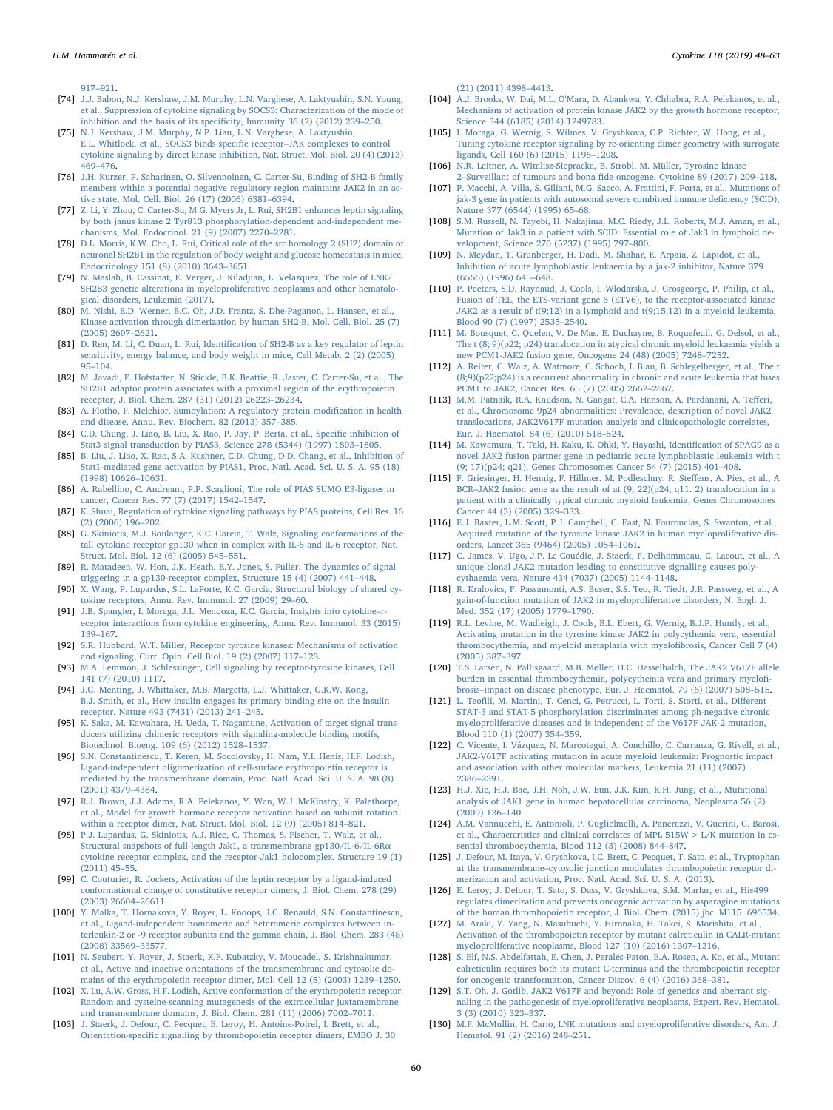H.M. Hammarén et al. *Cytokine 118 (2019) 48–63*

917–[921.](http://refhub.elsevier.com/S1043-4666(18)30127-3/h0365)

- <span id="page-12-4"></span>[74] [J.J. Babon, N.J. Kershaw, J.M. Murphy, L.N. Varghese, A. Laktyushin, S.N. Young,](http://refhub.elsevier.com/S1043-4666(18)30127-3/h0370) [et al., Suppression of cytokine signaling by SOCS3: Characterization of the mode of](http://refhub.elsevier.com/S1043-4666(18)30127-3/h0370) [inhibition and the basis of its speci](http://refhub.elsevier.com/S1043-4666(18)30127-3/h0370)ficity, Immunity 36 (2) (2012) 239–250.
- [75] [N.J. Kershaw, J.M. Murphy, N.P. Liau, L.N. Varghese, A. Laktyushin,](http://refhub.elsevier.com/S1043-4666(18)30127-3/h0375) [E.L. Whitlock, et al., SOCS3 binds speci](http://refhub.elsevier.com/S1043-4666(18)30127-3/h0375)fic receptor–JAK complexes to control [cytokine signaling by direct kinase inhibition, Nat. Struct. Mol. Biol. 20 \(4\) \(2013\)](http://refhub.elsevier.com/S1043-4666(18)30127-3/h0375) 469–[476.](http://refhub.elsevier.com/S1043-4666(18)30127-3/h0375)
- <span id="page-12-5"></span>[76] [J.H. Kurzer, P. Saharinen, O. Silvennoinen, C. Carter-Su, Binding of SH2-B family](http://refhub.elsevier.com/S1043-4666(18)30127-3/h0380) [members within a potential negative regulatory region maintains JAK2 in an ac](http://refhub.elsevier.com/S1043-4666(18)30127-3/h0380)[tive state, Mol. Cell. Biol. 26 \(17\) \(2006\) 6381](http://refhub.elsevier.com/S1043-4666(18)30127-3/h0380)–6394.
- [77] [Z. Li, Y. Zhou, C. Carter-Su, M.G. Myers Jr, L. Rui, SH2B1 enhances leptin signaling](http://refhub.elsevier.com/S1043-4666(18)30127-3/h0385) [by both janus kinase 2 Tyr813 phosphorylation-dependent and-independent me](http://refhub.elsevier.com/S1043-4666(18)30127-3/h0385)[chanisms, Mol. Endocrinol. 21 \(9\) \(2007\) 2270](http://refhub.elsevier.com/S1043-4666(18)30127-3/h0385)–2281.
- <span id="page-12-7"></span>[78] [D.L. Morris, K.W. Cho, L. Rui, Critical role of the src homology 2 \(SH2\) domain of](http://refhub.elsevier.com/S1043-4666(18)30127-3/h0390) [neuronal SH2B1 in the regulation of body weight and glucose homeostasis in mice,](http://refhub.elsevier.com/S1043-4666(18)30127-3/h0390) [Endocrinology 151 \(8\) \(2010\) 3643](http://refhub.elsevier.com/S1043-4666(18)30127-3/h0390)–3651.
- <span id="page-12-9"></span>[79] [N. Maslah, B. Cassinat, E. Verger, J. Kiladjian, L. Velazquez, The role of LNK/](http://refhub.elsevier.com/S1043-4666(18)30127-3/h0395) [SH2B3 genetic alterations in myeloproliferative neoplasms and other hematolo](http://refhub.elsevier.com/S1043-4666(18)30127-3/h0395)[gical disorders, Leukemia \(2017\).](http://refhub.elsevier.com/S1043-4666(18)30127-3/h0395)
- <span id="page-12-6"></span>[80] [M. Nishi, E.D. Werner, B.C. Oh, J.D. Frantz, S. Dhe-Paganon, L. Hansen, et al.,](http://refhub.elsevier.com/S1043-4666(18)30127-3/h0400) [Kinase activation through dimerization by human SH2-B, Mol. Cell. Biol. 25 \(7\)](http://refhub.elsevier.com/S1043-4666(18)30127-3/h0400) [\(2005\) 2607](http://refhub.elsevier.com/S1043-4666(18)30127-3/h0400)–2621.
- [81] D. Ren, M. Li, C. Duan, L. Rui, Identifi[cation of SH2-B as a key regulator of leptin](http://refhub.elsevier.com/S1043-4666(18)30127-3/h0405) [sensitivity, energy balance, and body weight in mice, Cell Metab. 2 \(2\) \(2005\)](http://refhub.elsevier.com/S1043-4666(18)30127-3/h0405) 95–[104.](http://refhub.elsevier.com/S1043-4666(18)30127-3/h0405)
- <span id="page-12-8"></span>[82] [M. Javadi, E. Hofstatter, N. Stickle, B.K. Beattie, R. Jaster, C. Carter-Su, et al., The](http://refhub.elsevier.com/S1043-4666(18)30127-3/h0410) [SH2B1 adaptor protein associates with a proximal region of the erythropoietin](http://refhub.elsevier.com/S1043-4666(18)30127-3/h0410) [receptor, J. Biol. Chem. 287 \(31\) \(2012\) 26223](http://refhub.elsevier.com/S1043-4666(18)30127-3/h0410)–26234.
- <span id="page-12-10"></span>[83] [A. Flotho, F. Melchior, Sumoylation: A regulatory protein modi](http://refhub.elsevier.com/S1043-4666(18)30127-3/h0415)fication in health [and disease, Annu. Rev. Biochem. 82 \(2013\) 357](http://refhub.elsevier.com/S1043-4666(18)30127-3/h0415)–385.
- <span id="page-12-11"></span>[84] [C.D. Chung, J. Liao, B. Liu, X. Rao, P. Jay, P. Berta, et al., Speci](http://refhub.elsevier.com/S1043-4666(18)30127-3/h0420)fic inhibition of [Stat3 signal transduction by PIAS3, Science 278 \(5344\) \(1997\) 1803](http://refhub.elsevier.com/S1043-4666(18)30127-3/h0420)–1805.
- [85] [B. Liu, J. Liao, X. Rao, S.A. Kushner, C.D. Chung, D.D. Chang, et al., Inhibition of](http://refhub.elsevier.com/S1043-4666(18)30127-3/h0425) [Stat1-mediated gene activation by PIAS1, Proc. Natl. Acad. Sci. U. S. A. 95 \(18\)](http://refhub.elsevier.com/S1043-4666(18)30127-3/h0425) [\(1998\) 10626](http://refhub.elsevier.com/S1043-4666(18)30127-3/h0425)–10631.
- <span id="page-12-12"></span>[86] [A. Rabellino, C. Andreani, P.P. Scaglioni, The role of PIAS SUMO E3-ligases in](http://refhub.elsevier.com/S1043-4666(18)30127-3/h0430) [cancer, Cancer Res. 77 \(7\) \(2017\) 1542](http://refhub.elsevier.com/S1043-4666(18)30127-3/h0430)–1547.
- <span id="page-12-13"></span>[87] K. [Shuai, Regulation of cytokine signaling pathways by PIAS proteins, Cell Res. 16](http://refhub.elsevier.com/S1043-4666(18)30127-3/h0435) [\(2\) \(2006\) 196](http://refhub.elsevier.com/S1043-4666(18)30127-3/h0435)–202.
- <span id="page-12-14"></span>[88] [G. Skiniotis, M.J. Boulanger, K.C. Garcia, T. Walz, Signaling conformations of the](http://refhub.elsevier.com/S1043-4666(18)30127-3/h0440) [tall cytokine receptor gp130 when in complex with IL-6 and IL-6 receptor, Nat.](http://refhub.elsevier.com/S1043-4666(18)30127-3/h0440) [Struct. Mol. Biol. 12 \(6\) \(2005\) 545](http://refhub.elsevier.com/S1043-4666(18)30127-3/h0440)–551.
- [89] [R. Matadeen, W. Hon, J.K. Heath, E.Y. Jones, S. Fuller, The dynamics of signal](http://refhub.elsevier.com/S1043-4666(18)30127-3/h0445) [triggering in a gp130-receptor complex, Structure 15 \(4\) \(2007\) 441](http://refhub.elsevier.com/S1043-4666(18)30127-3/h0445)–448.
- <span id="page-12-0"></span>[90] [X. Wang, P. Lupardus, S.L. LaPorte, K.C. Garcia, Structural biology of shared cy](http://refhub.elsevier.com/S1043-4666(18)30127-3/h0450)[tokine receptors, Annu. Rev. Immunol. 27 \(2009\) 29](http://refhub.elsevier.com/S1043-4666(18)30127-3/h0450)–60.
- <span id="page-12-26"></span>[91] [J.B. Spangler, I. Moraga, J.L. Mendoza, K.C. Garcia, Insights into cytokine](http://refhub.elsevier.com/S1043-4666(18)30127-3/h0455)–r [eceptor interactions from cytokine engineering, Annu. Rev. Immunol. 33 \(2015\)](http://refhub.elsevier.com/S1043-4666(18)30127-3/h0455) 139–[167.](http://refhub.elsevier.com/S1043-4666(18)30127-3/h0455)
- <span id="page-12-15"></span>[92] [S.R. Hubbard, W.T. Miller, Receptor tyrosine kinases: Mechanisms of activation](http://refhub.elsevier.com/S1043-4666(18)30127-3/h0460) [and signaling, Curr. Opin. Cell Biol. 19 \(2\) \(2007\) 117](http://refhub.elsevier.com/S1043-4666(18)30127-3/h0460)–123.
- [93] [M.A. Lemmon, J. Schlessinger, Cell signaling by receptor-tyrosine kinases, Cell](http://refhub.elsevier.com/S1043-4666(18)30127-3/h0465) [141 \(7\) \(2010\) 1117.](http://refhub.elsevier.com/S1043-4666(18)30127-3/h0465)
- <span id="page-12-16"></span>[94] [J.G. Menting, J. Whittaker, M.B. Margetts, L.J. Whittaker, G.K.W. Kong,](http://refhub.elsevier.com/S1043-4666(18)30127-3/h0470) [B.J. Smith, et al., How insulin engages its primary binding site on the insulin](http://refhub.elsevier.com/S1043-4666(18)30127-3/h0470) [receptor, Nature 493 \(7431\) \(2013\) 241](http://refhub.elsevier.com/S1043-4666(18)30127-3/h0470)–245.
- <span id="page-12-17"></span>[95] [K. Saka, M. Kawahara, H. Ueda, T. Nagamune, Activation of target signal trans](http://refhub.elsevier.com/S1043-4666(18)30127-3/h0475)[ducers utilizing chimeric receptors with signaling-molecule binding motifs,](http://refhub.elsevier.com/S1043-4666(18)30127-3/h0475) [Biotechnol. Bioeng. 109 \(6\) \(2012\) 1528](http://refhub.elsevier.com/S1043-4666(18)30127-3/h0475)–1537.
- <span id="page-12-18"></span>[96] [S.N. Constantinescu, T. Keren, M. Socolovsky, H. Nam, Y.I. Henis, H.F. Lodish,](http://refhub.elsevier.com/S1043-4666(18)30127-3/h0480) [Ligand-independent oligomerization of cell-surface erythropoietin receptor is](http://refhub.elsevier.com/S1043-4666(18)30127-3/h0480) [mediated by the transmembrane domain, Proc. Natl. Acad. Sci. U. S. A. 98 \(8\)](http://refhub.elsevier.com/S1043-4666(18)30127-3/h0480) [\(2001\) 4379](http://refhub.elsevier.com/S1043-4666(18)30127-3/h0480)–4384.
- <span id="page-12-19"></span>[97] [R.J. Brown, J.J. Adams, R.A. Pelekanos, Y. Wan, W.J. McKinstry, K. Palethorpe,](http://refhub.elsevier.com/S1043-4666(18)30127-3/h0485) [et al., Model for growth hormone receptor activation based on subunit rotation](http://refhub.elsevier.com/S1043-4666(18)30127-3/h0485) [within a receptor dimer, Nat. Struct. Mol. Biol. 12 \(9\) \(2005\) 814](http://refhub.elsevier.com/S1043-4666(18)30127-3/h0485)–821.
- <span id="page-12-20"></span>[98] [P.J. Lupardus, G. Skiniotis, A.J. Rice, C. Thomas, S. Fischer, T. Walz, et al.,](http://refhub.elsevier.com/S1043-4666(18)30127-3/h0490) [Structural snapshots of full-length Jak1, a transmembrane gp130/IL-6/IL-6R](http://refhub.elsevier.com/S1043-4666(18)30127-3/h0490)α [cytokine receptor complex, and the receptor-Jak1 holocomplex, Structure 19 \(1\)](http://refhub.elsevier.com/S1043-4666(18)30127-3/h0490) [\(2011\) 45](http://refhub.elsevier.com/S1043-4666(18)30127-3/h0490)–55.
- <span id="page-12-21"></span>[99] [C. Couturier, R. Jockers, Activation of the leptin receptor by a ligand-induced](http://refhub.elsevier.com/S1043-4666(18)30127-3/h0495) [conformational change of constitutive receptor dimers, J. Biol. Chem. 278 \(29\)](http://refhub.elsevier.com/S1043-4666(18)30127-3/h0495) [\(2003\) 26604](http://refhub.elsevier.com/S1043-4666(18)30127-3/h0495)–26611.
- <span id="page-12-22"></span>[100] [Y. Malka, T. Hornakova, Y. Royer, L. Knoops, J.C. Renauld, S.N. Constantinescu,](http://refhub.elsevier.com/S1043-4666(18)30127-3/h0500) [et al., Ligand-independent homomeric and heteromeric complexes between in](http://refhub.elsevier.com/S1043-4666(18)30127-3/h0500)[terleukin-2 or -9 receptor subunits and the gamma chain, J. Biol. Chem. 283 \(48\)](http://refhub.elsevier.com/S1043-4666(18)30127-3/h0500) [\(2008\) 33569](http://refhub.elsevier.com/S1043-4666(18)30127-3/h0500)–33577.
- <span id="page-12-23"></span>[101] [N. Seubert, Y. Royer, J. Staerk, K.F. Kubatzky, V. Moucadel, S. Krishnakumar,](http://refhub.elsevier.com/S1043-4666(18)30127-3/h0505) [et al., Active and inactive orientations of the transmembrane and cytosolic do](http://refhub.elsevier.com/S1043-4666(18)30127-3/h0505)[mains of the erythropoietin receptor dimer, Mol. Cell 12 \(5\) \(2003\) 1239](http://refhub.elsevier.com/S1043-4666(18)30127-3/h0505)–1250.
- [102] X. [Lu, A.W. Gross, H.F. Lodish, Active conformation of the erythropoietin receptor:](http://refhub.elsevier.com/S1043-4666(18)30127-3/h0510) [Random and cysteine-scanning mutagenesis of the extracellular juxtamembrane](http://refhub.elsevier.com/S1043-4666(18)30127-3/h0510) [and transmembrane domains, J. Biol. Chem. 281 \(11\) \(2006\) 7002](http://refhub.elsevier.com/S1043-4666(18)30127-3/h0510)–7011.
- [103] [J. Staerk, J. Defour, C. Pecquet, E. Leroy, H. Antoine-Poirel, I. Brett, et al.,](http://refhub.elsevier.com/S1043-4666(18)30127-3/h0515) Orientation-specifi[c signalling by thrombopoietin receptor dimers, EMBO J. 30](http://refhub.elsevier.com/S1043-4666(18)30127-3/h0515)

[\(21\) \(2011\) 4398](http://refhub.elsevier.com/S1043-4666(18)30127-3/h0515)–4413.

- <span id="page-12-24"></span>[104] [A.J. Brooks, W. Dai, M.L. O'Mara, D. Abankwa, Y. Chhabra, R.A. Pelekanos, et al.,](http://refhub.elsevier.com/S1043-4666(18)30127-3/h0520) [Mechanism of activation of protein kinase JAK2 by the growth hormone receptor,](http://refhub.elsevier.com/S1043-4666(18)30127-3/h0520) [Science 344 \(6185\) \(2014\) 1249783.](http://refhub.elsevier.com/S1043-4666(18)30127-3/h0520)
- <span id="page-12-25"></span>[105] [I. Moraga, G. Wernig, S. Wilmes, V. Gryshkova, C.P. Richter, W. Hong, et al.,](http://refhub.elsevier.com/S1043-4666(18)30127-3/h0525) [Tuning cytokine receptor signaling by re-orienting dimer geometry with surrogate](http://refhub.elsevier.com/S1043-4666(18)30127-3/h0525) [ligands, Cell 160 \(6\) \(2015\) 1196](http://refhub.elsevier.com/S1043-4666(18)30127-3/h0525)–1208.
- <span id="page-12-29"></span>[106] [N.R. Leitner, A. Witalisz-Siepracka, B. Strobl, M. Müller, Tyrosine kinase](http://refhub.elsevier.com/S1043-4666(18)30127-3/h0530) 2–Surveillant of tumours and bona fi[de oncogene, Cytokine 89 \(2017\) 209](http://refhub.elsevier.com/S1043-4666(18)30127-3/h0530)–218.
- <span id="page-12-27"></span>[107] [P. Macchi, A. Villa, S. Giliani, M.G. Sacco, A. Frattini, F. Porta, et al., Mutations of](http://refhub.elsevier.com/S1043-4666(18)30127-3/h0535) [jak-3 gene in patients with autosomal severe combined immune de](http://refhub.elsevier.com/S1043-4666(18)30127-3/h0535)ficiency (SCID), [Nature 377 \(6544\) \(1995\) 65](http://refhub.elsevier.com/S1043-4666(18)30127-3/h0535)–68.
- <span id="page-12-3"></span>[108] [S.M. Russell, N. Tayebi, H. Nakajima, M.C. Riedy, J.L. Roberts, M.J. Aman, et al.,](http://refhub.elsevier.com/S1043-4666(18)30127-3/h0540) [Mutation of Jak3 in a patient with SCID: Essential role of Jak3 in lymphoid de](http://refhub.elsevier.com/S1043-4666(18)30127-3/h0540)[velopment, Science 270 \(5237\) \(1995\) 797](http://refhub.elsevier.com/S1043-4666(18)30127-3/h0540)–800.
- <span id="page-12-28"></span>[109] [N. Meydan, T. Grunberger, H. Dadi, M. Shahar, E. Arpaia, Z. Lapidot, et al.,](http://refhub.elsevier.com/S1043-4666(18)30127-3/h0545) [Inhibition of acute lymphoblastic leukaemia by a jak-2 inhibitor, Nature 379](http://refhub.elsevier.com/S1043-4666(18)30127-3/h0545) [\(6566\) \(1996\) 645](http://refhub.elsevier.com/S1043-4666(18)30127-3/h0545)–648.
- [110] [P. Peeters, S.D. Raynaud, J. Cools, I. Wlodarska, J. Grosgeorge, P. Philip, et al.,](http://refhub.elsevier.com/S1043-4666(18)30127-3/h0550) [Fusion of TEL, the ETS-variant gene 6 \(ETV6\), to the receptor-associated kinase](http://refhub.elsevier.com/S1043-4666(18)30127-3/h0550) [JAK2 as a result of t\(9;12\) in a lymphoid and t\(9;15;12\) in a myeloid leukemia,](http://refhub.elsevier.com/S1043-4666(18)30127-3/h0550) [Blood 90 \(7\) \(1997\) 2535](http://refhub.elsevier.com/S1043-4666(18)30127-3/h0550)–2540.
- [111] [M. Bousquet, C. Quelen, V. De Mas, E. Duchayne, B. Roquefeuil, G. Delsol, et al.,](http://refhub.elsevier.com/S1043-4666(18)30127-3/h0555) [The t \(8; 9\)\(p22; p24\) translocation in atypical chronic myeloid leukaemia yields a](http://refhub.elsevier.com/S1043-4666(18)30127-3/h0555) [new PCM1-JAK2 fusion gene, Oncogene 24 \(48\) \(2005\) 7248](http://refhub.elsevier.com/S1043-4666(18)30127-3/h0555)–7252.
- [112] [A. Reiter, C. Walz, A. Watmore, C. Schoch, I. Blau, B. Schlegelberger, et al., The t](http://refhub.elsevier.com/S1043-4666(18)30127-3/h0560) [\(8;9\)\(p22;p24\) is a recurrent abnormality in chronic and acute leukemia that fuses](http://refhub.elsevier.com/S1043-4666(18)30127-3/h0560) [PCM1 to JAK2, Cancer Res. 65 \(7\) \(2005\) 2662](http://refhub.elsevier.com/S1043-4666(18)30127-3/h0560)–2667.
- <span id="page-12-30"></span>[113] [M.M. Patnaik, R.A. Knudson, N. Gangat, C.A. Hanson, A. Pardanani, A. Te](http://refhub.elsevier.com/S1043-4666(18)30127-3/h0565)fferi, [et al., Chromosome 9p24 abnormalities: Prevalence, description of novel JAK2](http://refhub.elsevier.com/S1043-4666(18)30127-3/h0565) [translocations, JAK2V617F mutation analysis and clinicopathologic correlates,](http://refhub.elsevier.com/S1043-4666(18)30127-3/h0565) [Eur. J. Haematol. 84 \(6\) \(2010\) 518](http://refhub.elsevier.com/S1043-4666(18)30127-3/h0565)–524.
- [114] [M. Kawamura, T. Taki, H. Kaku, K. Ohki, Y. Hayashi, Identi](http://refhub.elsevier.com/S1043-4666(18)30127-3/h0570)fication of SPAG9 as a [novel JAK2 fusion partner gene in pediatric acute lymphoblastic leukemia with t](http://refhub.elsevier.com/S1043-4666(18)30127-3/h0570) [\(9; 17\)\(p24; q21\), Genes Chromosomes Cancer 54 \(7\) \(2015\) 401](http://refhub.elsevier.com/S1043-4666(18)30127-3/h0570)–408.
- [115] F. [Griesinger, H. Hennig, F. Hillmer, M. Podleschny, R. Ste](http://refhub.elsevier.com/S1043-4666(18)30127-3/h0575)ffens, A. Pies, et al., A BCR–[JAK2 fusion gene as the result of at \(9; 22\)\(p24; q11. 2\) translocation in a](http://refhub.elsevier.com/S1043-4666(18)30127-3/h0575) [patient with a clinically typical chronic myeloid leukemia, Genes Chromosomes](http://refhub.elsevier.com/S1043-4666(18)30127-3/h0575) [Cancer 44 \(3\) \(2005\) 329](http://refhub.elsevier.com/S1043-4666(18)30127-3/h0575)–333.
- <span id="page-12-2"></span>[116] [E.J. Baxter, L.M. Scott, P.J. Campbell, C. East, N. Fourouclas, S. Swanton, et al.,](http://refhub.elsevier.com/S1043-4666(18)30127-3/h0580) [Acquired mutation of the tyrosine kinase JAK2 in human myeloproliferative dis](http://refhub.elsevier.com/S1043-4666(18)30127-3/h0580)[orders, Lancet 365 \(9464\) \(2005\) 1054](http://refhub.elsevier.com/S1043-4666(18)30127-3/h0580)–1061.
- [117] [C. James, V. Ugo, J.P. Le Couédic, J. Staerk, F. Delhommeau, C. Lacout, et al., A](http://refhub.elsevier.com/S1043-4666(18)30127-3/h0585) [unique clonal JAK2 mutation leading to constitutive signalling causes poly](http://refhub.elsevier.com/S1043-4666(18)30127-3/h0585)[cythaemia vera, Nature 434 \(7037\) \(2005\) 1144](http://refhub.elsevier.com/S1043-4666(18)30127-3/h0585)–1148.
- [118] [R. Kralovics, F. Passamonti, A.S. Buser, S.S. Teo, R. Tiedt, J.R. Passweg, et al., A](http://refhub.elsevier.com/S1043-4666(18)30127-3/h0590) [gain-of-function mutation of JAK2 in myeloproliferative disorders, N. Engl. J.](http://refhub.elsevier.com/S1043-4666(18)30127-3/h0590) [Med. 352 \(17\) \(2005\) 1779](http://refhub.elsevier.com/S1043-4666(18)30127-3/h0590)–1790.
- [119] [R.L. Levine, M. Wadleigh, J. Cools, B.L. Ebert, G. Wernig, B.J.P. Huntly, et al.,](http://refhub.elsevier.com/S1043-4666(18)30127-3/h0595) [Activating mutation in the tyrosine kinase JAK2 in polycythemia vera, essential](http://refhub.elsevier.com/S1043-4666(18)30127-3/h0595) [thrombocythemia, and myeloid metaplasia with myelo](http://refhub.elsevier.com/S1043-4666(18)30127-3/h0595)fibrosis, Cancer Cell 7 (4) [\(2005\) 387](http://refhub.elsevier.com/S1043-4666(18)30127-3/h0595)–397.
- <span id="page-12-31"></span>[120] [T.S. Larsen, N. Pallisgaard, M.B. Møller, H.C. Hasselbalch, The JAK2 V617F allele](http://refhub.elsevier.com/S1043-4666(18)30127-3/h0600) [burden in essential thrombocythemia, polycythemia vera and primary myelo](http://refhub.elsevier.com/S1043-4666(18)30127-3/h0600)fibrosis–[impact on disease phenotype, Eur. J. Haematol. 79 \(6\) \(2007\) 508](http://refhub.elsevier.com/S1043-4666(18)30127-3/h0600)–515.
- <span id="page-12-32"></span>[121] L. Teofi[li, M. Martini, T. Cenci, G. Petrucci, L. Torti, S. Storti, et al., Di](http://refhub.elsevier.com/S1043-4666(18)30127-3/h0605)fferent [STAT-3 and STAT-5 phosphorylation discriminates among ph-negative chronic](http://refhub.elsevier.com/S1043-4666(18)30127-3/h0605) [myeloproliferative diseases and is independent of the V617F JAK-2 mutation,](http://refhub.elsevier.com/S1043-4666(18)30127-3/h0605) [Blood 110 \(1\) \(2007\) 354](http://refhub.elsevier.com/S1043-4666(18)30127-3/h0605)–359.
- <span id="page-12-33"></span>[122] [C. Vicente, I. Vázquez, N. Marcotegui, A. Conchillo, C. Carranza, G. Rivell, et al.,](http://refhub.elsevier.com/S1043-4666(18)30127-3/h0610) [JAK2-V617F activating mutation in acute myeloid leukemia: Prognostic impact](http://refhub.elsevier.com/S1043-4666(18)30127-3/h0610) [and association with other molecular markers, Leukemia 21 \(11\) \(2007\)](http://refhub.elsevier.com/S1043-4666(18)30127-3/h0610) 2386–[2391.](http://refhub.elsevier.com/S1043-4666(18)30127-3/h0610)
- <span id="page-12-1"></span>[123] [H.J. Xie, H.J. Bae, J.H. Noh, J.W. Eun, J.K. Kim, K.H. Jung, et al., Mutational](http://refhub.elsevier.com/S1043-4666(18)30127-3/h0615) [analysis of JAK1 gene in human hepatocellular carcinoma, Neoplasma 56 \(2\)](http://refhub.elsevier.com/S1043-4666(18)30127-3/h0615) [\(2009\) 136](http://refhub.elsevier.com/S1043-4666(18)30127-3/h0615)–140.
- <span id="page-12-35"></span>[124] [A.M. Vannucchi, E. Antonioli, P. Guglielmelli, A. Pancrazzi, V. Guerini, G. Barosi,](http://refhub.elsevier.com/S1043-4666(18)30127-3/h0620) et al., Characteristics and clinical correlates of MPL  $515W > L/K$  mutation in es[sential thrombocythemia, Blood 112 \(3\) \(2008\) 844](http://refhub.elsevier.com/S1043-4666(18)30127-3/h0620)–847.
- <span id="page-12-36"></span>[125] [J. Defour, M. Itaya, V. Gryshkova, I.C. Brett, C. Pecquet, T. Sato, et al., Tryptophan](http://refhub.elsevier.com/S1043-4666(18)30127-3/h0625) at the transmembrane–[cytosolic junction modulates thrombopoietin receptor di](http://refhub.elsevier.com/S1043-4666(18)30127-3/h0625)[merization and activation, Proc. Natl. Acad. Sci. U. S. A. \(2013\).](http://refhub.elsevier.com/S1043-4666(18)30127-3/h0625)
- [126] [E. Leroy, J. Defour, T. Sato, S. Dass, V. Gryshkova, S.M. Marlar, et al., His499](http://refhub.elsevier.com/S1043-4666(18)30127-3/h0630) [regulates dimerization and prevents oncogenic activation by asparagine mutations](http://refhub.elsevier.com/S1043-4666(18)30127-3/h0630) [of the human thrombopoietin receptor, J. Biol. Chem. \(2015\) jbc. M115. 696534.](http://refhub.elsevier.com/S1043-4666(18)30127-3/h0630)
- <span id="page-12-37"></span>[127] [M. Araki, Y. Yang, N. Masubuchi, Y. Hironaka, H. Takei, S. Morishita, et al.,](http://refhub.elsevier.com/S1043-4666(18)30127-3/h0635) [Activation of the thrombopoietin receptor by mutant calreticulin in CALR-mutant](http://refhub.elsevier.com/S1043-4666(18)30127-3/h0635) myeloproliferative [neoplasms, Blood 127 \(10\) \(2016\) 1307](http://refhub.elsevier.com/S1043-4666(18)30127-3/h0635)–1316.
- <span id="page-12-34"></span>[128] [S. Elf, N.S. Abdelfattah, E. Chen, J. Perales-Paton, E.A. Rosen, A. Ko, et al., Mutant](http://refhub.elsevier.com/S1043-4666(18)30127-3/h0640) [calreticulin requires both its mutant C-terminus and the thrombopoietin receptor](http://refhub.elsevier.com/S1043-4666(18)30127-3/h0640) [for oncogenic transformation, Cancer Discov. 6 \(4\) \(2016\) 368](http://refhub.elsevier.com/S1043-4666(18)30127-3/h0640)–381.
- <span id="page-12-38"></span>[129] [S.T. Oh, J. Gotlib, JAK2 V617F and beyond: Role of genetics and aberrant sig](http://refhub.elsevier.com/S1043-4666(18)30127-3/h0645)[naling in the pathogenesis of myeloproliferative neoplasms, Expert. Rev. Hematol.](http://refhub.elsevier.com/S1043-4666(18)30127-3/h0645) [3 \(3\) \(2010\) 323](http://refhub.elsevier.com/S1043-4666(18)30127-3/h0645)–337.
- <span id="page-12-39"></span>[130] [M.F. McMullin, H. Cario, LNK mutations and myeloproliferative disorders, Am. J.](http://refhub.elsevier.com/S1043-4666(18)30127-3/h0650) [Hematol. 91 \(2\) \(2016\) 248](http://refhub.elsevier.com/S1043-4666(18)30127-3/h0650)–251.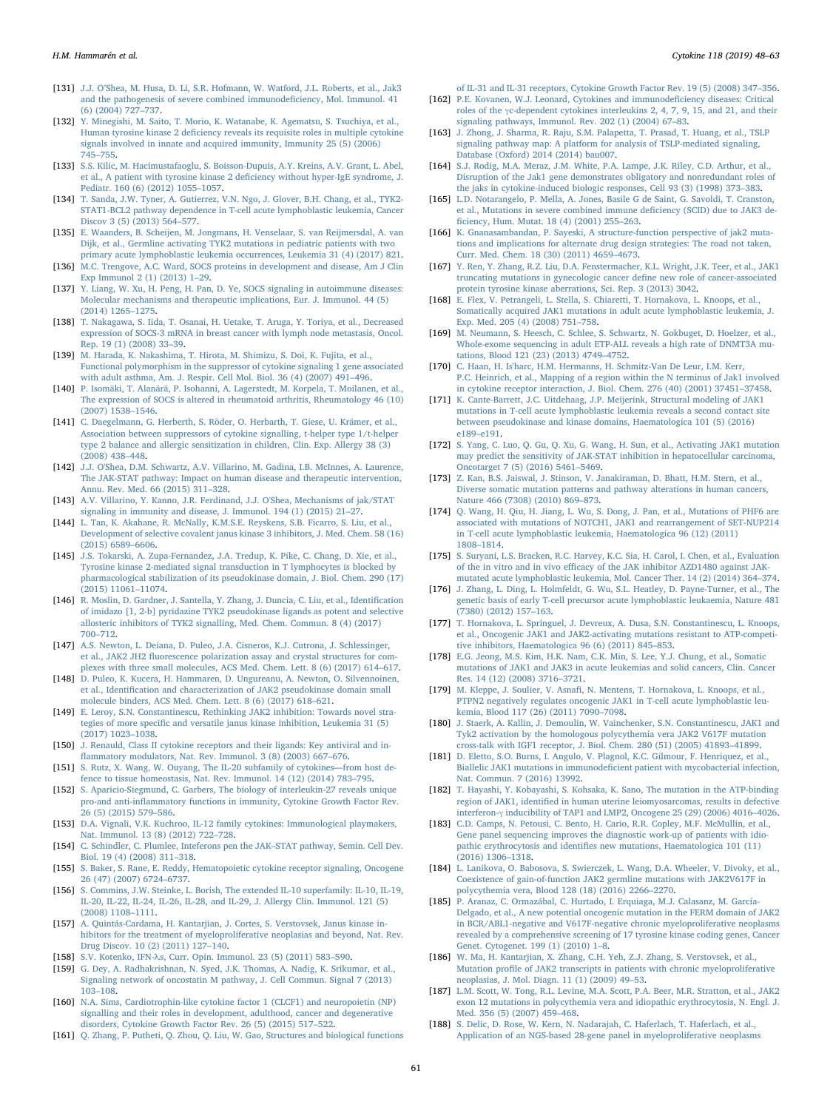- <span id="page-13-28"></span>[131] J.J. O'[Shea, M. Husa, D. Li, S.R. Hofmann, W. Watford, J.L. Roberts, et al., Jak3](http://refhub.elsevier.com/S1043-4666(18)30127-3/h0655) [and the pathogenesis of severe combined immunode](http://refhub.elsevier.com/S1043-4666(18)30127-3/h0655)ficiency, Mol. Immunol. 41 [\(6\) \(2004\) 727](http://refhub.elsevier.com/S1043-4666(18)30127-3/h0655)–737.
- <span id="page-13-29"></span>[132] [Y. Minegishi, M. Saito, T. Morio, K. Watanabe, K. Agematsu, S. Tsuchiya, et al.,](http://refhub.elsevier.com/S1043-4666(18)30127-3/h0660) Human tyrosine kinase 2 defi[ciency reveals its requisite roles in multiple cytokine](http://refhub.elsevier.com/S1043-4666(18)30127-3/h0660) [signals involved in innate and acquired immunity, Immunity 25 \(5\) \(2006\)](http://refhub.elsevier.com/S1043-4666(18)30127-3/h0660) 745–[755.](http://refhub.elsevier.com/S1043-4666(18)30127-3/h0660)
- [133] [S.S. Kilic, M. Hacimustafaoglu, S. Boisson-Dupuis, A.Y. Kreins, A.V. Grant, L. Abel,](http://refhub.elsevier.com/S1043-4666(18)30127-3/h0665) [et al., A patient with tyrosine kinase 2 de](http://refhub.elsevier.com/S1043-4666(18)30127-3/h0665)ficiency without hyper-IgE syndrome, J. [Pediatr. 160 \(6\) \(2012\) 1055](http://refhub.elsevier.com/S1043-4666(18)30127-3/h0665)–1057.
- <span id="page-13-26"></span>[134] [T. Sanda, J.W. Tyner, A. Gutierrez, V.N. Ngo, J. Glover, B.H. Chang, et al., TYK2-](http://refhub.elsevier.com/S1043-4666(18)30127-3/h0670) [STAT1-BCL2 pathway dependence in T-cell acute lymphoblastic leukemia, Cancer](http://refhub.elsevier.com/S1043-4666(18)30127-3/h0670) [Discov 3 \(5\) \(2013\) 564](http://refhub.elsevier.com/S1043-4666(18)30127-3/h0670)–577.
- <span id="page-13-27"></span>[135] [E. Waanders, B. Scheijen, M. Jongmans, H. Venselaar, S. van Reijmersdal, A. van](http://refhub.elsevier.com/S1043-4666(18)30127-3/h0675) [Dijk, et al., Germline activating TYK2 mutations in pediatric patients with two](http://refhub.elsevier.com/S1043-4666(18)30127-3/h0675) [primary acute lymphoblastic leukemia occurrences, Leukemia 31 \(4\) \(2017\) 821.](http://refhub.elsevier.com/S1043-4666(18)30127-3/h0675)
- <span id="page-13-30"></span>[136] [M.C. Trengove, A.C. Ward, SOCS proteins in development and disease, Am J Clin](http://refhub.elsevier.com/S1043-4666(18)30127-3/h0680) [Exp Immunol 2 \(1\) \(2013\) 1](http://refhub.elsevier.com/S1043-4666(18)30127-3/h0680)–29.
- [137] [Y. Liang, W. Xu, H. Peng, H. Pan, D. Ye, SOCS signaling in autoimmune diseases:](http://refhub.elsevier.com/S1043-4666(18)30127-3/h0685) [Molecular mechanisms and therapeutic implications, Eur. J. Immunol. 44 \(5\)](http://refhub.elsevier.com/S1043-4666(18)30127-3/h0685) [\(2014\) 1265](http://refhub.elsevier.com/S1043-4666(18)30127-3/h0685)–1275.
- <span id="page-13-31"></span>[138] [T. Nakagawa, S. Iida, T. Osanai, H. Uetake, T. Aruga, Y. Toriya, et al., Decreased](http://refhub.elsevier.com/S1043-4666(18)30127-3/h0690) [expression of SOCS-3 mRNA in breast cancer with lymph node metastasis, Oncol.](http://refhub.elsevier.com/S1043-4666(18)30127-3/h0690) [Rep. 19 \(1\) \(2008\) 33](http://refhub.elsevier.com/S1043-4666(18)30127-3/h0690)–39.
- [139] [M. Harada, K. Nakashima, T. Hirota, M. Shimizu, S. Doi, K. Fujita, et al.,](http://refhub.elsevier.com/S1043-4666(18)30127-3/h0695) [Functional polymorphism in the suppressor of cytokine signaling 1 gene associated](http://refhub.elsevier.com/S1043-4666(18)30127-3/h0695) [with adult asthma, Am. J. Respir. Cell Mol. Biol. 36 \(4\) \(2007\) 491](http://refhub.elsevier.com/S1043-4666(18)30127-3/h0695)–496.
- [140] [P. Isomäki, T. Alanärä, P. Isohanni, A. Lagerstedt, M. Korpela, T. Moilanen, et al.,](http://refhub.elsevier.com/S1043-4666(18)30127-3/h0700) [The expression of SOCS is altered in rheumatoid arthritis, Rheumatology 46 \(10\)](http://refhub.elsevier.com/S1043-4666(18)30127-3/h0700) [\(2007\) 1538](http://refhub.elsevier.com/S1043-4666(18)30127-3/h0700)–1546.
- [141] [C. Daegelmann, G. Herberth, S. Röder, O. Herbarth, T. Giese, U. Krämer, et al.,](http://refhub.elsevier.com/S1043-4666(18)30127-3/h0705) [Association between suppressors of cytokine signalling, t-helper type 1/t-helper](http://refhub.elsevier.com/S1043-4666(18)30127-3/h0705) [type 2 balance and allergic sensitization in children, Clin. Exp. Allergy 38 \(3\)](http://refhub.elsevier.com/S1043-4666(18)30127-3/h0705) [\(2008\) 438](http://refhub.elsevier.com/S1043-4666(18)30127-3/h0705)–448.
- <span id="page-13-32"></span>[142] [J.J. O'Shea, D.M. Schwartz, A.V. Villarino, M. Gadina, I.B. McInnes, A. Laurence,](http://refhub.elsevier.com/S1043-4666(18)30127-3/h0710) [The JAK-STAT pathway: Impact on human disease and therapeutic intervention,](http://refhub.elsevier.com/S1043-4666(18)30127-3/h0710) [Annu. Rev. Med. 66 \(2015\) 311](http://refhub.elsevier.com/S1043-4666(18)30127-3/h0710)–328.
- [143] [A.V. Villarino, Y. Kanno, J.R. Ferdinand, J.J. O'Shea, Mechanisms of jak/STAT](http://refhub.elsevier.com/S1043-4666(18)30127-3/h0715) [signaling in immunity and disease, J. Immunol. 194 \(1\) \(2015\) 21](http://refhub.elsevier.com/S1043-4666(18)30127-3/h0715)–27.
- <span id="page-13-33"></span>[144] [L. Tan, K. Akahane, R. McNally, K.M.S.E. Reyskens, S.B. Ficarro, S. Liu, et al.,](http://refhub.elsevier.com/S1043-4666(18)30127-3/h0720) [Development of selective covalent janus kinase 3 inhibitors, J. Med. Chem. 58 \(16\)](http://refhub.elsevier.com/S1043-4666(18)30127-3/h0720) [\(2015\) 6589](http://refhub.elsevier.com/S1043-4666(18)30127-3/h0720)–6606.
- <span id="page-13-34"></span>[145] J.S. [Tokarski, A. Zupa-Fernandez, J.A. Tredup, K. Pike, C. Chang, D. Xie, et al.,](http://refhub.elsevier.com/S1043-4666(18)30127-3/h0725) [Tyrosine kinase 2-mediated signal transduction in T lymphocytes is blocked by](http://refhub.elsevier.com/S1043-4666(18)30127-3/h0725) [pharmacological stabilization of its pseudokinase domain, J. Biol. Chem. 290 \(17\)](http://refhub.elsevier.com/S1043-4666(18)30127-3/h0725) [\(2015\) 11061](http://refhub.elsevier.com/S1043-4666(18)30127-3/h0725)–11074.
- [146] [R. Moslin, D. Gardner, J. Santella, Y. Zhang, J. Duncia, C. Liu, et al., Identi](http://refhub.elsevier.com/S1043-4666(18)30127-3/h0730)fication [of imidazo \[1, 2-b\] pyridazine TYK2 pseudokinase ligands as potent and selective](http://refhub.elsevier.com/S1043-4666(18)30127-3/h0730) [allosteric inhibitors of TYK2 signalling, Med. Chem. Commun. 8 \(4\) \(2017\)](http://refhub.elsevier.com/S1043-4666(18)30127-3/h0730) 700–[712.](http://refhub.elsevier.com/S1043-4666(18)30127-3/h0730)
- [147] [A.S. Newton, L. Deiana, D. Puleo, J.A. Cisneros, K.J. Cutrona, J. Schlessinger,](http://refhub.elsevier.com/S1043-4666(18)30127-3/h0735) et al., JAK2 JH2 fl[uorescence polarization assay and crystal structures for com](http://refhub.elsevier.com/S1043-4666(18)30127-3/h0735)[plexes with three small molecules, ACS Med. Chem. Lett. 8 \(6\) \(2017\) 614](http://refhub.elsevier.com/S1043-4666(18)30127-3/h0735)–617.
- [148] [D. Puleo, K. Kucera, H. Hammaren, D. Ungureanu, A. Newton, O. Silvennoinen,](http://refhub.elsevier.com/S1043-4666(18)30127-3/h0740) et al., Identifi[cation and characterization of JAK2 pseudokinase domain small](http://refhub.elsevier.com/S1043-4666(18)30127-3/h0740) [molecule binders, ACS Med. Chem. Lett. 8 \(6\) \(2017\) 618](http://refhub.elsevier.com/S1043-4666(18)30127-3/h0740)–621.
- <span id="page-13-35"></span>[149] [E. Leroy, S.N. Constantinescu, Rethinking JAK2 inhibition: Towards novel stra](http://refhub.elsevier.com/S1043-4666(18)30127-3/h0745)tegies of more specifi[c and versatile janus kinase inhibition, Leukemia 31 \(5\)](http://refhub.elsevier.com/S1043-4666(18)30127-3/h0745) [\(2017\) 1023](http://refhub.elsevier.com/S1043-4666(18)30127-3/h0745)–1038.
- <span id="page-13-1"></span>[150] [J. Renauld, Class II cytokine receptors and their ligands: Key antiviral and in](http://refhub.elsevier.com/S1043-4666(18)30127-3/h0750)fl[ammatory modulators, Nat. Rev. Immunol. 3 \(8\) \(2003\) 667](http://refhub.elsevier.com/S1043-4666(18)30127-3/h0750)–676.
- <span id="page-13-2"></span>[151] [S. Rutz, X. Wang, W. Ouyang, The IL-20 subfamily of cytokines](http://refhub.elsevier.com/S1043-4666(18)30127-3/h0755)—from host de[fence to tissue homeostasis, Nat. Rev. Immunol. 14 \(12\) \(2014\) 783](http://refhub.elsevier.com/S1043-4666(18)30127-3/h0755)–795.
- <span id="page-13-4"></span>[152] [S. Aparicio-Siegmund, C. Garbers, The biology of interleukin-27 reveals unique](http://refhub.elsevier.com/S1043-4666(18)30127-3/h0760) pro-and anti-infl[ammatory functions in immunity, Cytokine Growth Factor Rev.](http://refhub.elsevier.com/S1043-4666(18)30127-3/h0760) [26 \(5\) \(2015\) 579](http://refhub.elsevier.com/S1043-4666(18)30127-3/h0760)–586.
- <span id="page-13-3"></span>[153] [D.A. Vignali, V.K. Kuchroo, IL-12 family cytokines: Immunological playmakers,](http://refhub.elsevier.com/S1043-4666(18)30127-3/h0765) [Nat. Immunol. 13 \(8\) \(2012\) 722](http://refhub.elsevier.com/S1043-4666(18)30127-3/h0765)–728.
- <span id="page-13-0"></span>[154] [C. Schindler, C. Plumlee, Inteferons pen the JAK](http://refhub.elsevier.com/S1043-4666(18)30127-3/h0770)–STAT pathway, Semin. Cell Dev. [Biol. 19 \(4\) \(2008\) 311](http://refhub.elsevier.com/S1043-4666(18)30127-3/h0770)–318.
- [155] [S. Baker, S. Rane, E. Reddy, Hematopoietic cytokine receptor signaling, Oncogene](http://refhub.elsevier.com/S1043-4666(18)30127-3/h0775) [26 \(47\) \(2007\) 6724](http://refhub.elsevier.com/S1043-4666(18)30127-3/h0775)–6737.
- [156] [S. Commins, J.W. Steinke, L. Borish, The extended IL-10 superfamily: IL-10, IL-19,](http://refhub.elsevier.com/S1043-4666(18)30127-3/h0780) [IL-20, IL-22, IL-24, IL-26, IL-28, and IL-29, J. Allergy Clin. Immunol. 121 \(5\)](http://refhub.elsevier.com/S1043-4666(18)30127-3/h0780) [\(2008\) 1108](http://refhub.elsevier.com/S1043-4666(18)30127-3/h0780)–1111.
- [157] [A. Quintás-Cardama, H. Kantarjian, J. Cortes, S. Verstovsek, Janus kinase in](http://refhub.elsevier.com/S1043-4666(18)30127-3/h0785)[hibitors for the treatment of myeloproliferative neoplasias and beyond, Nat. Rev.](http://refhub.elsevier.com/S1043-4666(18)30127-3/h0785) [Drug Discov. 10 \(2\) \(2011\) 127](http://refhub.elsevier.com/S1043-4666(18)30127-3/h0785)–140.
- [158] S.V. Kotenko, IFN-λ[s, Curr. Opin. Immunol. 23 \(5\) \(2011\) 583](http://refhub.elsevier.com/S1043-4666(18)30127-3/h0790)–590.
- [159] [G. Dey, A. Radhakrishnan, N. Syed, J.K. Thomas, A. Nadig, K. Srikumar, et al.,](http://refhub.elsevier.com/S1043-4666(18)30127-3/h0795) [Signaling network of oncostatin M pathway, J. Cell Commun. Signal 7 \(2013\)](http://refhub.elsevier.com/S1043-4666(18)30127-3/h0795) 103–[108.](http://refhub.elsevier.com/S1043-4666(18)30127-3/h0795)
- [160] [N.A. Sims, Cardiotrophin-like cytokine factor 1 \(CLCF1\) and neuropoietin \(NP\)](http://refhub.elsevier.com/S1043-4666(18)30127-3/h0800) [signalling and their roles in development, adulthood, cancer and degenerative](http://refhub.elsevier.com/S1043-4666(18)30127-3/h0800) [disorders, Cytokine Growth Factor Rev. 26 \(5\) \(2015\) 517](http://refhub.elsevier.com/S1043-4666(18)30127-3/h0800)–522.
- [161] [Q. Zhang, P. Putheti, Q. Zhou, Q. Liu, W. Gao, Structures and biological functions](http://refhub.elsevier.com/S1043-4666(18)30127-3/h0805)

[of IL-31 and IL-31 receptors, Cytokine Growth Factor Rev. 19 \(5\) \(2008\) 347](http://refhub.elsevier.com/S1043-4666(18)30127-3/h0805)–356.

- [162] [P.E. Kovanen, W.J. Leonard, Cytokines and immunode](http://refhub.elsevier.com/S1043-4666(18)30127-3/h0810)ficiency diseases: Critical roles of the γ[c-dependent cytokines interleukins 2, 4, 7, 9, 15, and 21, and their](http://refhub.elsevier.com/S1043-4666(18)30127-3/h0810) [signaling pathways, Immunol. Rev. 202 \(1\) \(2004\) 67](http://refhub.elsevier.com/S1043-4666(18)30127-3/h0810)–83.
- [163] [J. Zhong, J. Sharma, R. Raju, S.M. Palapetta, T. Prasad, T. Huang, et al., TSLP](http://refhub.elsevier.com/S1043-4666(18)30127-3/h0815) [signaling pathway map: A platform for analysis of TSLP-mediated signaling,](http://refhub.elsevier.com/S1043-4666(18)30127-3/h0815) [Database \(Oxford\) 2014 \(2014\) bau007.](http://refhub.elsevier.com/S1043-4666(18)30127-3/h0815)
- [164] [S.J. Rodig, M.A. Meraz, J.M. White, P.A. Lampe, J.K. Riley, C.D. Arthur, et al.,](http://refhub.elsevier.com/S1043-4666(18)30127-3/h0820) [Disruption of the Jak1 gene demonstrates obligatory and nonredundant roles of](http://refhub.elsevier.com/S1043-4666(18)30127-3/h0820) [the jaks in cytokine-induced biologic responses, Cell 93 \(3\) \(1998\) 373](http://refhub.elsevier.com/S1043-4666(18)30127-3/h0820)–383.
- <span id="page-13-25"></span>[165] [L.D. Notarangelo, P. Mella, A. Jones, Basile G de Saint, G. Savoldi, T. Cranston,](http://refhub.elsevier.com/S1043-4666(18)30127-3/h0825) [et al., Mutations in severe combined immune de](http://refhub.elsevier.com/S1043-4666(18)30127-3/h0825)ficiency (SCID) due to JAK3 defi[ciency, Hum. Mutat. 18 \(4\) \(2001\) 255](http://refhub.elsevier.com/S1043-4666(18)30127-3/h0825)–263.
- <span id="page-13-23"></span>[166] [K. Gnanasambandan, P. Sayeski, A structure-function perspective of jak2 muta](http://refhub.elsevier.com/S1043-4666(18)30127-3/h0830)[tions and implications for alternate drug design strategies: The road not taken,](http://refhub.elsevier.com/S1043-4666(18)30127-3/h0830) [Curr. Med. Chem. 18 \(30\) \(2011\) 4659](http://refhub.elsevier.com/S1043-4666(18)30127-3/h0830)–4673.
- <span id="page-13-7"></span>[167] [Y. Ren, Y. Zhang, R.Z. Liu, D.A. Fenstermacher, K.L. Wright, J.K. Teer, et al., JAK1](http://refhub.elsevier.com/S1043-4666(18)30127-3/h0835) [truncating mutations in gynecologic cancer de](http://refhub.elsevier.com/S1043-4666(18)30127-3/h0835)fine new role of cancer-associated [protein tyrosine kinase aberrations, Sci. Rep. 3 \(2013\) 3042.](http://refhub.elsevier.com/S1043-4666(18)30127-3/h0835)
- <span id="page-13-5"></span>[168] [E. Flex, V. Petrangeli, L. Stella, S. Chiaretti, T. Hornakova, L. Knoops, et al.,](http://refhub.elsevier.com/S1043-4666(18)30127-3/h0840) [Somatically acquired JAK1 mutations in adult acute lymphoblastic leukemia, J.](http://refhub.elsevier.com/S1043-4666(18)30127-3/h0840) [Exp. Med. 205 \(4\) \(2008\) 751](http://refhub.elsevier.com/S1043-4666(18)30127-3/h0840)–758.
- <span id="page-13-6"></span>[169] [M. Neumann, S. Heesch, C. Schlee, S. Schwartz, N. Gokbuget, D. Hoelzer, et al.,](http://refhub.elsevier.com/S1043-4666(18)30127-3/h0845) [Whole-exome sequencing in adult ETP-ALL reveals a high rate of DNMT3A mu](http://refhub.elsevier.com/S1043-4666(18)30127-3/h0845)[tations, Blood 121 \(23\) \(2013\) 4749](http://refhub.elsevier.com/S1043-4666(18)30127-3/h0845)–4752.
- [170] [C. Haan, H. Is'harc, H.M. Hermanns, H. Schmitz-Van De Leur, I.M. Kerr,](http://refhub.elsevier.com/S1043-4666(18)30127-3/h0850) [P.C. Heinrich, et al., Mapping of a region within the N terminus of Jak1 involved](http://refhub.elsevier.com/S1043-4666(18)30127-3/h0850) [in cytokine receptor interaction, J. Biol. Chem. 276 \(40\) \(2001\) 37451](http://refhub.elsevier.com/S1043-4666(18)30127-3/h0850)–37458.
- <span id="page-13-8"></span>[171] [K. Cante-Barrett, J.C. Uitdehaag, J.P. Meijerink, Structural modeling of JAK1](http://refhub.elsevier.com/S1043-4666(18)30127-3/h0855) [mutations in T-cell acute lymphoblastic leukemia reveals a second contact site](http://refhub.elsevier.com/S1043-4666(18)30127-3/h0855) [between pseudokinase and kinase domains, Haematologica 101 \(5\) \(2016\)](http://refhub.elsevier.com/S1043-4666(18)30127-3/h0855) e189–[e191.](http://refhub.elsevier.com/S1043-4666(18)30127-3/h0855)
- <span id="page-13-9"></span>[172] [S. Yang, C. Luo, Q. Gu, Q. Xu, G. Wang, H. Sun, et al., Activating JAK1 mutation](http://refhub.elsevier.com/S1043-4666(18)30127-3/h0860) may [predict the sensitivity of JAK-STAT inhibition in hepatocellular carcinoma,](http://refhub.elsevier.com/S1043-4666(18)30127-3/h0860) [Oncotarget 7 \(5\) \(2016\) 5461](http://refhub.elsevier.com/S1043-4666(18)30127-3/h0860)–5469.
- <span id="page-13-10"></span>[173] [Z. Kan, B.S. Jaiswal, J. Stinson, V. Janakiraman, D. Bhatt, H.M. Stern, et al.,](http://refhub.elsevier.com/S1043-4666(18)30127-3/h0865) [Diverse somatic mutation patterns and pathway alterations in human cancers,](http://refhub.elsevier.com/S1043-4666(18)30127-3/h0865) [Nature 466 \(7308\) \(2010\) 869](http://refhub.elsevier.com/S1043-4666(18)30127-3/h0865)–873.
- <span id="page-13-11"></span>[174] [Q. Wang, H. Qiu, H. Jiang, L. Wu, S. Dong, J. Pan, et al., Mutations of PHF6 are](http://refhub.elsevier.com/S1043-4666(18)30127-3/h0870) [associated with mutations of NOTCH1, JAK1 and rearrangement of SET-NUP214](http://refhub.elsevier.com/S1043-4666(18)30127-3/h0870) [in T-cell acute lymphoblastic leukemia, Haematologica 96 \(12\) \(2011\)](http://refhub.elsevier.com/S1043-4666(18)30127-3/h0870) 1808–[1814.](http://refhub.elsevier.com/S1043-4666(18)30127-3/h0870)
- <span id="page-13-12"></span>[175] [S. Suryani, L.S. Bracken, R.C. Harvey, K.C. Sia, H. Carol, I. Chen, et al., Evaluation](http://refhub.elsevier.com/S1043-4666(18)30127-3/h0875) of the in vitro and in vivo effi[cacy of the JAK inhibitor AZD1480 against JAK](http://refhub.elsevier.com/S1043-4666(18)30127-3/h0875)[mutated acute lymphoblastic leukemia, Mol. Cancer Ther. 14 \(2\) \(2014\) 364](http://refhub.elsevier.com/S1043-4666(18)30127-3/h0875)–374.
- <span id="page-13-13"></span>[176] [J. Zhang, L. Ding, L. Holmfeldt, G. Wu, S.L. Heatley, D. Payne-Turner, et al., The](http://refhub.elsevier.com/S1043-4666(18)30127-3/h0880) [genetic basis of early T-cell precursor acute lymphoblastic leukaemia, Nature 481](http://refhub.elsevier.com/S1043-4666(18)30127-3/h0880) [\(7380\) \(2012\) 157](http://refhub.elsevier.com/S1043-4666(18)30127-3/h0880)–163.
- <span id="page-13-17"></span>[177] [T. Hornakova, L. Springuel, J. Devreux, A. Dusa, S.N. Constantinescu, L. Knoops,](http://refhub.elsevier.com/S1043-4666(18)30127-3/h0885) [et al., Oncogenic JAK1 and JAK2-activating mutations resistant to ATP-competi](http://refhub.elsevier.com/S1043-4666(18)30127-3/h0885)[tive inhibitors, Haematologica 96 \(6\) \(2011\) 845](http://refhub.elsevier.com/S1043-4666(18)30127-3/h0885)–853.
- <span id="page-13-14"></span>[178] [E.G. Jeong, M.S. Kim, H.K. Nam, C.K. Min, S. Lee, Y.J. Chung, et al., Somatic](http://refhub.elsevier.com/S1043-4666(18)30127-3/h0890) [mutations of JAK1 and JAK3 in acute leukemias and solid cancers, Clin. Cancer](http://refhub.elsevier.com/S1043-4666(18)30127-3/h0890) [Res. 14 \(12\) \(2008\) 3716](http://refhub.elsevier.com/S1043-4666(18)30127-3/h0890)–3721.
- <span id="page-13-15"></span>[179] M. Kleppe, J. Soulier, V. Asnafi[, N. Mentens, T. Hornakova, L. Knoops, et al.,](http://refhub.elsevier.com/S1043-4666(18)30127-3/h0895) [PTPN2 negatively regulates oncogenic JAK1 in T-cell acute lymphoblastic leu](http://refhub.elsevier.com/S1043-4666(18)30127-3/h0895)[kemia, Blood 117 \(26\) \(2011\) 7090](http://refhub.elsevier.com/S1043-4666(18)30127-3/h0895)–7098.
- [180] [J. Staerk, A. Kallin, J. Demoulin, W. Vainchenker, S.N. Constantinescu, JAK1 and](http://refhub.elsevier.com/S1043-4666(18)30127-3/h0900) [Tyk2 activation by the homologous polycythemia vera JAK2 V617F mutation](http://refhub.elsevier.com/S1043-4666(18)30127-3/h0900) [cross-talk with IGF1 receptor, J. Biol. Chem. 280 \(51\) \(2005\) 41893](http://refhub.elsevier.com/S1043-4666(18)30127-3/h0900)–41899.
- <span id="page-13-16"></span>[181] [D. Eletto, S.O. Burns, I. Angulo, V. Plagnol, K.C. Gilmour, F. Henriquez, et al.,](http://refhub.elsevier.com/S1043-4666(18)30127-3/h0905) Biallelic JAK1 mutations in immunodefi[cient patient with mycobacterial infection,](http://refhub.elsevier.com/S1043-4666(18)30127-3/h0905) [Nat. Commun. 7 \(2016\) 13992.](http://refhub.elsevier.com/S1043-4666(18)30127-3/h0905)
- <span id="page-13-18"></span>[182] [T. Hayashi, Y. Kobayashi, S. Kohsaka, K. Sano, The mutation in the ATP-binding](http://refhub.elsevier.com/S1043-4666(18)30127-3/h0910) region of JAK1, identifi[ed in human uterine leiomyosarcomas, results in defective](http://refhub.elsevier.com/S1043-4666(18)30127-3/h0910) interferon-γ [inducibility of TAP1 and LMP2, Oncogene 25 \(29\) \(2006\) 4016](http://refhub.elsevier.com/S1043-4666(18)30127-3/h0910)–4026.
- <span id="page-13-19"></span>[183] [C.D. Camps, N. Petousi, C. Bento, H. Cario, R.R. Copley, M.F. McMullin, et al.,](http://refhub.elsevier.com/S1043-4666(18)30127-3/h0915) [Gene panel sequencing improves the diagnostic work-up of patients with idio](http://refhub.elsevier.com/S1043-4666(18)30127-3/h0915)pathic erythrocytosis and identifi[es new mutations, Haematologica 101 \(11\)](http://refhub.elsevier.com/S1043-4666(18)30127-3/h0915) [\(2016\) 1306](http://refhub.elsevier.com/S1043-4666(18)30127-3/h0915)–1318.
- <span id="page-13-20"></span>[184] [L. Lanikova, O. Babosova, S. Swierczek, L. Wang, D.A. Wheeler, V. Divoky, et al.,](http://refhub.elsevier.com/S1043-4666(18)30127-3/h0920) [Coexistence of gain-of-function JAK2 germline mutations with JAK2V617F in](http://refhub.elsevier.com/S1043-4666(18)30127-3/h0920) [polycythemia vera, Blood 128 \(18\) \(2016\) 2266](http://refhub.elsevier.com/S1043-4666(18)30127-3/h0920)–2270.
- <span id="page-13-21"></span>[185] [P. Aranaz, C. Ormazábal, C. Hurtado, I. Erquiaga, M.J. Calasanz, M. García-](http://refhub.elsevier.com/S1043-4666(18)30127-3/h0925)[Delgado, et al., A new potential oncogenic mutation in the FERM domain of JAK2](http://refhub.elsevier.com/S1043-4666(18)30127-3/h0925) in [BCR/ABL1-negative and V617F-negative chronic myeloproliferative neoplasms](http://refhub.elsevier.com/S1043-4666(18)30127-3/h0925) [revealed by a comprehensive screening of 17 tyrosine kinase coding genes, Cancer](http://refhub.elsevier.com/S1043-4666(18)30127-3/h0925) [Genet. Cytogenet. 199 \(1\) \(2010\) 1](http://refhub.elsevier.com/S1043-4666(18)30127-3/h0925)–8.
- <span id="page-13-22"></span>[186] [W. Ma, H. Kantarjian, X. Zhang, C.H. Yeh, Z.J. Zhang, S. Verstovsek, et al.,](http://refhub.elsevier.com/S1043-4666(18)30127-3/h0930) Mutation profi[le of JAK2 transcripts in patients with chronic myeloproliferative](http://refhub.elsevier.com/S1043-4666(18)30127-3/h0930) [neoplasias, J. Mol. Diagn. 11 \(1\) \(2009\) 49](http://refhub.elsevier.com/S1043-4666(18)30127-3/h0930)–53.
- <span id="page-13-24"></span>[187] [L.M. Scott, W. Tong, R.L. Levine, M.A. Scott, P.A. Beer, M.R. Stratton, et al., JAK2](http://refhub.elsevier.com/S1043-4666(18)30127-3/h0935) [exon 12 mutations in polycythemia vera and idiopathic erythrocytosis, N. Engl. J.](http://refhub.elsevier.com/S1043-4666(18)30127-3/h0935) [Med. 356 \(5\) \(2007\) 459](http://refhub.elsevier.com/S1043-4666(18)30127-3/h0935)–468.
- [188] [S. Delic, D. Rose, W. Kern, N. Nadarajah, C. Haferlach, T. Haferlach, et al.,](http://refhub.elsevier.com/S1043-4666(18)30127-3/h0940) [Application of an NGS-based 28-gene panel in myeloproliferative neoplasms](http://refhub.elsevier.com/S1043-4666(18)30127-3/h0940)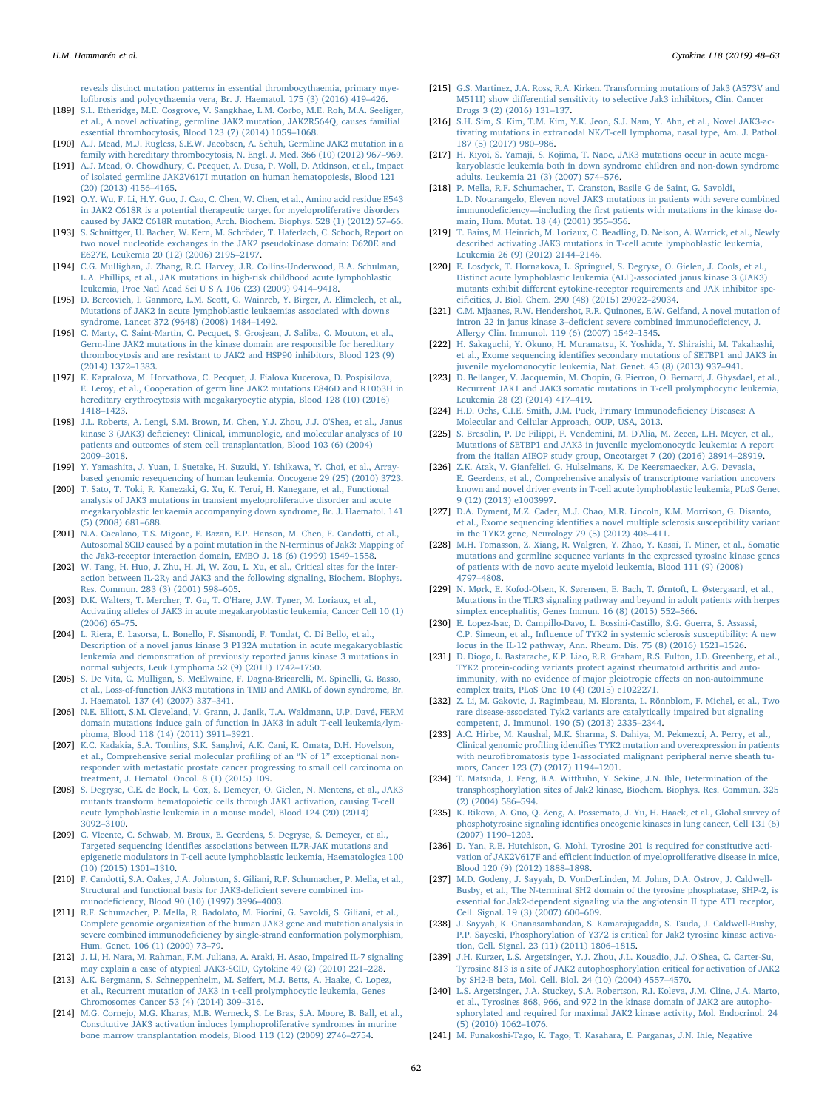[reveals distinct mutation patterns in essential thrombocythaemia, primary mye](http://refhub.elsevier.com/S1043-4666(18)30127-3/h0940)lofi[brosis and polycythaemia vera, Br. J. Haematol. 175 \(3\) \(2016\) 419](http://refhub.elsevier.com/S1043-4666(18)30127-3/h0940)–426.

- <span id="page-14-0"></span>[189] [S.L. Etheridge, M.E. Cosgrove, V. Sangkhae, L.M. Corbo, M.E. Roh, M.A. Seeliger,](http://refhub.elsevier.com/S1043-4666(18)30127-3/h0945) [et al., A novel activating, germline JAK2 mutation, JAK2R564Q, causes familial](http://refhub.elsevier.com/S1043-4666(18)30127-3/h0945) [essential thrombocytosis, Blood 123 \(7\) \(2014\) 1059](http://refhub.elsevier.com/S1043-4666(18)30127-3/h0945)–1068.
- <span id="page-14-1"></span>[190] [A.J. Mead, M.J. Rugless, S.E.W. Jacobsen, A. Schuh, Germline JAK2 mutation in a](http://refhub.elsevier.com/S1043-4666(18)30127-3/h0950) [family with hereditary thrombocytosis, N. Engl. J. Med. 366 \(10\) \(2012\) 967](http://refhub.elsevier.com/S1043-4666(18)30127-3/h0950)–969.
- [191] [A.J. Mead, O. Chowdhury, C. Pecquet, A. Dusa, P. Woll, D. Atkinson, et al., Impact](http://refhub.elsevier.com/S1043-4666(18)30127-3/h0955) [of isolated germline JAK2V617I mutation on human hematopoiesis, Blood 121](http://refhub.elsevier.com/S1043-4666(18)30127-3/h0955) [\(20\) \(2013\) 4156](http://refhub.elsevier.com/S1043-4666(18)30127-3/h0955)–4165.
- <span id="page-14-2"></span>[192] [Q.Y. Wu, F. Li, H.Y. Guo, J. Cao, C. Chen, W. Chen, et al., Amino acid residue E543](http://refhub.elsevier.com/S1043-4666(18)30127-3/h0960) [in JAK2 C618R is a potential therapeutic target for myeloproliferative disorders](http://refhub.elsevier.com/S1043-4666(18)30127-3/h0960) [caused by JAK2 C618R mutation, Arch. Biochem. Biophys. 528 \(1\) \(2012\) 57](http://refhub.elsevier.com/S1043-4666(18)30127-3/h0960)–66.
- <span id="page-14-3"></span>[193] [S. Schnittger, U. Bacher, W. Kern, M. Schröder, T. Haferlach, C. Schoch, Report on](http://refhub.elsevier.com/S1043-4666(18)30127-3/h0965) [two novel nucleotide exchanges in the JAK2 pseudokinase domain: D620E and](http://refhub.elsevier.com/S1043-4666(18)30127-3/h0965) [E627E, Leukemia 20 \(12\) \(2006\) 2195](http://refhub.elsevier.com/S1043-4666(18)30127-3/h0965)–2197.
- <span id="page-14-4"></span>[194] [C.G. Mullighan, J. Zhang, R.C. Harvey, J.R. Collins-Underwood, B.A. Schulman,](http://refhub.elsevier.com/S1043-4666(18)30127-3/h0970) [L.A. Phillips, et al., JAK mutations in high-risk childhood acute lymphoblastic](http://refhub.elsevier.com/S1043-4666(18)30127-3/h0970) [leukemia, Proc Natl Acad Sci U S A 106 \(23\) \(2009\) 9414](http://refhub.elsevier.com/S1043-4666(18)30127-3/h0970)–9418.
- [195] [D. Bercovich, I. Ganmore, L.M. Scott, G. Wainreb, Y. Birger, A. Elimelech, et al.,](http://refhub.elsevier.com/S1043-4666(18)30127-3/h0975) [Mutations of JAK2 in acute lymphoblastic leukaemias associated with down's](http://refhub.elsevier.com/S1043-4666(18)30127-3/h0975) [syndrome, Lancet 372 \(9648\) \(2008\) 1484](http://refhub.elsevier.com/S1043-4666(18)30127-3/h0975)–1492.
- <span id="page-14-5"></span>[196] [C. Marty, C. Saint-Martin, C. Pecquet, S. Grosjean, J. Saliba, C. Mouton, et al.,](http://refhub.elsevier.com/S1043-4666(18)30127-3/h0980) [Germ-line JAK2 mutations in the kinase domain are responsible for hereditary](http://refhub.elsevier.com/S1043-4666(18)30127-3/h0980) [thrombocytosis and are resistant to JAK2 and HSP90 inhibitors, Blood 123 \(9\)](http://refhub.elsevier.com/S1043-4666(18)30127-3/h0980) [\(2014\) 1372](http://refhub.elsevier.com/S1043-4666(18)30127-3/h0980)–1383.
- <span id="page-14-6"></span>[197] [K. Kapralova, M. Horvathova, C. Pecquet, J. Fialova Kucerova, D. Pospisilova,](http://refhub.elsevier.com/S1043-4666(18)30127-3/h0985) [E. Leroy, et al., Cooperation of germ line JAK2 mutations E846D and R1063H in](http://refhub.elsevier.com/S1043-4666(18)30127-3/h0985) [hereditary erythrocytosis with megakaryocytic atypia, Blood 128 \(10\) \(2016\)](http://refhub.elsevier.com/S1043-4666(18)30127-3/h0985) 1418–[1423.](http://refhub.elsevier.com/S1043-4666(18)30127-3/h0985)
- <span id="page-14-7"></span>[198] [J.L. Roberts, A. Lengi, S.M. Brown, M. Chen, Y.J. Zhou, J.J. O'Shea, et al., Janus](http://refhub.elsevier.com/S1043-4666(18)30127-3/h0990) kinase 3 (JAK3) defi[ciency: Clinical, immunologic, and molecular analyses of 10](http://refhub.elsevier.com/S1043-4666(18)30127-3/h0990) [patients and outcomes of stem cell transplantation, Blood 103 \(6\) \(2004\)](http://refhub.elsevier.com/S1043-4666(18)30127-3/h0990) 2009–[2018.](http://refhub.elsevier.com/S1043-4666(18)30127-3/h0990)
- <span id="page-14-8"></span>[199] [Y. Yamashita, J. Yuan, I. Suetake, H. Suzuki, Y. Ishikawa, Y. Choi, et al., Array](http://refhub.elsevier.com/S1043-4666(18)30127-3/h0995)[based genomic resequencing of human leukemia, Oncogene 29 \(25\) \(2010\) 3723.](http://refhub.elsevier.com/S1043-4666(18)30127-3/h0995)
- [200] [T. Sato, T. Toki, R. Kanezaki, G. Xu, K. Terui, H. Kanegane, et al., Functional](http://refhub.elsevier.com/S1043-4666(18)30127-3/h1000) [analysis of JAK3 mutations in transient myeloproliferative disorder and acute](http://refhub.elsevier.com/S1043-4666(18)30127-3/h1000) [megakaryoblastic leukaemia accompanying down syndrome, Br. J. Haematol. 141](http://refhub.elsevier.com/S1043-4666(18)30127-3/h1000) [\(5\) \(2008\) 681](http://refhub.elsevier.com/S1043-4666(18)30127-3/h1000)–688.
- <span id="page-14-9"></span>[201] [N.A. Cacalano, T.S. Migone, F. Bazan, E.P. Hanson, M. Chen, F. Candotti, et al.,](http://refhub.elsevier.com/S1043-4666(18)30127-3/h1005) [Autosomal SCID caused by a point mutation in the N-terminus of Jak3: Mapping of](http://refhub.elsevier.com/S1043-4666(18)30127-3/h1005) [the Jak3-receptor interaction domain, EMBO J. 18 \(6\) \(1999\) 1549](http://refhub.elsevier.com/S1043-4666(18)30127-3/h1005)–1558.
- [202] [W. Tang, H. Huo, J. Zhu, H. Ji, W. Zou, L. Xu, et al., Critical sites for the inter](http://refhub.elsevier.com/S1043-4666(18)30127-3/h1010)action between IL-2Rγ and [JAK3 and the following signaling, Biochem. Biophys.](http://refhub.elsevier.com/S1043-4666(18)30127-3/h1010) [Res. Commun. 283 \(3\) \(2001\) 598](http://refhub.elsevier.com/S1043-4666(18)30127-3/h1010)–605.
- <span id="page-14-10"></span>[203] [D.K. Walters, T. Mercher, T. Gu, T. O'Hare, J.W. Tyner, M. Loriaux, et al.,](http://refhub.elsevier.com/S1043-4666(18)30127-3/h1015) [Activating alleles of JAK3 in acute megakaryoblastic leukemia, Cancer Cell 10 \(1\)](http://refhub.elsevier.com/S1043-4666(18)30127-3/h1015) [\(2006\) 65](http://refhub.elsevier.com/S1043-4666(18)30127-3/h1015)–75.
- [204] [L. Riera, E. Lasorsa, L. Bonello, F. Sismondi, F. Tondat, C. Di Bello, et al.,](http://refhub.elsevier.com/S1043-4666(18)30127-3/h1020) [Description of a novel janus kinase 3 P132A mutation in acute megakaryoblastic](http://refhub.elsevier.com/S1043-4666(18)30127-3/h1020) [leukemia and demonstration of previously reported janus kinase 3 mutations in](http://refhub.elsevier.com/S1043-4666(18)30127-3/h1020) [normal subjects, Leuk Lymphoma 52 \(9\) \(2011\) 1742](http://refhub.elsevier.com/S1043-4666(18)30127-3/h1020)–1750.
- <span id="page-14-20"></span>[205] [S. De Vita, C. Mulligan, S. McElwaine, F. Dagna-Bricarelli, M. Spinelli, G. Basso,](http://refhub.elsevier.com/S1043-4666(18)30127-3/h1025) [et al., Loss-of-function JAK3 mutations in TMD and AMKL of down syndrome, Br.](http://refhub.elsevier.com/S1043-4666(18)30127-3/h1025) [J. Haematol. 137 \(4\) \(2007\) 337](http://refhub.elsevier.com/S1043-4666(18)30127-3/h1025)–341.
- <span id="page-14-11"></span>[206] [N.E. Elliott, S.M. Cleveland, V. Grann, J. Janik, T.A. Waldmann, U.P. Davé, FERM](http://refhub.elsevier.com/S1043-4666(18)30127-3/h1030) [domain mutations induce gain of function in JAK3 in adult T-cell leukemia/lym](http://refhub.elsevier.com/S1043-4666(18)30127-3/h1030)[phoma, Blood 118 \(14\) \(2011\) 3911](http://refhub.elsevier.com/S1043-4666(18)30127-3/h1030)–3921.
- <span id="page-14-12"></span>[207] [K.C. Kadakia, S.A. Tomlins, S.K. Sanghvi, A.K. Cani, K. Omata, D.H. Hovelson,](http://refhub.elsevier.com/S1043-4666(18)30127-3/h1035) [et al., Comprehensive serial molecular pro](http://refhub.elsevier.com/S1043-4666(18)30127-3/h1035)filing of an "N of 1" exceptional non[responder with metastatic prostate cancer progressing to small cell carcinoma on](http://refhub.elsevier.com/S1043-4666(18)30127-3/h1035) [treatment, J. Hematol. Oncol. 8 \(1\) \(2015\) 109.](http://refhub.elsevier.com/S1043-4666(18)30127-3/h1035)
- <span id="page-14-13"></span>[208] [S. Degryse, C.E. de Bock, L. Cox, S. Demeyer, O. Gielen, N. Mentens, et al., JAK3](http://refhub.elsevier.com/S1043-4666(18)30127-3/h1040) [mutants transform hematopoietic cells through JAK1 activation, causing T-cell](http://refhub.elsevier.com/S1043-4666(18)30127-3/h1040) [acute lymphoblastic leukemia in a mouse model, Blood 124 \(20\) \(2014\)](http://refhub.elsevier.com/S1043-4666(18)30127-3/h1040) 3092–[3100.](http://refhub.elsevier.com/S1043-4666(18)30127-3/h1040)
- <span id="page-14-14"></span>[209] [C. Vicente, C. Schwab, M. Broux, E. Geerdens, S. Degryse, S. Demeyer, et al.,](http://refhub.elsevier.com/S1043-4666(18)30127-3/h1045) Targeted sequencing identifi[es associations between IL7R-JAK mutations and](http://refhub.elsevier.com/S1043-4666(18)30127-3/h1045) [epigenetic modulators in T-cell acute lymphoblastic leukemia, Haematologica 100](http://refhub.elsevier.com/S1043-4666(18)30127-3/h1045) [\(10\) \(2015\) 1301](http://refhub.elsevier.com/S1043-4666(18)30127-3/h1045)–1310.
- [210] [F. Candotti, S.A. Oakes, J.A. Johnston, S. Giliani, R.F. Schumacher, P. Mella, et al.,](http://refhub.elsevier.com/S1043-4666(18)30127-3/h1050) [Structural and functional basis for JAK3-de](http://refhub.elsevier.com/S1043-4666(18)30127-3/h1050)ficient severe combined immunodefi[ciency, Blood 90 \(10\) \(1997\) 3996](http://refhub.elsevier.com/S1043-4666(18)30127-3/h1050)–4003.
- <span id="page-14-15"></span>[211] [R.F. Schumacher, P. Mella, R. Badolato, M. Fiorini, G. Savoldi, S. Giliani, et al.,](http://refhub.elsevier.com/S1043-4666(18)30127-3/h1055) [Complete genomic organization of the human JAK3 gene and mutation analysis in](http://refhub.elsevier.com/S1043-4666(18)30127-3/h1055) severe combined immunodefi[ciency by single-strand conformation polymorphism,](http://refhub.elsevier.com/S1043-4666(18)30127-3/h1055) [Hum. Genet. 106 \(1\) \(2000\) 73](http://refhub.elsevier.com/S1043-4666(18)30127-3/h1055)–79.
- <span id="page-14-16"></span>[212] [J. Li, H. Nara, M. Rahman, F.M. Juliana, A. Araki, H. Asao, Impaired IL-7 signaling](http://refhub.elsevier.com/S1043-4666(18)30127-3/h1060) [may explain a case of atypical JAK3-SCID, Cytokine 49 \(2\) \(2010\) 221](http://refhub.elsevier.com/S1043-4666(18)30127-3/h1060)–228.
- <span id="page-14-17"></span>[213] [A.K. Bergmann, S. Schneppenheim, M. Seifert, M.J. Betts, A. Haake, C. Lopez,](http://refhub.elsevier.com/S1043-4666(18)30127-3/h1065) [et al., Recurrent mutation of JAK3 in t-cell prolymphocytic leukemia, Genes](http://refhub.elsevier.com/S1043-4666(18)30127-3/h1065) [Chromosomes Cancer 53 \(4\) \(2014\) 309](http://refhub.elsevier.com/S1043-4666(18)30127-3/h1065)–316.
- [214] [M.G. Cornejo, M.G. Kharas, M.B. Werneck, S. Le Bras, S.A. Moore, B. Ball, et al.,](http://refhub.elsevier.com/S1043-4666(18)30127-3/h1070) [Constitutive JAK3 activation induces lymphoproliferative syndromes in murine](http://refhub.elsevier.com/S1043-4666(18)30127-3/h1070) [bone marrow transplantation models, Blood 113 \(12\) \(2009\) 2746](http://refhub.elsevier.com/S1043-4666(18)30127-3/h1070)–2754.
- [215] G.S. [Martinez, J.A. Ross, R.A. Kirken, Transforming mutations of Jak3 \(A573V and](http://refhub.elsevier.com/S1043-4666(18)30127-3/h1075) M511I) show diff[erential sensitivity to selective Jak3 inhibitors, Clin. Cancer](http://refhub.elsevier.com/S1043-4666(18)30127-3/h1075) [Drugs 3 \(2\) \(2016\) 131](http://refhub.elsevier.com/S1043-4666(18)30127-3/h1075)–137.
- <span id="page-14-19"></span>[216] [S.H. Sim, S. Kim, T.M. Kim, Y.K. Jeon, S.J. Nam, Y. Ahn, et al., Novel JAK3-ac](http://refhub.elsevier.com/S1043-4666(18)30127-3/h1080)[tivating mutations in extranodal NK/T-cell lymphoma, nasal type, Am. J. Pathol.](http://refhub.elsevier.com/S1043-4666(18)30127-3/h1080) [187 \(5\) \(2017\) 980](http://refhub.elsevier.com/S1043-4666(18)30127-3/h1080)–986.
- <span id="page-14-18"></span>[217] [H. Kiyoi, S. Yamaji, S. Kojima, T. Naoe, JAK3 mutations occur in acute mega](http://refhub.elsevier.com/S1043-4666(18)30127-3/h1085)[karyoblastic leukemia both in down syndrome children and non-down syndrome](http://refhub.elsevier.com/S1043-4666(18)30127-3/h1085) [adults, Leukemia 21 \(3\) \(2007\) 574](http://refhub.elsevier.com/S1043-4666(18)30127-3/h1085)–576.
- <span id="page-14-21"></span>[218] [P. Mella, R.F. Schumacher, T. Cranston, Basile G de Saint, G. Savoldi,](http://refhub.elsevier.com/S1043-4666(18)30127-3/h1090) [L.D. Notarangelo, Eleven novel JAK3 mutations in patients with severe combined](http://refhub.elsevier.com/S1043-4666(18)30127-3/h1090) immunodeficiency—including the fi[rst patients with mutations in the kinase do](http://refhub.elsevier.com/S1043-4666(18)30127-3/h1090)[main, Hum. Mutat. 18 \(4\) \(2001\) 355](http://refhub.elsevier.com/S1043-4666(18)30127-3/h1090)–356.
- [219] [T. Bains, M. Heinrich, M. Loriaux, C. Beadling, D. Nelson, A. Warrick, et al., Newly](http://refhub.elsevier.com/S1043-4666(18)30127-3/h1095) [described activating JAK3 mutations in T-cell acute lymphoblastic leukemia,](http://refhub.elsevier.com/S1043-4666(18)30127-3/h1095) [Leukemia 26 \(9\) \(2012\) 2144](http://refhub.elsevier.com/S1043-4666(18)30127-3/h1095)–2146.
- <span id="page-14-26"></span>[220] [E. Losdyck, T. Hornakova, L. Springuel, S. Degryse, O. Gielen, J. Cools, et al.,](http://refhub.elsevier.com/S1043-4666(18)30127-3/h1100) [Distinct acute lymphoblastic leukemia \(ALL\)-associated janus kinase 3 \(JAK3\)](http://refhub.elsevier.com/S1043-4666(18)30127-3/h1100) mutants exhibit diff[erent cytokine-receptor requirements and JAK inhibitor spe](http://refhub.elsevier.com/S1043-4666(18)30127-3/h1100)cifi[cities, J. Biol. Chem. 290 \(48\) \(2015\) 29022](http://refhub.elsevier.com/S1043-4666(18)30127-3/h1100)–29034.
- <span id="page-14-22"></span>[221] [C.M. Mjaanes, R.W. Hendershot, R.R. Quinones, E.W. Gelfand, A novel mutation of](http://refhub.elsevier.com/S1043-4666(18)30127-3/h1105) intron 22 in janus kinase 3–defi[cient severe combined immunode](http://refhub.elsevier.com/S1043-4666(18)30127-3/h1105)ficiency, J. [Allergy Clin. Immunol. 119 \(6\) \(2007\) 1542](http://refhub.elsevier.com/S1043-4666(18)30127-3/h1105)–1545.
- <span id="page-14-23"></span>[222] [H. Sakaguchi, Y. Okuno, H. Muramatsu, K. Yoshida, Y. Shiraishi, M. Takahashi,](http://refhub.elsevier.com/S1043-4666(18)30127-3/h1110) et al., Exome sequencing identifi[es secondary mutations of SETBP1 and JAK3 in](http://refhub.elsevier.com/S1043-4666(18)30127-3/h1110) [juvenile myelomonocytic leukemia, Nat. Genet. 45 \(8\) \(2013\) 937](http://refhub.elsevier.com/S1043-4666(18)30127-3/h1110)–941.
- <span id="page-14-24"></span>[223] [D. Bellanger, V. Jacquemin, M. Chopin, G. Pierron, O. Bernard, J. Ghysdael, et al.,](http://refhub.elsevier.com/S1043-4666(18)30127-3/h1115) [Recurrent JAK1 and JAK3 somatic mutations in T-cell prolymphocytic leukemia,](http://refhub.elsevier.com/S1043-4666(18)30127-3/h1115) [Leukemia 28 \(2\) \(2014\) 417](http://refhub.elsevier.com/S1043-4666(18)30127-3/h1115)–419.
- <span id="page-14-25"></span>[224] [H.D. Ochs, C.I.E. Smith, J.M. Puck, Primary Immunode](http://refhub.elsevier.com/S1043-4666(18)30127-3/h1120)ficiency Diseases: A [Molecular and Cellular Approach, OUP, USA, 2013.](http://refhub.elsevier.com/S1043-4666(18)30127-3/h1120)
- [225] [S. Bresolin, P. De Filippi, F. Vendemini, M. D'Alia, M. Zecca, L.H. Meyer, et al.,](http://refhub.elsevier.com/S1043-4666(18)30127-3/h1125) [Mutations of SETBP1 and JAK3 in juvenile myelomonocytic leukemia: A report](http://refhub.elsevier.com/S1043-4666(18)30127-3/h1125) [from the italian AIEOP study group, Oncotarget 7 \(20\) \(2016\) 28914](http://refhub.elsevier.com/S1043-4666(18)30127-3/h1125)–28919.
- <span id="page-14-27"></span>[226] Z.K. [Atak, V. Gianfelici, G. Hulselmans, K. De Keersmaecker, A.G. Devasia,](http://refhub.elsevier.com/S1043-4666(18)30127-3/h1130) [E. Geerdens, et al., Comprehensive analysis of transcriptome variation uncovers](http://refhub.elsevier.com/S1043-4666(18)30127-3/h1130) [known and novel driver events in T-cell acute lymphoblastic leukemia, PLoS Genet](http://refhub.elsevier.com/S1043-4666(18)30127-3/h1130) [9 \(12\) \(2013\) e1003997.](http://refhub.elsevier.com/S1043-4666(18)30127-3/h1130)
- <span id="page-14-28"></span>[227] [D.A. Dyment, M.Z. Cader, M.J. Chao, M.R. Lincoln, K.M. Morrison, G. Disanto,](http://refhub.elsevier.com/S1043-4666(18)30127-3/h1135) et al., Exome sequencing identifi[es a novel multiple sclerosis susceptibility variant](http://refhub.elsevier.com/S1043-4666(18)30127-3/h1135) [in the TYK2 gene, Neurology 79 \(5\) \(2012\) 406](http://refhub.elsevier.com/S1043-4666(18)30127-3/h1135)–411.
- <span id="page-14-30"></span>[228] [M.H. Tomasson, Z. Xiang, R. Walgren, Y. Zhao, Y. Kasai, T. Miner, et al., Somatic](http://refhub.elsevier.com/S1043-4666(18)30127-3/h1140) [mutations and germline sequence variants in the expressed tyrosine kinase genes](http://refhub.elsevier.com/S1043-4666(18)30127-3/h1140) [of patients with de novo acute myeloid leukemia, Blood 111 \(9\) \(2008\)](http://refhub.elsevier.com/S1043-4666(18)30127-3/h1140) 4797–[4808.](http://refhub.elsevier.com/S1043-4666(18)30127-3/h1140)
- [229] [N. Mørk, E. Kofod-Olsen, K. Sørensen, E. Bach, T. Ørntoft, L. Østergaard, et al.,](http://refhub.elsevier.com/S1043-4666(18)30127-3/h1145) [Mutations in the TLR3 signaling pathway and beyond in adult patients with herpes](http://refhub.elsevier.com/S1043-4666(18)30127-3/h1145) [simplex encephalitis, Genes Immun. 16 \(8\) \(2015\) 552](http://refhub.elsevier.com/S1043-4666(18)30127-3/h1145)–566.
- <span id="page-14-29"></span>[230] [E. Lopez-Isac, D. Campillo-Davo, L. Bossini-Castillo, S.G. Guerra, S. Assassi,](http://refhub.elsevier.com/S1043-4666(18)30127-3/h1150) C.P. Simeon, et al., Infl[uence of TYK2 in systemic sclerosis susceptibility: A new](http://refhub.elsevier.com/S1043-4666(18)30127-3/h1150) [locus in the IL-12 pathway, Ann. Rheum. Dis. 75 \(8\) \(2016\) 1521](http://refhub.elsevier.com/S1043-4666(18)30127-3/h1150)–1526.
- <span id="page-14-37"></span>[231] [D. Diogo, L. Bastarache, K.P. Liao, R.R. Graham, R.S. Fulton, J.D. Greenberg, et al.,](http://refhub.elsevier.com/S1043-4666(18)30127-3/h1155) [TYK2 protein-coding variants protect against rheumatoid arthritis and auto](http://refhub.elsevier.com/S1043-4666(18)30127-3/h1155)[immunity, with no evidence of major pleiotropic e](http://refhub.elsevier.com/S1043-4666(18)30127-3/h1155)ffects on non-autoimmune [complex traits, PLoS One 10 \(4\) \(2015\) e1022271.](http://refhub.elsevier.com/S1043-4666(18)30127-3/h1155)
- [232] [Z. Li, M. Gakovic, J. Ragimbeau, M. Eloranta, L. Rönnblom, F. Michel, et al., Two](http://refhub.elsevier.com/S1043-4666(18)30127-3/h1160) [rare disease-associated Tyk2 variants are catalytically impaired but signaling](http://refhub.elsevier.com/S1043-4666(18)30127-3/h1160) [competent, J. Immunol. 190 \(5\) \(2013\) 2335](http://refhub.elsevier.com/S1043-4666(18)30127-3/h1160)–2344.
- [233] [A.C. Hirbe, M. Kaushal, M.K. Sharma, S. Dahiya, M. Pekmezci, A. Perry, et al.,](http://refhub.elsevier.com/S1043-4666(18)30127-3/h1165) Clinical genomic profiling identifi[es TYK2 mutation and overexpression in patients](http://refhub.elsevier.com/S1043-4666(18)30127-3/h1165) with neurofi[bromatosis type 1-associated malignant peripheral nerve sheath tu](http://refhub.elsevier.com/S1043-4666(18)30127-3/h1165)[mors, Cancer 123 \(7\) \(2017\) 1194](http://refhub.elsevier.com/S1043-4666(18)30127-3/h1165)–1201.
- <span id="page-14-31"></span>[234] [T. Matsuda, J. Feng, B.A. Witthuhn, Y. Sekine, J.N. Ihle, Determination of the](http://refhub.elsevier.com/S1043-4666(18)30127-3/h1170) [transphosphorylation sites of Jak2 kinase, Biochem. Biophys. Res. Commun. 325](http://refhub.elsevier.com/S1043-4666(18)30127-3/h1170) [\(2\) \(2004\) 586](http://refhub.elsevier.com/S1043-4666(18)30127-3/h1170)–594.
- [235] [K. Rikova, A. Guo, Q. Zeng, A. Possemato, J. Yu, H. Haack, et al., Global survey of](http://refhub.elsevier.com/S1043-4666(18)30127-3/h1175) phosphotyrosine signaling identifi[es oncogenic kinases in lung cancer, Cell 131 \(6\)](http://refhub.elsevier.com/S1043-4666(18)30127-3/h1175) [\(2007\) 1190](http://refhub.elsevier.com/S1043-4666(18)30127-3/h1175)–1203.
- <span id="page-14-36"></span>[236] [D. Yan, R.E. Hutchison, G. Mohi, Tyrosine 201 is required for constitutive acti](http://refhub.elsevier.com/S1043-4666(18)30127-3/h1180)vation of JAK2V617F and effi[cient induction of myeloproliferative disease in mice,](http://refhub.elsevier.com/S1043-4666(18)30127-3/h1180) [Blood 120 \(9\) \(2012\) 1888](http://refhub.elsevier.com/S1043-4666(18)30127-3/h1180)–1898.
- [237] [M.D. Godeny, J. Sayyah, D. VonDerLinden, M. Johns, D.A. Ostrov, J. Caldwell-](http://refhub.elsevier.com/S1043-4666(18)30127-3/h1185)[Busby, et al., The N-terminal SH2 domain of the tyrosine phosphatase, SHP-2, is](http://refhub.elsevier.com/S1043-4666(18)30127-3/h1185) [essential for Jak2-dependent signaling via the angiotensin II type AT1 receptor,](http://refhub.elsevier.com/S1043-4666(18)30127-3/h1185) [Cell. Signal. 19 \(3\) \(2007\) 600](http://refhub.elsevier.com/S1043-4666(18)30127-3/h1185)–609.
- <span id="page-14-32"></span>[238] [J. Sayyah, K. Gnanasambandan, S. Kamarajugadda, S. Tsuda, J. Caldwell-Busby,](http://refhub.elsevier.com/S1043-4666(18)30127-3/h1190) [P.P. Sayeski, Phosphorylation of Y372 is critical for Jak2 tyrosine kinase activa](http://refhub.elsevier.com/S1043-4666(18)30127-3/h1190)tion, [Cell. Signal. 23 \(11\) \(2011\) 1806](http://refhub.elsevier.com/S1043-4666(18)30127-3/h1190)–1815.
- <span id="page-14-33"></span>[239] [J.H. Kurzer, L.S. Argetsinger, Y.J. Zhou, J.L. Kouadio, J.J. O'Shea, C. Carter-Su,](http://refhub.elsevier.com/S1043-4666(18)30127-3/h1195) [Tyrosine 813 is a site of JAK2 autophosphorylation critical for activation of JAK2](http://refhub.elsevier.com/S1043-4666(18)30127-3/h1195) [by SH2-B beta, Mol. Cell. Biol. 24 \(10\) \(2004\) 4557](http://refhub.elsevier.com/S1043-4666(18)30127-3/h1195)–4570.
- <span id="page-14-34"></span>[240] [L.S. Argetsinger, J.A. Stuckey, S.A. Robertson, R.I. Koleva, J.M. Cline, J.A. Marto,](http://refhub.elsevier.com/S1043-4666(18)30127-3/h1200) [et al., Tyrosines 868, 966, and 972 in the kinase domain of JAK2 are autopho](http://refhub.elsevier.com/S1043-4666(18)30127-3/h1200)[sphorylated and required for maximal JAK2 kinase activity, Mol. Endocrinol. 24](http://refhub.elsevier.com/S1043-4666(18)30127-3/h1200) [\(5\) \(2010\) 1062](http://refhub.elsevier.com/S1043-4666(18)30127-3/h1200)–1076.
- <span id="page-14-35"></span>[241] [M. Funakoshi-Tago, K. Tago, T. Kasahara, E. Parganas, J.N. Ihle, Negative](http://refhub.elsevier.com/S1043-4666(18)30127-3/h1205)